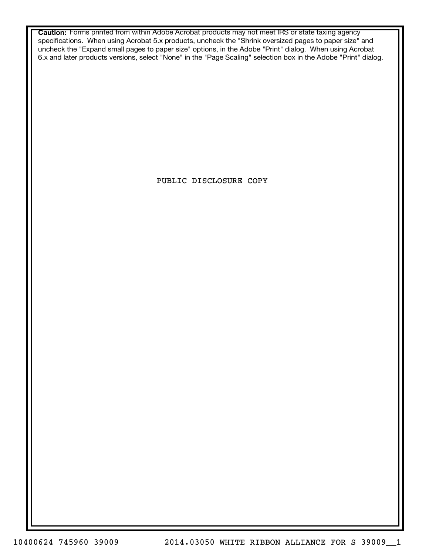**Caution:** Forms printed from within Adobe Acrobat products may not meet IRS or state taxing agency specifications. When using Acrobat 5.x products, uncheck the "Shrink oversized pages to paper size" and uncheck the "Expand small pages to paper size" options, in the Adobe "Print" dialog. When using Acrobat 6.x and later products versions, select "None" in the "Page Scaling" selection box in the Adobe "Print" dialog.

PUBLIC DISCLOSURE COPY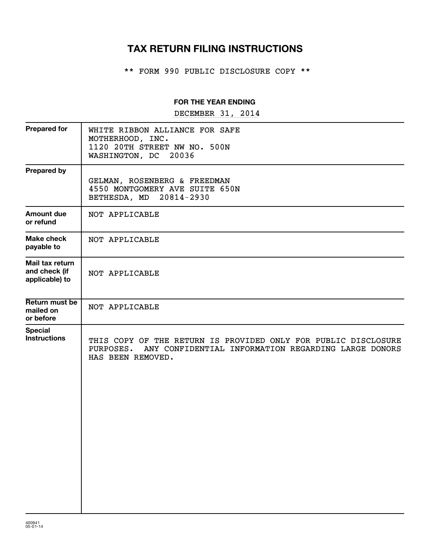# **TAX RETURN FILING INSTRUCTIONS**

\*\* FORM 990 PUBLIC DISCLOSURE COPY \*\*

# **FOR THE YEAR ENDING**

DECEMBER 31, 2014

| <b>Prepared for</b>                                | WHITE RIBBON ALLIANCE FOR SAFE<br>MOTHERHOOD, INC.<br>1120 20TH STREET NW NO. 500N<br>WASHINGTON, DC<br>20036                                           |
|----------------------------------------------------|---------------------------------------------------------------------------------------------------------------------------------------------------------|
| <b>Prepared by</b>                                 | GELMAN, ROSENBERG & FREEDMAN<br>4550 MONTGOMERY AVE SUITE 650N<br>BETHESDA, MD<br>20814-2930                                                            |
| <b>Amount due</b><br>or refund                     | NOT APPLICABLE                                                                                                                                          |
| Make check<br>payable to                           | NOT APPLICABLE                                                                                                                                          |
| Mail tax return<br>and check (if<br>applicable) to | NOT APPLICABLE                                                                                                                                          |
| Return must be<br>mailed on<br>or before           | NOT APPLICABLE                                                                                                                                          |
| <b>Special</b><br><b>Instructions</b>              | THIS COPY OF THE RETURN IS PROVIDED ONLY FOR PUBLIC DISCLOSURE<br>PURPOSES.<br>ANY CONFIDENTIAL INFORMATION REGARDING LARGE DONORS<br>HAS BEEN REMOVED. |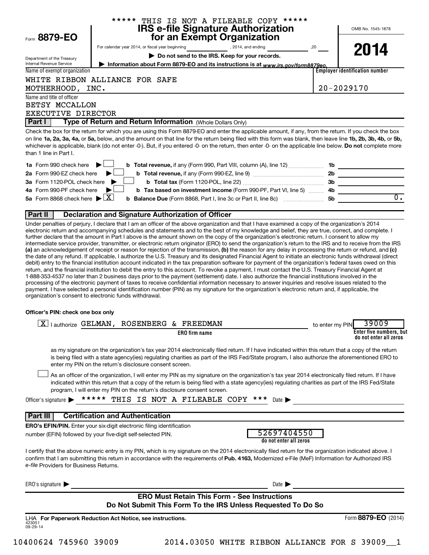| Form 8879-EO                                                           | ***** THIS IS NOT A FILEABLE COPY *****<br><b>IRS e-file Signature Authorization<br/>for an Exempt Organization</b>                                                                                                                                                                                                                                                                                                                                                                                                                                                                                                                                                                                                                                                                                                                                                                                                                                                                                 |                 | OMB No. 1545-1878                                 |
|------------------------------------------------------------------------|-----------------------------------------------------------------------------------------------------------------------------------------------------------------------------------------------------------------------------------------------------------------------------------------------------------------------------------------------------------------------------------------------------------------------------------------------------------------------------------------------------------------------------------------------------------------------------------------------------------------------------------------------------------------------------------------------------------------------------------------------------------------------------------------------------------------------------------------------------------------------------------------------------------------------------------------------------------------------------------------------------|-----------------|---------------------------------------------------|
|                                                                        | For calendar year 2014, or fiscal year beginning<br>, 2014, and ending                                                                                                                                                                                                                                                                                                                                                                                                                                                                                                                                                                                                                                                                                                                                                                                                                                                                                                                              |                 | 2014                                              |
| Department of the Treasury<br>Internal Revenue Service                 | Do not send to the IRS. Keep for your records.                                                                                                                                                                                                                                                                                                                                                                                                                                                                                                                                                                                                                                                                                                                                                                                                                                                                                                                                                      |                 |                                                   |
| Name of exempt organization                                            | Information about Form 8879-EO and its instructions is at www.irs.gov/form8879eo.                                                                                                                                                                                                                                                                                                                                                                                                                                                                                                                                                                                                                                                                                                                                                                                                                                                                                                                   |                 | <b>Employer identification number</b>             |
|                                                                        | WHITE RIBBON ALLIANCE FOR SAFE                                                                                                                                                                                                                                                                                                                                                                                                                                                                                                                                                                                                                                                                                                                                                                                                                                                                                                                                                                      |                 |                                                   |
| MOTHERHOOD, INC.                                                       |                                                                                                                                                                                                                                                                                                                                                                                                                                                                                                                                                                                                                                                                                                                                                                                                                                                                                                                                                                                                     |                 | 20-2029170                                        |
| Name and title of officer<br>BETSY MCCALLON<br>EXECUTIVE DIRECTOR      |                                                                                                                                                                                                                                                                                                                                                                                                                                                                                                                                                                                                                                                                                                                                                                                                                                                                                                                                                                                                     |                 |                                                   |
| Part I                                                                 | Type of Return and Return Information (Whole Dollars Only)                                                                                                                                                                                                                                                                                                                                                                                                                                                                                                                                                                                                                                                                                                                                                                                                                                                                                                                                          |                 |                                                   |
| than 1 line in Part I.                                                 | Check the box for the return for which you are using this Form 8879-EO and enter the applicable amount, if any, from the return. If you check the box<br>on line 1a, 2a, 3a, 4a, or 5a, below, and the amount on that line for the return being filed with this form was blank, then leave line 1b, 2b, 3b, 4b, or 5b,<br>whichever is applicable, blank (do not enter -0-). But, if you entered -0- on the return, then enter -0- on the applicable line below. Do not complete more                                                                                                                                                                                                                                                                                                                                                                                                                                                                                                               |                 |                                                   |
| <b>1a</b> Form 990 check here                                          |                                                                                                                                                                                                                                                                                                                                                                                                                                                                                                                                                                                                                                                                                                                                                                                                                                                                                                                                                                                                     |                 |                                                   |
| 2a Form 990-EZ check here                                              |                                                                                                                                                                                                                                                                                                                                                                                                                                                                                                                                                                                                                                                                                                                                                                                                                                                                                                                                                                                                     |                 |                                                   |
| <b>3a</b> Form 1120-POL check here                                     |                                                                                                                                                                                                                                                                                                                                                                                                                                                                                                                                                                                                                                                                                                                                                                                                                                                                                                                                                                                                     |                 |                                                   |
| 4a Form 990-PF check here                                              | b Tax based on investment income (Form 990-PF, Part VI, line 5) $\frac{4b}{5}$                                                                                                                                                                                                                                                                                                                                                                                                                                                                                                                                                                                                                                                                                                                                                                                                                                                                                                                      |                 |                                                   |
| 5a Form 8868 check here $\triangleright$ $\lfloor \frac{X}{X} \rfloor$ |                                                                                                                                                                                                                                                                                                                                                                                                                                                                                                                                                                                                                                                                                                                                                                                                                                                                                                                                                                                                     |                 |                                                   |
| Part II                                                                | Declaration and Signature Authorization of Officer                                                                                                                                                                                                                                                                                                                                                                                                                                                                                                                                                                                                                                                                                                                                                                                                                                                                                                                                                  |                 |                                                   |
|                                                                        | the date of any refund. If applicable, I authorize the U.S. Treasury and its designated Financial Agent to initiate an electronic funds withdrawal (direct<br>debit) entry to the financial institution account indicated in the tax preparation software for payment of the organization's federal taxes owed on this<br>return, and the financial institution to debit the entry to this account. To revoke a payment, I must contact the U.S. Treasury Financial Agent at<br>1-888-353-4537 no later than 2 business days prior to the payment (settlement) date. I also authorize the financial institutions involved in the<br>processing of the electronic payment of taxes to receive confidential information necessary to answer inquiries and resolve issues related to the<br>payment. I have selected a personal identification number (PIN) as my signature for the organization's electronic return and, if applicable, the<br>organization's consent to electronic funds withdrawal. |                 |                                                   |
| Officer's PIN: check one box only                                      |                                                                                                                                                                                                                                                                                                                                                                                                                                                                                                                                                                                                                                                                                                                                                                                                                                                                                                                                                                                                     |                 |                                                   |
|                                                                        | $\overline{X}$   authorize GELMAN, ROSENBERG & FREEDMAN                                                                                                                                                                                                                                                                                                                                                                                                                                                                                                                                                                                                                                                                                                                                                                                                                                                                                                                                             | to enter my PIN | 39009                                             |
|                                                                        | <b>ERO</b> firm name                                                                                                                                                                                                                                                                                                                                                                                                                                                                                                                                                                                                                                                                                                                                                                                                                                                                                                                                                                                |                 | Enter five numbers, but<br>do not enter all zeros |
|                                                                        | as my signature on the organization's tax year 2014 electronically filed return. If I have indicated within this return that a copy of the return<br>is being filed with a state agency(ies) regulating charities as part of the IRS Fed/State program, I also authorize the aforementioned ERO to<br>enter my PIN on the return's disclosure consent screen.<br>As an officer of the organization, I will enter my PIN as my signature on the organization's tax year 2014 electronically filed return. If I have                                                                                                                                                                                                                                                                                                                                                                                                                                                                                  |                 |                                                   |
|                                                                        | indicated within this return that a copy of the return is being filed with a state agency(ies) regulating charities as part of the IRS Fed/State<br>program, I will enter my PIN on the return's disclosure consent screen.                                                                                                                                                                                                                                                                                                                                                                                                                                                                                                                                                                                                                                                                                                                                                                         |                 |                                                   |
| Officer's signature                                                    | ***** THIS IS NOT A FILEABLE COPY<br>Date $\blacktriangleright$                                                                                                                                                                                                                                                                                                                                                                                                                                                                                                                                                                                                                                                                                                                                                                                                                                                                                                                                     |                 |                                                   |
| Part III                                                               | <b>Certification and Authentication</b>                                                                                                                                                                                                                                                                                                                                                                                                                                                                                                                                                                                                                                                                                                                                                                                                                                                                                                                                                             |                 |                                                   |
|                                                                        | ERO's EFIN/PIN. Enter your six-digit electronic filing identification<br>52697404550                                                                                                                                                                                                                                                                                                                                                                                                                                                                                                                                                                                                                                                                                                                                                                                                                                                                                                                |                 |                                                   |
|                                                                        | number (EFIN) followed by your five-digit self-selected PIN.<br>do not enter all zeros                                                                                                                                                                                                                                                                                                                                                                                                                                                                                                                                                                                                                                                                                                                                                                                                                                                                                                              |                 |                                                   |
| e-file Providers for Business Returns.                                 | I certify that the above numeric entry is my PIN, which is my signature on the 2014 electronically filed return for the organization indicated above. I<br>confirm that I am submitting this return in accordance with the requirements of Pub. 4163, Modernized e-File (MeF) Information for Authorized IRS                                                                                                                                                                                                                                                                                                                                                                                                                                                                                                                                                                                                                                                                                        |                 |                                                   |
| ERO's signature $\blacktriangleright$                                  | Date $\blacksquare$                                                                                                                                                                                                                                                                                                                                                                                                                                                                                                                                                                                                                                                                                                                                                                                                                                                                                                                                                                                 |                 |                                                   |
|                                                                        | <b>FRO Must Retain This Form - See Instructions</b>                                                                                                                                                                                                                                                                                                                                                                                                                                                                                                                                                                                                                                                                                                                                                                                                                                                                                                                                                 |                 |                                                   |

### **ERO Must Retain This Form - See Instructions Do Not Submit This Form To the IRS Unless Requested To Do So**

423051 09-29-14 **For Paperwork Reduction Act Notice, see instructions.** LHA Form (2014) **8879-EO**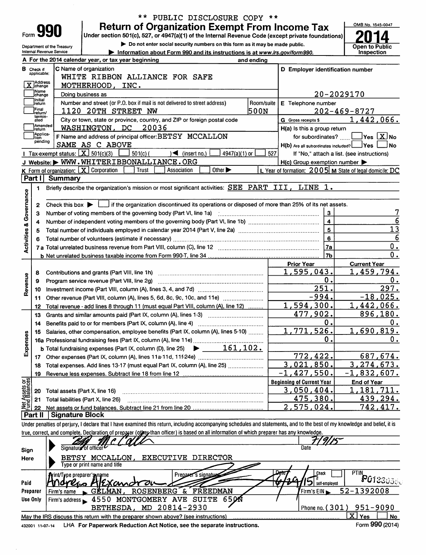| orm |  |
|-----|--|

# \*\* PUBLIC DISCLOSURE COPY \*\*

Return of Organization Exempt From Income Tax<br>|Under section 501(c), 527, or 4947(a)(1) of the Internal Revenue Code (except private foundations)

Department of the Treasury Internal Revenue Service

Do not enter social security numbers on this form as it may be made public. Information about Form 990 and its instructions is at www.irs.gov/form990.



|                                        |                        | A For the 2014 calendar year, or tax year beginning                                                                                                                         | and ending         |                                                     |                                                            |
|----------------------------------------|------------------------|-----------------------------------------------------------------------------------------------------------------------------------------------------------------------------|--------------------|-----------------------------------------------------|------------------------------------------------------------|
|                                        | <b>B</b> Check if      | C Name of organization                                                                                                                                                      |                    | D Employer identification number                    |                                                            |
|                                        | applicable:            | WHITE RIBBON ALLIANCE FOR SAFE                                                                                                                                              |                    |                                                     |                                                            |
|                                        | X Address              | MOTHERHOOD, INC.                                                                                                                                                            |                    |                                                     |                                                            |
|                                        | ]Name<br>]change       | Doing business as                                                                                                                                                           |                    |                                                     | 20-2029170                                                 |
|                                        | Ilnitial<br>return     | Number and street (or P.O. box if mail is not delivered to street address)                                                                                                  | Room/suite         | E Telephone number                                  |                                                            |
|                                        | <br> Final<br> return/ |                                                                                                                                                                             | $202 - 469 - 8727$ |                                                     |                                                            |
|                                        | termin-<br>ated        | 1120 20TH STREET NW<br>City or town, state or province, country, and ZIP or foreign postal code                                                                             | 500N               | G Gross receipts \$                                 | 1,442,066.                                                 |
|                                        | Amended<br>Ireturn     | WASHINGTON, DC 20036                                                                                                                                                        |                    | H(a) Is this a group return                         |                                                            |
|                                        | Applica-<br>Ition      | F Name and address of principal officer: BETSY MCCALLON                                                                                                                     |                    |                                                     | for subordinates? $\Box$ Yes $\Box$ No                     |
|                                        | pending                | SAME AS C ABOVE                                                                                                                                                             |                    | H(b) Are all subordinates included? Ves             | ∫No                                                        |
|                                        |                        | Tax-exempt status: $\boxed{\mathbf{X}}$ 501(c)(3)<br>$501(c)$ (<br>4947(a)(1) or<br>$\sim$ (insert no.)                                                                     | 527                |                                                     | If "No," attach a list. (see instructions)                 |
|                                        |                        | J Website: WWW.WHITERIBBONALLIANCE.ORG                                                                                                                                      |                    | $H(c)$ Group exemption number $\blacktriangleright$ |                                                            |
|                                        |                        | $K$ Form of organization: $X$ Corporation<br>Other $\blacktriangleright$<br>Trust<br>Association                                                                            |                    |                                                     | L. Year of formation: $2005$ M State of legal domicile: DC |
|                                        | Part $I$               | <b>Summary</b>                                                                                                                                                              |                    |                                                     |                                                            |
|                                        | 1                      | Briefly describe the organization's mission or most significant activities: SEE PART III, LINE 1.                                                                           |                    |                                                     |                                                            |
|                                        |                        |                                                                                                                                                                             |                    |                                                     |                                                            |
| Governance                             | 2                      | Check this box $\blacktriangleright$ $\blacksquare$ if the organization discontinued its operations or disposed of more than 25% of its net assets.                         |                    |                                                     |                                                            |
|                                        | 3                      |                                                                                                                                                                             |                    | $\mathbf{3}$                                        | 7                                                          |
|                                        | 4                      |                                                                                                                                                                             |                    | $\overline{\mathbf{4}}$                             | 6                                                          |
|                                        | 5                      | Total number of individuals employed in calendar year 2014 (Part V, line 2a) manufacture controller controller                                                              |                    | 5 <sup>1</sup>                                      | 13                                                         |
|                                        | 6                      |                                                                                                                                                                             |                    | $6\phantom{a}$                                      | 6                                                          |
| <b>Activities &amp;</b>                |                        |                                                                                                                                                                             |                    | ∤7a                                                 | 0.                                                         |
|                                        |                        |                                                                                                                                                                             |                    | l 7b                                                | 0.                                                         |
|                                        |                        |                                                                                                                                                                             |                    | <b>Prior Year</b>                                   | <b>Current Year</b>                                        |
|                                        | 8                      | Contributions and grants (Part VIII, line 1h)                                                                                                                               |                    | 1,595,043.                                          | 1,459,794.                                                 |
|                                        | 9                      | Program service revenue (Part VIII, line 2g)                                                                                                                                |                    | $\mathbf 0$ .                                       |                                                            |
| Revenue                                | 10                     |                                                                                                                                                                             |                    |                                                     |                                                            |
|                                        |                        |                                                                                                                                                                             |                    | 251.                                                | $\mathbf 0$ .<br>297.                                      |
|                                        |                        |                                                                                                                                                                             |                    | $-994.$                                             |                                                            |
|                                        | 11                     | Other revenue (Part VIII, column (A), lines 5, 6d, 8c, 9c, 10c, and 11e)                                                                                                    |                    |                                                     | $-18,025.$                                                 |
|                                        | 12                     | Total revenue - add lines 8 through 11 (must equal Part VIII, column (A), line 12)                                                                                          |                    | 1,594,300.                                          | 1,442,066.                                                 |
|                                        | 13                     | Grants and similar amounts paid (Part IX, column (A), lines 1-3)                                                                                                            |                    | 477,902.<br>0.                                      | 896,180.<br>0.                                             |
|                                        | 14                     |                                                                                                                                                                             |                    |                                                     |                                                            |
|                                        | 15                     | Salaries, other compensation, employee benefits (Part IX, column (A), lines 5.10)                                                                                           |                    | 1,771,526.<br>0.                                    | 1,690,819.<br>$\mathbf 0$ .                                |
|                                        |                        |                                                                                                                                                                             |                    |                                                     |                                                            |
| Expenses                               |                        | <b>b</b> Total fundraising expenses (Part IX, column (D), line 25) $\rightarrow$ ______161, 102.                                                                            |                    | 772,422.                                            | 687,674.                                                   |
|                                        | 18                     |                                                                                                                                                                             |                    | 3,021,850.                                          |                                                            |
|                                        | 19                     | Total expenses. Add lines 13-17 (must equal Part IX, column (A), line 25)                                                                                                   |                    |                                                     | 3, 274, 673.                                               |
|                                        |                        |                                                                                                                                                                             |                    | <u>-1,427,550.</u>                                  | <u>-1,832,607.</u>                                         |
|                                        | 20                     | Total assets (Part X, line 16)                                                                                                                                              |                    | <b>Beginning of Current Year</b>                    | <b>End of Year</b><br><u>1,181,711.</u>                    |
|                                        | 21                     | Total liabilities (Part X, line 26)                                                                                                                                         |                    | 3,050,404.<br><u>475,380.</u>                       |                                                            |
| <b>Net Assets or<br/>Fund Balances</b> | 22                     |                                                                                                                                                                             |                    | 2,575,024.                                          | 439,294.<br>742,417.                                       |
|                                        | Part II                | <b>Signature Block</b>                                                                                                                                                      |                    |                                                     |                                                            |
|                                        |                        | Under penalties of perjury, I declare that I have examined this return, including accompanying schedules and statements, and to the best of my knowledge and belief, it is  |                    |                                                     |                                                            |
|                                        |                        |                                                                                                                                                                             |                    |                                                     |                                                            |
|                                        |                        | true, correct, and complete. Declaration of preparer (othey than officer) is based on all information of which preparer has any knowledge.<br>Signature of officer to Calle |                    |                                                     |                                                            |

| Sign            | Signature of officer                                                              | Date                                         |                 |
|-----------------|-----------------------------------------------------------------------------------|----------------------------------------------|-----------------|
| Here            | MCCALLON,<br>EXECUTIVE DIRECTOR<br><b>BETSY</b>                                   |                                              |                 |
|                 | Type or print name and title                                                      |                                              |                 |
| Paid            | Preparer's signature<br><b>Print/Type preparer syname</b><br>Mareno AlExandron    | <b>PTIN</b><br>Check<br>$\Box$ self-employed | PG133056        |
| Preparer        | <b>ROSENBERG</b><br>FREEDMAN<br><b>GELMAN</b><br>Firm's name                      | 52-1392008<br>$7$ Firm's EIN                 |                 |
| Use Only        | 4550 MONTGOMERY AVE SUITE 650N<br>Firm's address                                  |                                              |                 |
|                 | BETHESDA, MD 20814-2930                                                           | Phone no. $(301)$                            | 951-9090        |
|                 | May the IRS discuss this return with the preparer shown above? (see instructions) | ΧI<br>Yes                                    | J No            |
| 432001 11-07-14 | LHA For Paperwork Reduction Act Notice, see the separate instructions.            |                                              | Form 990 (2014) |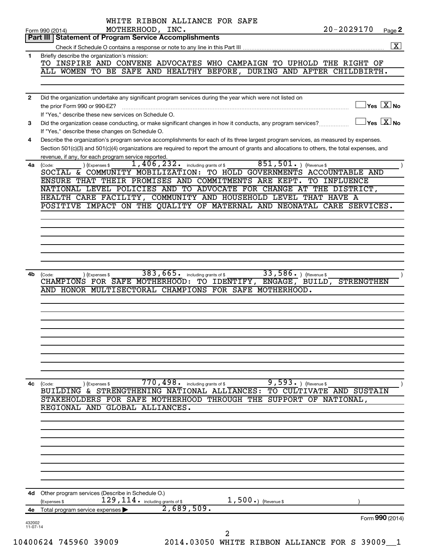|                | MOTHERHOOD, INC.<br>Form 990 (2014)                                                                                                                                                                 | $20 - 2029170$                          | Page 2             |
|----------------|-----------------------------------------------------------------------------------------------------------------------------------------------------------------------------------------------------|-----------------------------------------|--------------------|
|                | Part III   Statement of Program Service Accomplishments                                                                                                                                             |                                         |                    |
|                |                                                                                                                                                                                                     |                                         | $\boxed{\text{X}}$ |
| 1              | Briefly describe the organization's mission:<br>TO INSPIRE AND CONVENE ADVOCATES WHO CAMPAIGN TO UPHOLD THE RIGHT OF                                                                                |                                         |                    |
|                | ALL WOMEN TO BE SAFE AND HEALTHY BEFORE, DURING AND AFTER CHILDBIRTH.                                                                                                                               |                                         |                    |
|                |                                                                                                                                                                                                     |                                         |                    |
| $\mathbf{2}$   | Did the organization undertake any significant program services during the year which were not listed on                                                                                            |                                         |                    |
|                | the prior Form 990 or 990-EZ?<br>If "Yes," describe these new services on Schedule O.                                                                                                               | $\Box$ Yes $[\overline{\mathrm{X}}]$ No |                    |
| 3              | Did the organization cease conducting, or make significant changes in how it conducts, any program services?                                                                                        | $\Box$ Yes $[\overline{\mathrm{X}}]$ No |                    |
| 4              | If "Yes," describe these changes on Schedule O.<br>Describe the organization's program service accomplishments for each of its three largest program services, as measured by expenses.             |                                         |                    |
|                | Section 501(c)(3) and 501(c)(4) organizations are required to report the amount of grants and allocations to others, the total expenses, and<br>revenue, if any, for each program service reported. |                                         |                    |
|                | $851, 501.$ (Revenue \$)<br>$1,406,232$ and including grants of \$<br>) (Expenses \$<br>4a (Code:                                                                                                   |                                         |                    |
|                | SOCIAL & COMMUNITY MOBILIZATION: TO HOLD GOVERNMENTS ACCOUNTABLE AND                                                                                                                                |                                         |                    |
|                | ENSURE THAT THEIR PROMISES AND COMMITMENTS ARE KEPT. TO INFLUENCE                                                                                                                                   |                                         |                    |
|                | NATIONAL LEVEL POLICIES AND TO ADVOCATE FOR CHANGE AT THE DISTRICT,<br>HEALTH CARE FACILITY, COMMUNITY AND HOUSEHOLD LEVEL THAT HAVE A                                                              |                                         |                    |
|                | POSITIVE IMPACT ON THE QUALITY OF MATERNAL AND NEONATAL CARE SERVICES.                                                                                                                              |                                         |                    |
|                |                                                                                                                                                                                                     |                                         |                    |
|                |                                                                                                                                                                                                     |                                         |                    |
|                |                                                                                                                                                                                                     |                                         |                    |
|                |                                                                                                                                                                                                     |                                         |                    |
|                |                                                                                                                                                                                                     |                                         |                    |
|                |                                                                                                                                                                                                     |                                         |                    |
|                |                                                                                                                                                                                                     |                                         |                    |
|                | 383, 665. including grants of \$33, 586. ) (Revenue \$<br>4b (Code:<br>(Expenses \$                                                                                                                 |                                         |                    |
|                | CHAMPIONS FOR SAFE MOTHERHOOD: TO IDENTIFY, ENGAGE, BUILD, STRENGTHEN                                                                                                                               |                                         |                    |
|                | AND HONOR MULTISECTORAL CHAMPIONS FOR SAFE MOTHERHOOD.                                                                                                                                              |                                         |                    |
|                |                                                                                                                                                                                                     |                                         |                    |
|                |                                                                                                                                                                                                     |                                         |                    |
|                |                                                                                                                                                                                                     |                                         |                    |
|                |                                                                                                                                                                                                     |                                         |                    |
|                |                                                                                                                                                                                                     |                                         |                    |
|                |                                                                                                                                                                                                     |                                         |                    |
|                |                                                                                                                                                                                                     |                                         |                    |
|                |                                                                                                                                                                                                     |                                         |                    |
|                |                                                                                                                                                                                                     |                                         |                    |
|                |                                                                                                                                                                                                     |                                         |                    |
|                |                                                                                                                                                                                                     |                                         |                    |
|                | $9,593.$ (Revenue \$)<br>770,498.<br>including grants of \$<br>(Code:<br>(Expenses \$                                                                                                               |                                         |                    |
|                | BUILDING & STRENGTHENING NATIONAL ALLIANCES: TO CULTIVATE AND SUSTAIN                                                                                                                               |                                         |                    |
|                | STAKEHOLDERS FOR SAFE MOTHERHOOD THROUGH THE SUPPORT OF NATIONAL,                                                                                                                                   |                                         |                    |
|                | <b>REGIONAL AND</b><br>GLOBAL ALLIANCES.                                                                                                                                                            |                                         |                    |
|                |                                                                                                                                                                                                     |                                         |                    |
|                |                                                                                                                                                                                                     |                                         |                    |
|                |                                                                                                                                                                                                     |                                         |                    |
|                |                                                                                                                                                                                                     |                                         |                    |
|                |                                                                                                                                                                                                     |                                         |                    |
|                |                                                                                                                                                                                                     |                                         |                    |
|                |                                                                                                                                                                                                     |                                         |                    |
|                |                                                                                                                                                                                                     |                                         |                    |
|                |                                                                                                                                                                                                     |                                         |                    |
|                | Other program services (Describe in Schedule O.)<br>$129$ , $114$ $\cdot$ including grants of \$<br>$1,500.$ (Revenue \$<br>(Expenses \$                                                            |                                         |                    |
| 4с<br>4d<br>4е | 2,689,509.<br>Total program service expenses                                                                                                                                                        |                                         |                    |
| 432002         |                                                                                                                                                                                                     | Form 990 (2014)                         |                    |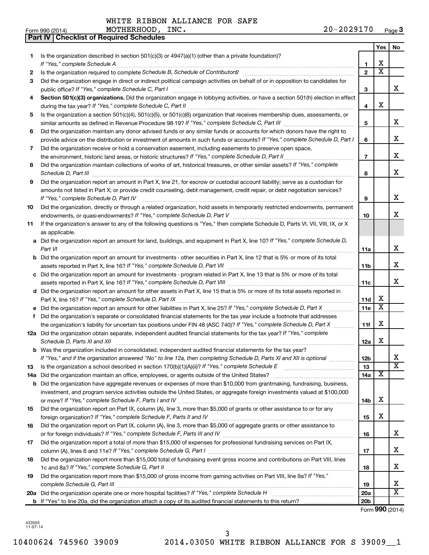|     | Part IV   Checklist of Required Schedules                                                                                                                                                                                           |                        |                         |                         |
|-----|-------------------------------------------------------------------------------------------------------------------------------------------------------------------------------------------------------------------------------------|------------------------|-------------------------|-------------------------|
|     |                                                                                                                                                                                                                                     |                        | Yes                     | No.                     |
| 1   | Is the organization described in section 501(c)(3) or $4947(a)(1)$ (other than a private foundation)?                                                                                                                               |                        |                         |                         |
|     |                                                                                                                                                                                                                                     | 1                      | х                       |                         |
| 2   |                                                                                                                                                                                                                                     | $\overline{2}$         | $\overline{\textbf{x}}$ |                         |
| 3   | Did the organization engage in direct or indirect political campaign activities on behalf of or in opposition to candidates for                                                                                                     |                        |                         |                         |
|     |                                                                                                                                                                                                                                     | 3                      |                         | x                       |
| 4   | Section 501(c)(3) organizations. Did the organization engage in lobbying activities, or have a section 501(h) election in effect                                                                                                    |                        |                         |                         |
|     |                                                                                                                                                                                                                                     | 4                      | X                       |                         |
| 5   | Is the organization a section 501(c)(4), 501(c)(5), or 501(c)(6) organization that receives membership dues, assessments, or                                                                                                        |                        |                         |                         |
|     |                                                                                                                                                                                                                                     | 5                      |                         | x                       |
| 6   | Did the organization maintain any donor advised funds or any similar funds or accounts for which donors have the right to                                                                                                           |                        |                         |                         |
|     | provide advice on the distribution or investment of amounts in such funds or accounts? If "Yes," complete Schedule D, Part I                                                                                                        | 6                      |                         | х                       |
| 7   | Did the organization receive or hold a conservation easement, including easements to preserve open space,                                                                                                                           |                        |                         |                         |
|     | the environment, historic land areas, or historic structures? If "Yes," complete Schedule D, Part II                                                                                                                                | $\overline{7}$         |                         | х                       |
| 8   | Did the organization maintain collections of works of art, historical treasures, or other similar assets? If "Yes," complete                                                                                                        |                        |                         |                         |
|     | Schedule D, Part III <b>Marting Constructs</b> and the construction of the construction of the construction of the construction of the construction of the construction of the construction of the construction of the construction | 8                      |                         | x                       |
| 9   | Did the organization report an amount in Part X, line 21, for escrow or custodial account liability; serve as a custodian for                                                                                                       |                        |                         |                         |
|     | amounts not listed in Part X; or provide credit counseling, debt management, credit repair, or debt negotiation services?                                                                                                           |                        |                         |                         |
|     | If "Yes." complete Schedule D. Part IV                                                                                                                                                                                              | 9                      |                         | х                       |
| 10  | Did the organization, directly or through a related organization, hold assets in temporarily restricted endowments, permanent                                                                                                       |                        |                         |                         |
|     |                                                                                                                                                                                                                                     | 10                     |                         | x                       |
| 11  | If the organization's answer to any of the following questions is "Yes," then complete Schedule D, Parts VI, VII, VIII, IX, or X                                                                                                    |                        |                         |                         |
|     | as applicable.                                                                                                                                                                                                                      |                        |                         |                         |
|     | a Did the organization report an amount for land, buildings, and equipment in Part X, line 10? If "Yes," complete Schedule D,                                                                                                       |                        |                         |                         |
|     | Part VI                                                                                                                                                                                                                             | 11a                    |                         | х                       |
|     | <b>b</b> Did the organization report an amount for investments - other securities in Part X, line 12 that is 5% or more of its total                                                                                                |                        |                         |                         |
|     |                                                                                                                                                                                                                                     | 11b                    |                         | x                       |
|     | c Did the organization report an amount for investments - program related in Part X, line 13 that is 5% or more of its total                                                                                                        |                        |                         |                         |
|     |                                                                                                                                                                                                                                     | 11с                    |                         | x                       |
|     | d Did the organization report an amount for other assets in Part X, line 15 that is 5% or more of its total assets reported in                                                                                                      |                        |                         |                         |
|     |                                                                                                                                                                                                                                     | 11d                    | х                       |                         |
|     |                                                                                                                                                                                                                                     | 11e                    | $\overline{\mathbf{X}}$ |                         |
| f   | Did the organization's separate or consolidated financial statements for the tax year include a footnote that addresses                                                                                                             |                        |                         |                         |
|     | the organization's liability for uncertain tax positions under FIN 48 (ASC 740)? If "Yes," complete Schedule D, Part X                                                                                                              | 11f                    | х                       |                         |
|     | 12a Did the organization obtain separate, independent audited financial statements for the tax year? If "Yes," complete                                                                                                             |                        |                         |                         |
|     | Schedule D, Parts XI and XII                                                                                                                                                                                                        | 12a                    | х                       |                         |
| b   | Was the organization included in consolidated, independent audited financial statements for the tax year?                                                                                                                           |                        |                         |                         |
|     | If "Yes," and if the organization answered "No" to line 12a, then completing Schedule D, Parts XI and XII is optional                                                                                                               | 12b                    |                         | х                       |
| 13  |                                                                                                                                                                                                                                     | 13                     |                         | $\overline{\texttt{X}}$ |
| 14a | Did the organization maintain an office, employees, or agents outside of the United States?                                                                                                                                         | 14a                    | х                       |                         |
| b   | Did the organization have aggregate revenues or expenses of more than \$10,000 from grantmaking, fundraising, business,                                                                                                             |                        |                         |                         |
|     | investment, and program service activities outside the United States, or aggregate foreign investments valued at \$100,000                                                                                                          |                        |                         |                         |
|     |                                                                                                                                                                                                                                     | 14b                    | х                       |                         |
| 15  | Did the organization report on Part IX, column (A), line 3, more than \$5,000 of grants or other assistance to or for any                                                                                                           |                        |                         |                         |
|     |                                                                                                                                                                                                                                     | 15                     | х                       |                         |
| 16  | Did the organization report on Part IX, column (A), line 3, more than \$5,000 of aggregate grants or other assistance to                                                                                                            |                        |                         |                         |
|     |                                                                                                                                                                                                                                     | 16                     |                         | х                       |
| 17  | Did the organization report a total of more than \$15,000 of expenses for professional fundraising services on Part IX,                                                                                                             |                        |                         | x                       |
|     |                                                                                                                                                                                                                                     | 17                     |                         |                         |
| 18  | Did the organization report more than \$15,000 total of fundraising event gross income and contributions on Part VIII, lines                                                                                                        |                        |                         | x                       |
|     |                                                                                                                                                                                                                                     | 18                     |                         |                         |
| 19  | Did the organization report more than \$15,000 of gross income from gaming activities on Part VIII, line 9a? If "Yes,"                                                                                                              |                        |                         | х                       |
|     | 20a Did the organization operate one or more hospital facilities? If "Yes," complete Schedule H                                                                                                                                     | 19                     |                         | X                       |
|     |                                                                                                                                                                                                                                     | 20a<br>20 <sub>b</sub> |                         |                         |
|     |                                                                                                                                                                                                                                     |                        |                         |                         |

Form (2014) **990**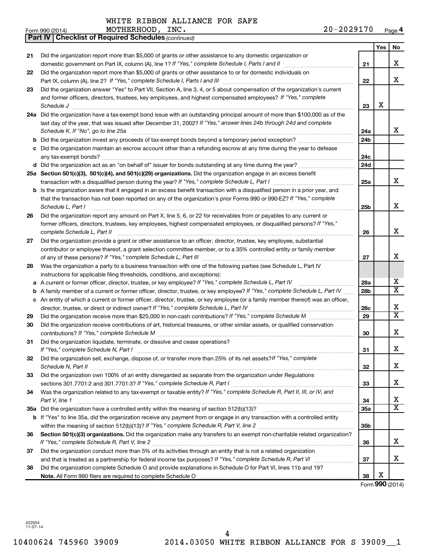| INC.<br>MOTHERHOOD<br>$20 -$<br>20291<br>Form 990 (2014) | 9170<br>Page |
|----------------------------------------------------------|--------------|
|----------------------------------------------------------|--------------|

| ------------      |  | ---------- |             |
|-------------------|--|------------|-------------|
|                   |  |            |             |
| <b>MOTUPDUOOD</b> |  |            | <b>TNTO</b> |

|    | <b>Part IV   Checklist of Required Schedules (continued)</b>                                                                                                                                                                                                                                             |                  |               |                              |
|----|----------------------------------------------------------------------------------------------------------------------------------------------------------------------------------------------------------------------------------------------------------------------------------------------------------|------------------|---------------|------------------------------|
|    |                                                                                                                                                                                                                                                                                                          |                  | Yes           | No                           |
| 21 | Did the organization report more than \$5,000 of grants or other assistance to any domestic organization or                                                                                                                                                                                              |                  |               |                              |
|    | domestic government on Part IX, column (A), line 1? If "Yes," complete Schedule I, Parts I and II                                                                                                                                                                                                        | 21               |               | x                            |
| 22 | Did the organization report more than \$5,000 of grants or other assistance to or for domestic individuals on                                                                                                                                                                                            |                  |               |                              |
|    |                                                                                                                                                                                                                                                                                                          | 22               |               | x                            |
| 23 | Did the organization answer "Yes" to Part VII, Section A, line 3, 4, or 5 about compensation of the organization's current                                                                                                                                                                               |                  |               |                              |
|    | and former officers, directors, trustees, key employees, and highest compensated employees? If "Yes," complete                                                                                                                                                                                           |                  |               |                              |
|    | Schedule J                                                                                                                                                                                                                                                                                               | 23               | X             |                              |
|    | 24a Did the organization have a tax-exempt bond issue with an outstanding principal amount of more than \$100,000 as of the                                                                                                                                                                              |                  |               |                              |
|    | last day of the year, that was issued after December 31, 2002? If "Yes," answer lines 24b through 24d and complete                                                                                                                                                                                       |                  |               |                              |
|    | Schedule K. If "No", go to line 25a                                                                                                                                                                                                                                                                      | 24a              |               | x                            |
| b  | Did the organization invest any proceeds of tax-exempt bonds beyond a temporary period exception?                                                                                                                                                                                                        | 24b              |               |                              |
|    | c Did the organization maintain an escrow account other than a refunding escrow at any time during the year to defease                                                                                                                                                                                   |                  |               |                              |
|    |                                                                                                                                                                                                                                                                                                          | 24c              |               |                              |
|    |                                                                                                                                                                                                                                                                                                          | 24d              |               |                              |
|    | 25a Section 501(c)(3), 501(c)(4), and 501(c)(29) organizations. Did the organization engage in an excess benefit                                                                                                                                                                                         |                  |               |                              |
|    |                                                                                                                                                                                                                                                                                                          | 25a              |               | x                            |
|    | <b>b</b> Is the organization aware that it engaged in an excess benefit transaction with a disqualified person in a prior year, and                                                                                                                                                                      |                  |               |                              |
|    | that the transaction has not been reported on any of the organization's prior Forms 990 or 990-EZ? If "Yes," complete                                                                                                                                                                                    |                  |               |                              |
|    | Schedule L, Part I                                                                                                                                                                                                                                                                                       | 25b              |               | x                            |
| 26 | Did the organization report any amount on Part X, line 5, 6, or 22 for receivables from or payables to any current or                                                                                                                                                                                    |                  |               |                              |
|    | former officers, directors, trustees, key employees, highest compensated employees, or disqualified persons? If "Yes,"                                                                                                                                                                                   |                  |               |                              |
|    | complete Schedule L, Part II                                                                                                                                                                                                                                                                             | 26               |               | x                            |
| 27 | Did the organization provide a grant or other assistance to an officer, director, trustee, key employee, substantial                                                                                                                                                                                     |                  |               |                              |
|    | contributor or employee thereof, a grant selection committee member, or to a 35% controlled entity or family member                                                                                                                                                                                      |                  |               |                              |
|    |                                                                                                                                                                                                                                                                                                          | 27               |               | x                            |
| 28 | Was the organization a party to a business transaction with one of the following parties (see Schedule L, Part IV                                                                                                                                                                                        |                  |               |                              |
|    | instructions for applicable filing thresholds, conditions, and exceptions):                                                                                                                                                                                                                              |                  |               |                              |
|    | a A current or former officer, director, trustee, or key employee? If "Yes," complete Schedule L, Part IV                                                                                                                                                                                                | 28a              |               | х                            |
| b  | A family member of a current or former officer, director, trustee, or key employee? If "Yes," complete Schedule L, Part IV                                                                                                                                                                               | 28b              |               | $\overline{\mathbf{X}}$      |
|    | c An entity of which a current or former officer, director, trustee, or key employee (or a family member thereof) was an officer,                                                                                                                                                                        |                  |               |                              |
|    | director, trustee, or direct or indirect owner? If "Yes," complete Schedule L, Part IV.                                                                                                                                                                                                                  | 28c              |               | х<br>$\overline{\texttt{x}}$ |
| 29 |                                                                                                                                                                                                                                                                                                          | 29               |               |                              |
| 30 | Did the organization receive contributions of art, historical treasures, or other similar assets, or qualified conservation                                                                                                                                                                              |                  |               |                              |
|    |                                                                                                                                                                                                                                                                                                          | 30               |               | x                            |
| 31 | Did the organization liquidate, terminate, or dissolve and cease operations?                                                                                                                                                                                                                             |                  |               | х                            |
|    |                                                                                                                                                                                                                                                                                                          | 31               |               |                              |
| 32 | Did the organization sell, exchange, dispose of, or transfer more than 25% of its net assets? If "Yes," complete                                                                                                                                                                                         |                  |               | х                            |
|    | Schedule N, Part II<br>Did the organization own 100% of an entity disregarded as separate from the organization under Regulations                                                                                                                                                                        | 32               |               |                              |
| 33 |                                                                                                                                                                                                                                                                                                          | 33               |               | х                            |
|    | sections 301.7701-2 and 301.7701-3? If "Yes," complete Schedule R, Part I [1] [1] [1] [1] [1] [1] sections 301.7701-2 and 301.7701-3? If "Yes," complete Schedule R, Part I<br>Was the organization related to any tax-exempt or taxable entity? If "Yes," complete Schedule R, Part II, III, or IV, and |                  |               |                              |
| 34 |                                                                                                                                                                                                                                                                                                          |                  |               | x                            |
|    | Part V, line 1                                                                                                                                                                                                                                                                                           | 34<br><b>35a</b> |               | $\overline{\texttt{x}}$      |
|    |                                                                                                                                                                                                                                                                                                          |                  |               |                              |
|    | b If "Yes" to line 35a, did the organization receive any payment from or engage in any transaction with a controlled entity                                                                                                                                                                              | 35 <sub>b</sub>  |               |                              |
| 36 | Section 501(c)(3) organizations. Did the organization make any transfers to an exempt non-charitable related organization?                                                                                                                                                                               |                  |               |                              |
|    |                                                                                                                                                                                                                                                                                                          | 36               |               | x                            |
| 37 | Did the organization conduct more than 5% of its activities through an entity that is not a related organization                                                                                                                                                                                         |                  |               |                              |
|    |                                                                                                                                                                                                                                                                                                          | 37               |               | x                            |
| 38 | Did the organization complete Schedule O and provide explanations in Schedule O for Part VI, lines 11b and 19?                                                                                                                                                                                           |                  |               |                              |
|    |                                                                                                                                                                                                                                                                                                          | 38               | х             |                              |
|    |                                                                                                                                                                                                                                                                                                          |                  | $\mathbf{on}$ |                              |

Form (2014) **990**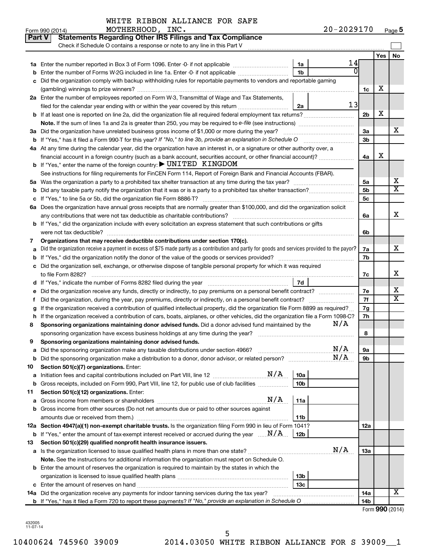| WHITE RIBBON ALLIANCE FOR SAFE |
|--------------------------------|
|--------------------------------|

| Part V | <b>Statements Regarding Other IRS Filings and Tax Compliance</b>                                                                                                                                                                             |                      |            |                         |
|--------|----------------------------------------------------------------------------------------------------------------------------------------------------------------------------------------------------------------------------------------------|----------------------|------------|-------------------------|
|        | Check if Schedule O contains a response or note to any line in this Part V                                                                                                                                                                   |                      |            |                         |
|        |                                                                                                                                                                                                                                              |                      | <b>Yes</b> | No                      |
| 1a     | 14<br>1a<br>Enter the number reported in Box 3 of Form 1096. Enter -0- if not applicable                                                                                                                                                     |                      |            |                         |
|        | 1 <sub>b</sub><br>Enter the number of Forms W-2G included in line 1a. Enter -0- if not applicable                                                                                                                                            | 0                    |            |                         |
| с      | Did the organization comply with backup withholding rules for reportable payments to vendors and reportable gaming                                                                                                                           |                      |            |                         |
|        |                                                                                                                                                                                                                                              | 1c                   | X          |                         |
|        | 2a Enter the number of employees reported on Form W-3, Transmittal of Wage and Tax Statements,<br>13                                                                                                                                         |                      |            |                         |
|        | 2a<br>filed for the calendar year ending with or within the year covered by this return                                                                                                                                                      |                      | X          |                         |
| b      |                                                                                                                                                                                                                                              | 2 <sub>b</sub>       |            |                         |
|        |                                                                                                                                                                                                                                              |                      |            | х                       |
|        | 3a Did the organization have unrelated business gross income of \$1,000 or more during the year?                                                                                                                                             | 3a<br>3 <sub>b</sub> |            |                         |
|        | If "Yes," has it filed a Form 990-T for this year? If "No," to line 3b, provide an explanation in Schedule O<br>4a At any time during the calendar year, did the organization have an interest in, or a signature or other authority over, a |                      |            |                         |
|        | financial account in a foreign country (such as a bank account, securities account, or other financial account)?                                                                                                                             | 4a                   | X          |                         |
|        | <b>b</b> If "Yes," enter the name of the foreign country: $\blacktriangleright$ UNITED KINGDOM                                                                                                                                               |                      |            |                         |
|        | See instructions for filing requirements for FinCEN Form 114, Report of Foreign Bank and Financial Accounts (FBAR).                                                                                                                          |                      |            |                         |
|        |                                                                                                                                                                                                                                              | 5a                   |            | х                       |
| b      |                                                                                                                                                                                                                                              | 5b                   |            | $\overline{\mathtt{x}}$ |
| с      |                                                                                                                                                                                                                                              | 5c                   |            |                         |
|        | 6a Does the organization have annual gross receipts that are normally greater than \$100,000, and did the organization solicit                                                                                                               |                      |            |                         |
|        | any contributions that were not tax deductible as charitable contributions?                                                                                                                                                                  | 6a                   |            | x                       |
|        | b If "Yes," did the organization include with every solicitation an express statement that such contributions or gifts                                                                                                                       |                      |            |                         |
|        |                                                                                                                                                                                                                                              | 6b                   |            |                         |
| 7      | Organizations that may receive deductible contributions under section 170(c).                                                                                                                                                                |                      |            |                         |
| а      | Did the organization receive a payment in excess of \$75 made partly as a contribution and partly for goods and services provided to the payor?                                                                                              | 7a                   |            | x                       |
|        |                                                                                                                                                                                                                                              | 7b                   |            |                         |
| с      | Did the organization sell, exchange, or otherwise dispose of tangible personal property for which it was required                                                                                                                            |                      |            |                         |
|        | to file Form 8282?                                                                                                                                                                                                                           | 7c                   |            | х                       |
| d      | 7d                                                                                                                                                                                                                                           |                      |            |                         |
| е      | Did the organization receive any funds, directly or indirectly, to pay premiums on a personal benefit contract?                                                                                                                              | 7e                   |            | х                       |
|        |                                                                                                                                                                                                                                              | 7f                   |            | $\overline{\mathtt{x}}$ |
| g      | If the organization received a contribution of qualified intellectual property, did the organization file Form 8899 as required?                                                                                                             | 7g                   |            |                         |
| h      | If the organization received a contribution of cars, boats, airplanes, or other vehicles, did the organization file a Form 1098-C?                                                                                                           | 7h                   |            |                         |
| 8      | N/A<br>Sponsoring organizations maintaining donor advised funds. Did a donor advised fund maintained by the                                                                                                                                  |                      |            |                         |
|        | sponsoring organization have excess business holdings at any time during the year?                                                                                                                                                           | 8                    |            |                         |
| 9      | Sponsoring organizations maintaining donor advised funds.<br>N/A                                                                                                                                                                             |                      |            |                         |
|        | N/A                                                                                                                                                                                                                                          | 9а                   |            |                         |
| b      | Did the sponsoring organization make a distribution to a donor, donor advisor, or related person?<br>Section 501(c)(7) organizations. Enter:                                                                                                 | 9b                   |            |                         |
| 10     | N/A<br>10a                                                                                                                                                                                                                                   |                      |            |                         |
| а<br>b | 10 <sub>b</sub><br>Gross receipts, included on Form 990, Part VIII, line 12, for public use of club facilities                                                                                                                               |                      |            |                         |
| 11     | Section 501(c)(12) organizations. Enter:                                                                                                                                                                                                     |                      |            |                         |
| а      | N/A<br>11a                                                                                                                                                                                                                                   |                      |            |                         |
| b      | Gross income from other sources (Do not net amounts due or paid to other sources against                                                                                                                                                     |                      |            |                         |
|        | 11b<br>amounts due or received from them.)                                                                                                                                                                                                   |                      |            |                         |
|        | 12a Section 4947(a)(1) non-exempt charitable trusts. Is the organization filing Form 990 in lieu of Form 1041?                                                                                                                               | 12a                  |            |                         |
| b      | If "Yes," enter the amount of tax-exempt interest received or accrued during the year $\ldots \mathbf{N}/\mathbf{A}$ .<br>12 <sub>b</sub>                                                                                                    |                      |            |                         |
| 13     | Section 501(c)(29) qualified nonprofit health insurance issuers.                                                                                                                                                                             |                      |            |                         |
| а      | N/A                                                                                                                                                                                                                                          | 1За                  |            |                         |
|        | Note. See the instructions for additional information the organization must report on Schedule O.                                                                                                                                            |                      |            |                         |
|        | <b>b</b> Enter the amount of reserves the organization is required to maintain by the states in which the                                                                                                                                    |                      |            |                         |
|        | 13 <sub>b</sub>                                                                                                                                                                                                                              |                      |            |                         |
|        | 13 <sub>c</sub>                                                                                                                                                                                                                              |                      |            |                         |
|        | 14a Did the organization receive any payments for indoor tanning services during the tax year?                                                                                                                                               | 14a                  |            | $\overline{\mathbf{X}}$ |
|        |                                                                                                                                                                                                                                              | 14 <sub>b</sub>      |            |                         |

| Form 990 (2014) |  |  |
|-----------------|--|--|
|-----------------|--|--|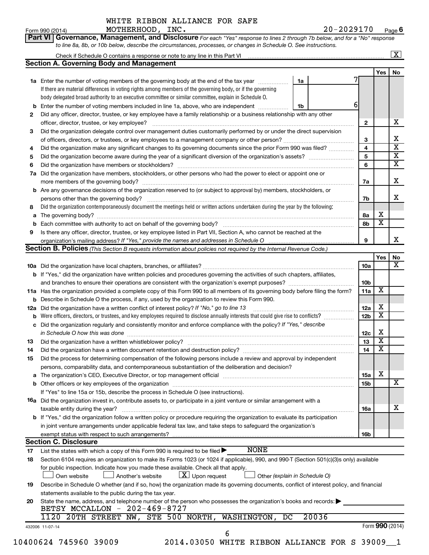**Part VI** Governance, Management, and Disclosure For each "Yes" response to lines 2 through 7b below, and for a "No" response *to line 8a, 8b, or 10b below, describe the circumstances, processes, or changes in Schedule O. See instructions.*

|     | Check if Schedule O contains a response or note to any line in this Part VI [11] [11] [11] Check if Schedule O contains a response or note to any line in this Part VI                                                        |    |       |                 |                         | $\mathbf{X}$            |  |
|-----|-------------------------------------------------------------------------------------------------------------------------------------------------------------------------------------------------------------------------------|----|-------|-----------------|-------------------------|-------------------------|--|
|     | Section A. Governing Body and Management                                                                                                                                                                                      |    |       |                 |                         |                         |  |
|     |                                                                                                                                                                                                                               |    |       |                 | Yes                     | No                      |  |
|     | <b>1a</b> Enter the number of voting members of the governing body at the end of the tax year                                                                                                                                 | 1a |       |                 |                         |                         |  |
|     | If there are material differences in voting rights among members of the governing body, or if the governing                                                                                                                   |    |       |                 |                         |                         |  |
|     | body delegated broad authority to an executive committee or similar committee, explain in Schedule O.                                                                                                                         |    |       |                 |                         |                         |  |
| b   | Enter the number of voting members included in line 1a, above, who are independent                                                                                                                                            | 1b |       |                 |                         |                         |  |
| 2   | Did any officer, director, trustee, or key employee have a family relationship or a business relationship with any other                                                                                                      |    |       |                 |                         |                         |  |
|     | officer, director, trustee, or key employee?                                                                                                                                                                                  |    |       | 2               |                         | х                       |  |
| 3   | Did the organization delegate control over management duties customarily performed by or under the direct supervision                                                                                                         |    |       |                 |                         |                         |  |
|     |                                                                                                                                                                                                                               |    |       | З               |                         | x                       |  |
| 4   | Did the organization make any significant changes to its governing documents since the prior Form 990 was filed?                                                                                                              |    |       | 4               |                         | $\overline{\mathtt{x}}$ |  |
| 5   |                                                                                                                                                                                                                               |    |       | 5               |                         | $\overline{\mathbf{X}}$ |  |
| 6   | Did the organization have members or stockholders?                                                                                                                                                                            |    |       | 6               |                         | $\overline{\mathbf{x}}$ |  |
| 7a  | Did the organization have members, stockholders, or other persons who had the power to elect or appoint one or                                                                                                                |    |       |                 |                         |                         |  |
|     | more members of the governing body?                                                                                                                                                                                           |    |       | 7а              |                         | X                       |  |
|     | <b>b</b> Are any governance decisions of the organization reserved to (or subject to approval by) members, stockholders, or                                                                                                   |    |       |                 |                         |                         |  |
|     | persons other than the governing body?                                                                                                                                                                                        |    |       | 7b              |                         | x                       |  |
| 8   | Did the organization contemporaneously document the meetings held or written actions undertaken during the year by the following:                                                                                             |    |       |                 |                         |                         |  |
| a   | The governing body?                                                                                                                                                                                                           |    |       | 8а              | x                       |                         |  |
| b   |                                                                                                                                                                                                                               |    |       | 8b              | $\overline{\textbf{x}}$ |                         |  |
| 9   | Is there any officer, director, trustee, or key employee listed in Part VII, Section A, who cannot be reached at the                                                                                                          |    |       |                 |                         |                         |  |
|     |                                                                                                                                                                                                                               |    |       | 9               |                         | x                       |  |
|     | <b>Section B. Policies</b> (This Section B requests information about policies not required by the Internal Revenue Code.)                                                                                                    |    |       |                 |                         |                         |  |
|     |                                                                                                                                                                                                                               |    |       |                 | Yes                     | No                      |  |
|     |                                                                                                                                                                                                                               |    |       | 10a             |                         | $\overline{\mathbf{x}}$ |  |
|     | <b>b</b> If "Yes," did the organization have written policies and procedures governing the activities of such chapters, affiliates,                                                                                           |    |       |                 |                         |                         |  |
|     |                                                                                                                                                                                                                               |    |       | 10 <sub>b</sub> |                         |                         |  |
|     | 11a Has the organization provided a complete copy of this Form 990 to all members of its governing body before filing the form?                                                                                               |    |       | 11a             | $\overline{\mathbf{X}}$ |                         |  |
| b   | Describe in Schedule O the process, if any, used by the organization to review this Form 990.                                                                                                                                 |    |       |                 |                         |                         |  |
| 12a | Did the organization have a written conflict of interest policy? If "No," go to line 13                                                                                                                                       |    |       | 12a             | X                       |                         |  |
|     | Were officers, directors, or trustees, and key employees required to disclose annually interests that could give rise to conflicts?<br>b                                                                                      |    |       |                 |                         |                         |  |
| с   | Did the organization regularly and consistently monitor and enforce compliance with the policy? If "Yes," describe                                                                                                            |    |       |                 |                         |                         |  |
|     | in Schedule O how this was done                                                                                                                                                                                               |    |       | 12c             | X                       |                         |  |
| 13  | Did the organization have a written whistleblower policy?                                                                                                                                                                     |    |       | 13              | $\overline{\mathbf{X}}$ |                         |  |
| 14  |                                                                                                                                                                                                                               |    |       | 14              | $\overline{\mathbf{X}}$ |                         |  |
| 15  | Did the process for determining compensation of the following persons include a review and approval by independent                                                                                                            |    |       |                 |                         |                         |  |
|     | persons, comparability data, and contemporaneous substantiation of the deliberation and decision?                                                                                                                             |    |       |                 |                         |                         |  |
| а   | The organization's CEO, Executive Director, or top management official manufactured content of the organization's CEO, Executive Director, or top management official manufactured content of the organization's CEO, and the |    |       | 15a             | X                       |                         |  |
| b   | Other officers or key employees of the organization                                                                                                                                                                           |    |       | 15b             |                         | x                       |  |
|     | If "Yes" to line 15a or 15b, describe the process in Schedule O (see instructions).                                                                                                                                           |    |       |                 |                         |                         |  |
|     | <b>16a</b> Did the organization invest in, contribute assets to, or participate in a joint venture or similar arrangement with a                                                                                              |    |       |                 |                         |                         |  |
|     | taxable entity during the year?                                                                                                                                                                                               |    |       | 16a             |                         | х                       |  |
|     | b If "Yes," did the organization follow a written policy or procedure requiring the organization to evaluate its participation                                                                                                |    |       |                 |                         |                         |  |
|     | in joint venture arrangements under applicable federal tax law, and take steps to safeguard the organization's                                                                                                                |    |       |                 |                         |                         |  |
|     | exempt status with respect to such arrangements?                                                                                                                                                                              |    |       | 16b             |                         |                         |  |
|     | <b>Section C. Disclosure</b>                                                                                                                                                                                                  |    |       |                 |                         |                         |  |
| 17  | <b>NONE</b><br>List the states with which a copy of this Form 990 is required to be filed $\blacktriangleright$                                                                                                               |    |       |                 |                         |                         |  |
| 18  | Section 6104 requires an organization to make its Forms 1023 (or 1024 if applicable), 990, and 990-T (Section 501(c)(3)s only) available                                                                                      |    |       |                 |                         |                         |  |
|     | for public inspection. Indicate how you made these available. Check all that apply.                                                                                                                                           |    |       |                 |                         |                         |  |
|     | $\lfloor x \rfloor$ Upon request<br>Another's website<br>Other (explain in Schedule O)<br>Own website                                                                                                                         |    |       |                 |                         |                         |  |
| 19  | Describe in Schedule O whether (and if so, how) the organization made its governing documents, conflict of interest policy, and financial                                                                                     |    |       |                 |                         |                         |  |
|     | statements available to the public during the tax year.                                                                                                                                                                       |    |       |                 |                         |                         |  |
|     |                                                                                                                                                                                                                               |    |       |                 |                         |                         |  |
| 20  | State the name, address, and telephone number of the person who possesses the organization's books and records:<br>BETSY MCCALLON - 202-469-8727                                                                              |    |       |                 |                         |                         |  |
|     | 1120 20TH STREET NW,<br>STE 500 NORTH,<br>WASHINGTON,<br>DC                                                                                                                                                                   |    | 20036 |                 |                         |                         |  |
|     |                                                                                                                                                                                                                               |    |       |                 |                         | Form 990 (2014)         |  |
|     | 432006 11-07-14<br>6                                                                                                                                                                                                          |    |       |                 |                         |                         |  |
|     |                                                                                                                                                                                                                               |    |       |                 |                         |                         |  |

<sup>10400624 745960 39009 2014.03050</sup> WHITE RIBBON ALLIANCE FOR S 39009\_\_1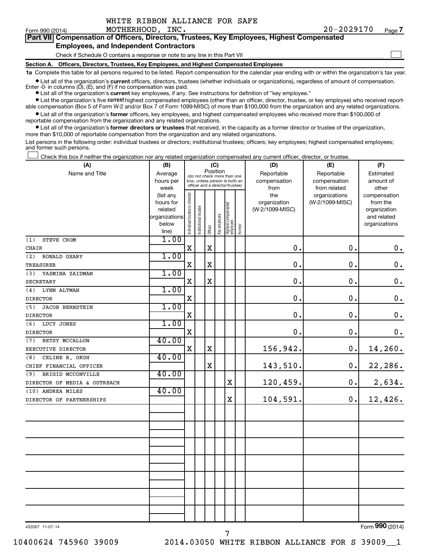|  | WHITE RIBBON ALLIANCE FOR SAFE |  |
|--|--------------------------------|--|
|  |                                |  |

 $\Box$ 

|  | Part VII Compensation of Officers, Directors, Trustees, Key Employees, Highest Compensated |  |
|--|--------------------------------------------------------------------------------------------|--|
|  | <b>Employees, and Independent Contractors</b>                                              |  |

### Check if Schedule O contains a response or note to any line in this Part VII

**Section A. Officers, Directors, Trustees, Key Employees, and Highest Compensated Employees**

**1a**  Complete this table for all persons required to be listed. Report compensation for the calendar year ending with or within the organization's tax year.

**•** List all of the organization's current officers, directors, trustees (whether individuals or organizations), regardless of amount of compensation.

**•** List all of the organization's **current** key employees, if any. See instructions for definition of "key employee." Enter -0- in columns  $(D)$ ,  $(E)$ , and  $(F)$  if no compensation was paid.

**•** List the organization's five current highest compensated employees (other than an officer, director, trustee, or key employee) who received reportable compensation (Box 5 of Form W-2 and/or Box 7 of Form 1099-MISC) of more than \$100,000 from the organization and any related organizations.

**•** List all of the organization's former officers, key employees, and highest compensated employees who received more than \$100,000 of reportable compensation from the organization and any related organizations.

**•** List all of the organization's former directors or trustees that received, in the capacity as a former director or trustee of the organization, more than \$10,000 of reportable compensation from the organization and any related organizations.

List persons in the following order: individual trustees or directors; institutional trustees; officers; key employees; highest compensated employees; and former such persons.

|  |  |  | Check this box if neither the organization nor any related organization compensated any current officer, director, or trustee. |  |  |
|--|--|--|--------------------------------------------------------------------------------------------------------------------------------|--|--|
|  |  |  |                                                                                                                                |  |  |

| (A)                           | (B)                    | (C)                            |                                 |             |                                         |                                 |        | (D)             | (E)             | (F)                          |  |  |  |  |
|-------------------------------|------------------------|--------------------------------|---------------------------------|-------------|-----------------------------------------|---------------------------------|--------|-----------------|-----------------|------------------------------|--|--|--|--|
| Name and Title                | Average                |                                |                                 |             | Position<br>(do not check more than one |                                 |        | Reportable      | Reportable      | Estimated                    |  |  |  |  |
|                               | hours per              |                                | box, unless person is both an   |             |                                         |                                 |        | compensation    | compensation    | amount of                    |  |  |  |  |
|                               | week                   |                                | officer and a director/trustee) |             |                                         |                                 |        | from            | from related    | other                        |  |  |  |  |
|                               | (list any              |                                |                                 |             |                                         |                                 |        | the             | organizations   | compensation                 |  |  |  |  |
|                               | hours for              |                                |                                 |             |                                         |                                 |        | organization    | (W-2/1099-MISC) | from the                     |  |  |  |  |
|                               | related                |                                |                                 |             |                                         |                                 |        | (W-2/1099-MISC) |                 | organization                 |  |  |  |  |
|                               | organizations<br>below |                                |                                 |             |                                         |                                 |        |                 |                 | and related<br>organizations |  |  |  |  |
|                               | line)                  | Individual trustee or director | Institutional trustee           | Officer     | Key employee                            | Highest compensated<br>employee | Former |                 |                 |                              |  |  |  |  |
| (1)<br>STEVE CROM             | 1.00                   |                                |                                 |             |                                         |                                 |        |                 |                 |                              |  |  |  |  |
| CHAIR                         |                        | $\mathbf X$                    |                                 | $\mathbf X$ |                                         |                                 |        | 0.              | 0.              | $\mathbf 0$ .                |  |  |  |  |
| (2)<br>RONALD GEARY           | 1.00                   |                                |                                 |             |                                         |                                 |        |                 |                 |                              |  |  |  |  |
| <b>TREASURER</b>              |                        | $\mathbf X$                    |                                 | $\mathbf X$ |                                         |                                 |        | $\mathbf 0$ .   | 0.              | $\mathbf 0$ .                |  |  |  |  |
| YASMINA ZAIDMAN<br>(3)        | 1.00                   |                                |                                 |             |                                         |                                 |        |                 |                 |                              |  |  |  |  |
| <b>SECRETARY</b>              |                        | X                              |                                 | $\mathbf X$ |                                         |                                 |        | $\mathbf 0$ .   | $\mathbf 0$ .   | $\mathbf 0$ .                |  |  |  |  |
| (4)<br>LYNN ALTMAN            | 1.00                   |                                |                                 |             |                                         |                                 |        |                 |                 |                              |  |  |  |  |
| <b>DIRECTOR</b>               |                        | $\mathbf X$                    |                                 |             |                                         |                                 |        | $\mathbf 0$ .   | $\mathbf 0$ .   | $\boldsymbol{0}$ .           |  |  |  |  |
| <b>JACOB BERNSTEIN</b><br>(5) | 1.00                   |                                |                                 |             |                                         |                                 |        |                 |                 |                              |  |  |  |  |
| <b>DIRECTOR</b>               |                        | X                              |                                 |             |                                         |                                 |        | 0.              | О.              | $\boldsymbol{0}$ .           |  |  |  |  |
| LUCY JONES<br>(6)             | 1.00                   |                                |                                 |             |                                         |                                 |        |                 |                 |                              |  |  |  |  |
| <b>DIRECTOR</b>               |                        | X                              |                                 |             |                                         |                                 |        | 0.              | $\mathbf 0$ .   | $\mathbf 0$ .                |  |  |  |  |
| (7)<br>BETSY MCCALLON         | 40.00                  |                                |                                 |             |                                         |                                 |        |                 |                 |                              |  |  |  |  |
| EXECUTIVE DIRECTOR            |                        | $\mathbf X$                    |                                 | $\mathbf X$ |                                         |                                 |        | 156,942.        | $\mathbf 0$ .   | 14,260.                      |  |  |  |  |
| CELINE B. OKOH<br>(8)         | 40.00                  |                                |                                 |             |                                         |                                 |        |                 |                 |                              |  |  |  |  |
| CHIEF FINANCIAL OFFICER       |                        |                                |                                 | $\mathbf X$ |                                         |                                 |        | 143,510.        | 0.              | 22,286.                      |  |  |  |  |
| (9)<br>BRIGID MCCONVILLE      | 40.00                  |                                |                                 |             |                                         |                                 |        |                 |                 |                              |  |  |  |  |
| DIRECTOR OF MEDIA & OUTREACH  |                        |                                |                                 |             |                                         | $\mathbf X$                     |        | 120,459.        | 0.              | 2,634.                       |  |  |  |  |
| (10) ANDREA MILES             | 40.00                  |                                |                                 |             |                                         |                                 |        |                 |                 |                              |  |  |  |  |
| DIRECTOR OF PARTNERSHIPS      |                        |                                |                                 |             |                                         | $\mathbf x$                     |        | 104,591         | $\mathbf 0$ .   | 12,426.                      |  |  |  |  |
|                               |                        |                                |                                 |             |                                         |                                 |        |                 |                 |                              |  |  |  |  |
|                               |                        |                                |                                 |             |                                         |                                 |        |                 |                 |                              |  |  |  |  |
|                               |                        |                                |                                 |             |                                         |                                 |        |                 |                 |                              |  |  |  |  |
|                               |                        |                                |                                 |             |                                         |                                 |        |                 |                 |                              |  |  |  |  |
|                               |                        |                                |                                 |             |                                         |                                 |        |                 |                 |                              |  |  |  |  |
|                               |                        |                                |                                 |             |                                         |                                 |        |                 |                 |                              |  |  |  |  |
|                               |                        |                                |                                 |             |                                         |                                 |        |                 |                 |                              |  |  |  |  |
|                               |                        |                                |                                 |             |                                         |                                 |        |                 |                 |                              |  |  |  |  |
|                               |                        |                                |                                 |             |                                         |                                 |        |                 |                 |                              |  |  |  |  |
|                               |                        |                                |                                 |             |                                         |                                 |        |                 |                 |                              |  |  |  |  |
|                               |                        |                                |                                 |             |                                         |                                 |        |                 |                 |                              |  |  |  |  |
|                               |                        |                                |                                 |             |                                         |                                 |        |                 |                 |                              |  |  |  |  |
|                               |                        |                                |                                 |             |                                         |                                 |        |                 |                 |                              |  |  |  |  |

432007 11-07-14

Form (2014) **990**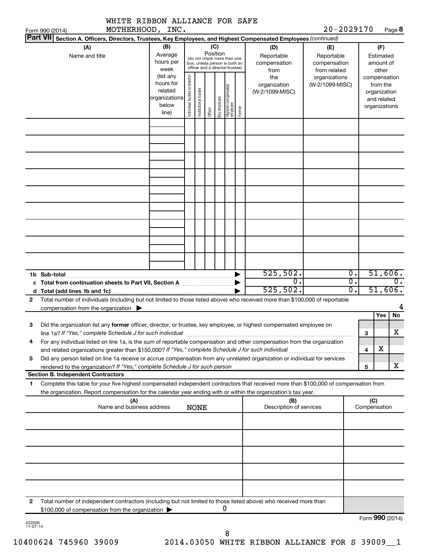|                    | WHITE RIBBON ALLIANCE FOR SAFE                                                                                                                                                                                                                         |                                                                      |                                |                       |                 |              |                                                                                                 |        |                                           |                                                   |                                                                                   |                     |                               |                             |
|--------------------|--------------------------------------------------------------------------------------------------------------------------------------------------------------------------------------------------------------------------------------------------------|----------------------------------------------------------------------|--------------------------------|-----------------------|-----------------|--------------|-------------------------------------------------------------------------------------------------|--------|-------------------------------------------|---------------------------------------------------|-----------------------------------------------------------------------------------|---------------------|-------------------------------|-----------------------------|
|                    | MOTHERHOOD, INC.<br>Form 990 (2014)<br>Part VII Section A. Officers, Directors, Trustees, Key Employees, and Highest Compensated Employees (continued)                                                                                                 |                                                                      |                                |                       |                 |              |                                                                                                 |        |                                           | $20 - 2029170$                                    |                                                                                   |                     |                               | Page 8                      |
|                    | (A)<br>Name and title                                                                                                                                                                                                                                  | (B)<br>Average<br>hours per<br>week                                  |                                |                       | (C)<br>Position |              | (do not check more than one<br>box, unless person is both an<br>officer and a director/trustee) |        | (D)<br>Reportable<br>compensation<br>from | (E)<br>Reportable<br>compensation<br>from related |                                                                                   |                     | (F)<br>Estimated<br>amount of |                             |
|                    |                                                                                                                                                                                                                                                        | (list any<br>hours for<br>related<br>organizations<br>below<br>line) | Individual trustee or director | Institutional trustee | Officer         | Key employee | Highest compensated<br>employee                                                                 | Former | the<br>organization<br>(W-2/1099-MISC)    | organizations<br>(W-2/1099-MISC)                  | other<br>compensation<br>from the<br>organization<br>and related<br>organizations |                     |                               |                             |
|                    |                                                                                                                                                                                                                                                        |                                                                      |                                |                       |                 |              |                                                                                                 |        |                                           |                                                   |                                                                                   |                     |                               |                             |
|                    |                                                                                                                                                                                                                                                        |                                                                      |                                |                       |                 |              |                                                                                                 |        |                                           |                                                   |                                                                                   |                     |                               |                             |
|                    |                                                                                                                                                                                                                                                        |                                                                      |                                |                       |                 |              |                                                                                                 |        |                                           |                                                   |                                                                                   |                     |                               |                             |
|                    |                                                                                                                                                                                                                                                        |                                                                      |                                |                       |                 |              |                                                                                                 |        |                                           |                                                   |                                                                                   |                     |                               |                             |
| $\mathbf{2}$       | 1b Sub-total<br>Total number of individuals (including but not limited to those listed above) who received more than \$100,000 of reportable                                                                                                           |                                                                      |                                |                       |                 |              |                                                                                                 |        | 525,502.<br>$\overline{0}$ .<br>525, 502. |                                                   | $\overline{0}$ .<br>$\overline{0}$ .<br>σ.                                        |                     |                               | 51,606.<br>$0$ .<br>51,606. |
|                    | compensation from the organization $\blacktriangleright$                                                                                                                                                                                               |                                                                      |                                |                       |                 |              |                                                                                                 |        |                                           |                                                   |                                                                                   |                     |                               | 4                           |
| З                  | Did the organization list any former officer, director, or trustee, key employee, or highest compensated employee on<br>line 1a? If "Yes," complete Schedule J for such individual                                                                     |                                                                      |                                |                       |                 |              |                                                                                                 |        |                                           |                                                   |                                                                                   | З                   | Yes                           | No<br>X                     |
| 4<br>5             | For any individual listed on line 1a, is the sum of reportable compensation and other compensation from the organization<br>Did any person listed on line 1a receive or accrue compensation from any unrelated organization or individual for services |                                                                      |                                |                       |                 |              |                                                                                                 |        |                                           |                                                   |                                                                                   | 4                   | х                             |                             |
|                    | rendered to the organization? If "Yes," complete Schedule J for such person manufaction contains and contained<br><b>Section B. Independent Contractors</b>                                                                                            |                                                                      |                                |                       |                 |              |                                                                                                 |        |                                           |                                                   |                                                                                   | 5                   |                               | x                           |
| 1                  | Complete this table for your five highest compensated independent contractors that received more than \$100,000 of compensation from<br>the organization. Report compensation for the calendar year ending with or within the organization's tax year. |                                                                      |                                |                       |                 |              |                                                                                                 |        |                                           |                                                   |                                                                                   |                     |                               |                             |
|                    | (A)<br>Name and business address                                                                                                                                                                                                                       |                                                                      |                                | <b>NONE</b>           |                 |              |                                                                                                 |        | (B)<br>Description of services            |                                                   |                                                                                   | (C)<br>Compensation |                               |                             |
|                    |                                                                                                                                                                                                                                                        |                                                                      |                                |                       |                 |              |                                                                                                 |        |                                           |                                                   |                                                                                   |                     |                               |                             |
|                    |                                                                                                                                                                                                                                                        |                                                                      |                                |                       |                 |              |                                                                                                 |        |                                           |                                                   |                                                                                   |                     |                               |                             |
|                    |                                                                                                                                                                                                                                                        |                                                                      |                                |                       |                 |              |                                                                                                 |        |                                           |                                                   |                                                                                   |                     |                               |                             |
| 2                  | Total number of independent contractors (including but not limited to those listed above) who received more than                                                                                                                                       |                                                                      |                                |                       |                 |              |                                                                                                 |        |                                           |                                                   |                                                                                   |                     |                               |                             |
| 432008<br>11-07-14 | \$100,000 of compensation from the organization                                                                                                                                                                                                        |                                                                      |                                |                       |                 |              | 0                                                                                               |        |                                           |                                                   |                                                                                   | Form 990 (2014)     |                               |                             |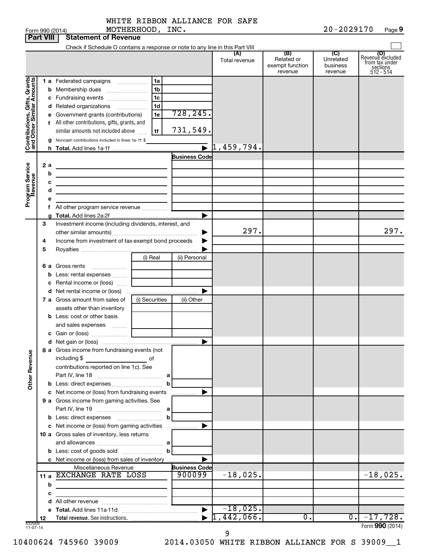|                              | <b>Part VIII</b> | <b>Statement of Revenue</b>                                                                                          |                                                  |                                |                      |                                                 |                                         |                                                                    |
|------------------------------|------------------|----------------------------------------------------------------------------------------------------------------------|--------------------------------------------------|--------------------------------|----------------------|-------------------------------------------------|-----------------------------------------|--------------------------------------------------------------------|
|                              |                  |                                                                                                                      |                                                  |                                |                      |                                                 |                                         |                                                                    |
|                              |                  |                                                                                                                      |                                                  |                                | (A)<br>Total revenue | (B)<br>Related or<br>exempt function<br>revenue | (C)<br>Unrelated<br>business<br>revenue | (D)<br>Revenue excluded<br>from tax under<br>sections<br>512 - 514 |
| Contributions, Gifts, Grants |                  | <b>1 a</b> Federated campaigns                                                                                       | 1a<br>.                                          |                                |                      |                                                 |                                         |                                                                    |
|                              | b                | Membership dues                                                                                                      | 1b                                               |                                |                      |                                                 |                                         |                                                                    |
|                              |                  | c Fundraising events                                                                                                 | 1 <sub>c</sub>                                   |                                |                      |                                                 |                                         |                                                                    |
|                              |                  | d Related organizations                                                                                              | 1 <sub>d</sub>                                   |                                |                      |                                                 |                                         |                                                                    |
|                              |                  | e Government grants (contributions)                                                                                  | 1e                                               | 728, 245.                      |                      |                                                 |                                         |                                                                    |
|                              |                  | f All other contributions, gifts, grants, and                                                                        |                                                  |                                |                      |                                                 |                                         |                                                                    |
|                              |                  | similar amounts not included above                                                                                   | 1f                                               | 731,549.                       |                      |                                                 |                                         |                                                                    |
|                              | a                | Noncash contributions included in lines 1a-1f: \$                                                                    |                                                  | $\overline{\bullet}$           | 1,459,794.           |                                                 |                                         |                                                                    |
|                              |                  |                                                                                                                      |                                                  |                                |                      |                                                 |                                         |                                                                    |
|                              |                  |                                                                                                                      |                                                  | <b>Business Code</b>           |                      |                                                 |                                         |                                                                    |
|                              | 2 a              |                                                                                                                      |                                                  |                                |                      |                                                 |                                         |                                                                    |
| Program Service<br>Revenue   | b                | <u> 1989 - Johann John Stein, markin fan it ferstjer fan it ferstjer fan it ferstjer fan it ferstjer fan it fers</u> |                                                  |                                |                      |                                                 |                                         |                                                                    |
|                              | с<br>d           | <u> 1989 - Johann Stein, markin fan it ferstjer fan de ferstjer fan it ferstjer fan it ferstjer fan it ferstjer</u>  |                                                  |                                |                      |                                                 |                                         |                                                                    |
|                              |                  | the contract of the contract of the contract of the contract of the contract of                                      |                                                  |                                |                      |                                                 |                                         |                                                                    |
|                              |                  |                                                                                                                      |                                                  |                                |                      |                                                 |                                         |                                                                    |
|                              |                  |                                                                                                                      |                                                  | ▶                              |                      |                                                 |                                         |                                                                    |
|                              | 3                | Investment income (including dividends, interest, and                                                                |                                                  |                                |                      |                                                 |                                         |                                                                    |
|                              |                  |                                                                                                                      |                                                  |                                | 297.                 |                                                 |                                         | 297.                                                               |
|                              | 4                | Income from investment of tax-exempt bond proceeds                                                                   |                                                  |                                |                      |                                                 |                                         |                                                                    |
|                              | 5                |                                                                                                                      |                                                  |                                |                      |                                                 |                                         |                                                                    |
|                              |                  |                                                                                                                      | (i) Real                                         | (ii) Personal                  |                      |                                                 |                                         |                                                                    |
|                              |                  | 6 a Gross rents                                                                                                      |                                                  |                                |                      |                                                 |                                         |                                                                    |
|                              | b                | Less: rental expenses                                                                                                |                                                  |                                |                      |                                                 |                                         |                                                                    |
|                              |                  | c Rental income or (loss)                                                                                            |                                                  |                                |                      |                                                 |                                         |                                                                    |
|                              |                  |                                                                                                                      |                                                  |                                |                      |                                                 |                                         |                                                                    |
|                              |                  | 7 a Gross amount from sales of                                                                                       | (i) Securities                                   | (ii) Other                     |                      |                                                 |                                         |                                                                    |
|                              |                  | assets other than inventory                                                                                          |                                                  |                                |                      |                                                 |                                         |                                                                    |
|                              |                  | <b>b</b> Less: cost or other basis                                                                                   |                                                  |                                |                      |                                                 |                                         |                                                                    |
|                              |                  | and sales expenses                                                                                                   |                                                  |                                |                      |                                                 |                                         |                                                                    |
|                              |                  |                                                                                                                      |                                                  |                                |                      |                                                 |                                         |                                                                    |
|                              |                  | 8 a Gross income from fundraising events (not                                                                        |                                                  |                                |                      |                                                 |                                         |                                                                    |
| <b>Other Revenue</b>         |                  | including \$                                                                                                         | of                                               |                                |                      |                                                 |                                         |                                                                    |
|                              |                  | contributions reported on line 1c). See                                                                              |                                                  |                                |                      |                                                 |                                         |                                                                    |
|                              |                  |                                                                                                                      |                                                  |                                |                      |                                                 |                                         |                                                                    |
|                              |                  |                                                                                                                      | b                                                |                                |                      |                                                 |                                         |                                                                    |
|                              |                  | c Net income or (loss) from fundraising events                                                                       |                                                  | .                              |                      |                                                 |                                         |                                                                    |
|                              |                  | 9 a Gross income from gaming activities. See                                                                         |                                                  |                                |                      |                                                 |                                         |                                                                    |
|                              |                  |                                                                                                                      |                                                  |                                |                      |                                                 |                                         |                                                                    |
|                              |                  |                                                                                                                      | b                                                |                                |                      |                                                 |                                         |                                                                    |
|                              |                  | c Net income or (loss) from gaming activities                                                                        |                                                  |                                |                      |                                                 |                                         |                                                                    |
|                              |                  | 10 a Gross sales of inventory, less returns                                                                          |                                                  |                                |                      |                                                 |                                         |                                                                    |
|                              |                  |                                                                                                                      |                                                  |                                |                      |                                                 |                                         |                                                                    |
|                              |                  |                                                                                                                      |                                                  |                                |                      |                                                 |                                         |                                                                    |
|                              |                  | c Net income or (loss) from sales of inventory                                                                       |                                                  |                                |                      |                                                 |                                         |                                                                    |
|                              |                  | Miscellaneous Revenue<br>11 a EXCHANGE RATE LOSS                                                                     |                                                  | <b>Business Code</b><br>900099 | $-18,025.$           |                                                 |                                         | $-18,025.$                                                         |
|                              | b                |                                                                                                                      |                                                  |                                |                      |                                                 |                                         |                                                                    |
|                              | с                | the control of the control of the control of the control of the control of                                           |                                                  |                                |                      |                                                 |                                         |                                                                    |
|                              | d                |                                                                                                                      | the control of the control of the control of the |                                |                      |                                                 |                                         |                                                                    |
|                              |                  |                                                                                                                      |                                                  |                                | $-18,025.$           |                                                 |                                         |                                                                    |
|                              | 12               |                                                                                                                      |                                                  |                                | $1,442,066$ .        | 0.                                              | $\overline{0}$ .                        | $-17,728.$                                                         |
| 432009<br>$11-07-14$         |                  |                                                                                                                      |                                                  |                                |                      |                                                 |                                         | Form 990 (2014)                                                    |

10400624 745960 39009 2014.03050 WHITE RIBBON ALLIANCE FOR S 39009\_\_1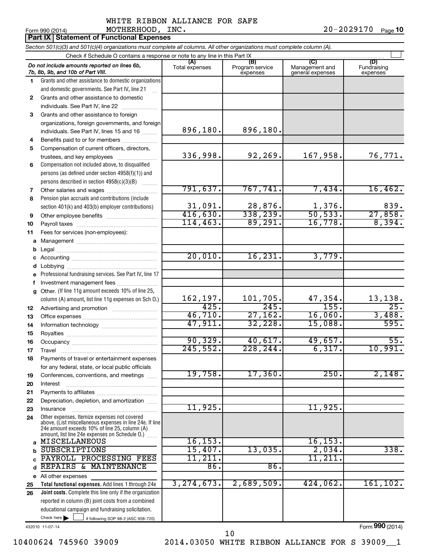# Form 990 (2014) Page MOTHERHOOD, INC. 20-2029170 WHITE RIBBON ALLIANCE FOR SAFE

|    | Part IX   Statement of Functional Expenses                                                                                                                |                         |                                    |                                           |                                |
|----|-----------------------------------------------------------------------------------------------------------------------------------------------------------|-------------------------|------------------------------------|-------------------------------------------|--------------------------------|
|    | Section 501(c)(3) and 501(c)(4) organizations must complete all columns. All other organizations must complete column (A).                                |                         |                                    |                                           |                                |
|    | Check if Schedule O contains a response or note to any line in this Part IX.                                                                              |                         |                                    |                                           |                                |
|    | Do not include amounts reported on lines 6b,<br>7b, 8b, 9b, and 10b of Part VIII.                                                                         | (A)<br>Total expenses   | (B)<br>Program service<br>expenses | (C)<br>Management and<br>general expenses | (D)<br>Fundraising<br>expenses |
| 1. | Grants and other assistance to domestic organizations                                                                                                     |                         |                                    |                                           |                                |
|    | and domestic governments. See Part IV, line 21                                                                                                            |                         |                                    |                                           |                                |
| 2  | Grants and other assistance to domestic                                                                                                                   |                         |                                    |                                           |                                |
|    | individuals. See Part IV, line 22                                                                                                                         |                         |                                    |                                           |                                |
| 3  | Grants and other assistance to foreign                                                                                                                    |                         |                                    |                                           |                                |
|    | organizations, foreign governments, and foreign                                                                                                           |                         |                                    |                                           |                                |
|    | individuals. See Part IV, lines 15 and 16                                                                                                                 | 896,180.                | 896,180.                           |                                           |                                |
| 4  | Benefits paid to or for members                                                                                                                           |                         |                                    |                                           |                                |
| 5  | Compensation of current officers, directors,                                                                                                              | 336,998.                | 92, 269.                           | 167,958.                                  |                                |
|    | trustees, and key employees                                                                                                                               |                         |                                    |                                           | 76,771.                        |
| 6  | Compensation not included above, to disqualified                                                                                                          |                         |                                    |                                           |                                |
|    | persons (as defined under section 4958(f)(1)) and<br>persons described in section 4958(c)(3)(B)                                                           |                         |                                    |                                           |                                |
| 7  | Other salaries and wages                                                                                                                                  | 791,637.                | 767,741.                           | 7,434.                                    | 16,462.                        |
| 8  | Pension plan accruals and contributions (include                                                                                                          |                         |                                    |                                           |                                |
|    | section 401(k) and 403(b) employer contributions)                                                                                                         | 31,091.                 | 28,876.                            |                                           | 839.                           |
| 9  | Other employee benefits                                                                                                                                   | 416,630.                | 338,239.                           | $\frac{1,376}{50,533}$ .                  | 27,858.                        |
| 10 |                                                                                                                                                           | 114, 463.               | 89,291.                            | 16,778.                                   | 8,394.                         |
| 11 | Fees for services (non-employees):                                                                                                                        |                         |                                    |                                           |                                |
| а  |                                                                                                                                                           |                         |                                    |                                           |                                |
| b  |                                                                                                                                                           |                         |                                    |                                           |                                |
| с  |                                                                                                                                                           | 20,010.                 | 16, 231.                           | 3,779.                                    |                                |
| d  |                                                                                                                                                           |                         |                                    |                                           |                                |
| e  | Professional fundraising services. See Part IV, line 17                                                                                                   |                         |                                    |                                           |                                |
| f  | Investment management fees                                                                                                                                |                         |                                    |                                           |                                |
| g  | Other. (If line 11g amount exceeds 10% of line 25,                                                                                                        |                         |                                    |                                           |                                |
|    | column (A) amount, list line 11g expenses on Sch O.)                                                                                                      | $\frac{162,197.}{425.}$ | 101,705.                           | $\frac{47,354}{155}$                      | 13,138.                        |
| 12 |                                                                                                                                                           |                         | 245.                               |                                           | $\overline{25}$ .              |
| 13 |                                                                                                                                                           | 46,710.                 | 27,162.                            | 16,060.                                   | 3,488.<br>595.                 |
| 14 |                                                                                                                                                           | 47,911.                 | 32,228.                            | 15,088.                                   |                                |
| 15 |                                                                                                                                                           | 90, 329.                | 40,617.                            | 49,657.                                   | 55.                            |
| 16 |                                                                                                                                                           | 245,552.                | 228, 244.                          | 6,317.                                    | 10,991.                        |
| 17 | Travel                                                                                                                                                    |                         |                                    |                                           |                                |
| 18 | Payments of travel or entertainment expenses<br>for any federal, state, or local public officials                                                         |                         |                                    |                                           |                                |
| 19 | Conferences, conventions, and meetings                                                                                                                    | 19,758.                 | 17,360.                            | 250.                                      | 2,148.                         |
| 20 | Interest                                                                                                                                                  |                         |                                    |                                           |                                |
| 21 |                                                                                                                                                           |                         |                                    |                                           |                                |
| 22 | Depreciation, depletion, and amortization                                                                                                                 |                         |                                    |                                           |                                |
| 23 | Insurance                                                                                                                                                 | 11,925.                 |                                    | 11,925.                                   |                                |
| 24 | Other expenses. Itemize expenses not covered<br>above. (List miscellaneous expenses in line 24e. If line<br>24e amount exceeds 10% of line 25, column (A) |                         |                                    |                                           |                                |
|    | amount, list line 24e expenses on Schedule O.)                                                                                                            | 16, 153.                |                                    |                                           |                                |
| a  | MISCELLANEOUS<br><b>SUBSCRIPTIONS</b>                                                                                                                     | 15,407.                 | 13,035.                            | 16, 153.<br>2,034.                        | 338.                           |
| b  | PAYROLL PROCESSING FEES                                                                                                                                   | 11,211.                 |                                    | 11,211.                                   |                                |
| C. | REPAIRS & MAINTENANCE                                                                                                                                     | 86.                     | 86.                                |                                           |                                |
| d  |                                                                                                                                                           |                         |                                    |                                           |                                |
| 25 | e All other expenses<br>Total functional expenses. Add lines 1 through 24e                                                                                | 3, 274, 673.            | 2,689,509.                         | 424,062.                                  | 161, 102.                      |
| 26 | Joint costs. Complete this line only if the organization                                                                                                  |                         |                                    |                                           |                                |
|    | reported in column (B) joint costs from a combined                                                                                                        |                         |                                    |                                           |                                |
|    | educational campaign and fundraising solicitation.                                                                                                        |                         |                                    |                                           |                                |
|    | Check here $\blacktriangleright$<br>if following SOP 98-2 (ASC 958-720)                                                                                   |                         |                                    |                                           |                                |

432010 11-07-14

Form (2014) **990**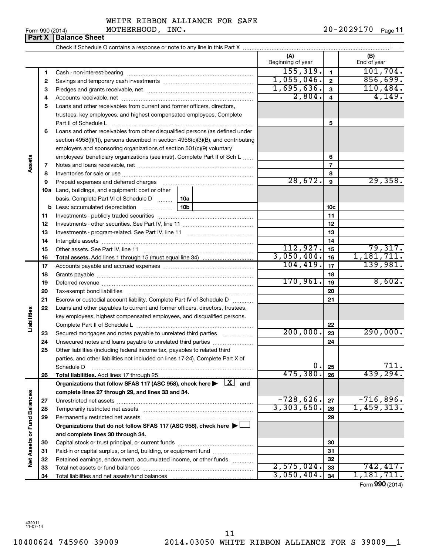| Form 990 (2014) |  |  |
|-----------------|--|--|
|                 |  |  |

# WHITE RIBBON ALLIANCE FOR SAFE

|                      | Part X   | <b>Balance Sheet</b>                                                                                                                                                                                                                                                                                                                                                                                                                                                        |                          |                |                       |
|----------------------|----------|-----------------------------------------------------------------------------------------------------------------------------------------------------------------------------------------------------------------------------------------------------------------------------------------------------------------------------------------------------------------------------------------------------------------------------------------------------------------------------|--------------------------|----------------|-----------------------|
|                      |          |                                                                                                                                                                                                                                                                                                                                                                                                                                                                             |                          |                |                       |
|                      |          |                                                                                                                                                                                                                                                                                                                                                                                                                                                                             | (A)<br>Beginning of year |                | (B)<br>End of year    |
|                      | 1        |                                                                                                                                                                                                                                                                                                                                                                                                                                                                             | 155, 319.                | $\mathbf{1}$   | 101, 704.             |
|                      | 2        |                                                                                                                                                                                                                                                                                                                                                                                                                                                                             | 1,055,046.               | $\overline{2}$ | 856,699.              |
|                      | З        |                                                                                                                                                                                                                                                                                                                                                                                                                                                                             | 1,695,636.               | 3              | 110,484.              |
|                      | 4        |                                                                                                                                                                                                                                                                                                                                                                                                                                                                             | 2,804.                   | 4              | 4,149.                |
|                      | 5        | Loans and other receivables from current and former officers, directors,                                                                                                                                                                                                                                                                                                                                                                                                    |                          |                |                       |
|                      |          | trustees, key employees, and highest compensated employees. Complete                                                                                                                                                                                                                                                                                                                                                                                                        |                          |                |                       |
|                      |          | Part II of Schedule L<br>$\begin{minipage}{0.5\textwidth} \begin{tabular}{ c c c c } \hline & \multicolumn{1}{ c }{0.5\textwidth} \begin{tabular}{ c c c } \hline & \multicolumn{1}{ c }{0.5\textwidth} \begin{tabular}{ c c c } \hline & \multicolumn{1}{ c }{0.5\textwidth} \begin{tabular}{ c c c } \hline & \multicolumn{1}{ c }{0.5\textwidth} \begin{tabular}{ c c c } \hline & \multicolumn{1}{ c }{0.5\textwidth} \begin{tabular}{ c c c } \hline & \multicolumn{1$ |                          | 5              |                       |
|                      | 6        | Loans and other receivables from other disqualified persons (as defined under                                                                                                                                                                                                                                                                                                                                                                                               |                          |                |                       |
|                      |          | section $4958(f)(1)$ , persons described in section $4958(c)(3)(B)$ , and contributing                                                                                                                                                                                                                                                                                                                                                                                      |                          |                |                       |
|                      |          | employers and sponsoring organizations of section 501(c)(9) voluntary                                                                                                                                                                                                                                                                                                                                                                                                       |                          |                |                       |
|                      |          | employees' beneficiary organizations (see instr). Complete Part II of Sch L                                                                                                                                                                                                                                                                                                                                                                                                 |                          | 6              |                       |
| Assets               | 7        |                                                                                                                                                                                                                                                                                                                                                                                                                                                                             |                          | 7              |                       |
|                      | 8        |                                                                                                                                                                                                                                                                                                                                                                                                                                                                             |                          | 8              |                       |
|                      | 9        |                                                                                                                                                                                                                                                                                                                                                                                                                                                                             | 28,672.                  | 9              | 29,358.               |
|                      |          | 10a Land, buildings, and equipment: cost or other                                                                                                                                                                                                                                                                                                                                                                                                                           |                          |                |                       |
|                      |          | basis. Complete Part VI of Schedule D<br>10a                                                                                                                                                                                                                                                                                                                                                                                                                                |                          |                |                       |
|                      |          | 10 <sub>b</sub><br><b>b</b> Less: accumulated depreciation <i>mimimimini</i> ng                                                                                                                                                                                                                                                                                                                                                                                             |                          | 10c            |                       |
|                      | 11       |                                                                                                                                                                                                                                                                                                                                                                                                                                                                             |                          | 11             |                       |
|                      | 12       |                                                                                                                                                                                                                                                                                                                                                                                                                                                                             |                          | 12             |                       |
|                      | 13       |                                                                                                                                                                                                                                                                                                                                                                                                                                                                             |                          | 13             |                       |
|                      | 14       |                                                                                                                                                                                                                                                                                                                                                                                                                                                                             |                          | 14             |                       |
|                      | 15       |                                                                                                                                                                                                                                                                                                                                                                                                                                                                             | 112,927.<br>3,050,404.   | 15             | 79,317.<br>1,181,711. |
|                      | 16       |                                                                                                                                                                                                                                                                                                                                                                                                                                                                             | 104, 419.                | 16             | 139,981.              |
|                      | 17       |                                                                                                                                                                                                                                                                                                                                                                                                                                                                             |                          | 17             |                       |
|                      | 18       |                                                                                                                                                                                                                                                                                                                                                                                                                                                                             | 170,961.                 | 18             | 8,602.                |
|                      | 19       |                                                                                                                                                                                                                                                                                                                                                                                                                                                                             |                          | 19             |                       |
|                      | 20       |                                                                                                                                                                                                                                                                                                                                                                                                                                                                             |                          | 20             |                       |
|                      | 21<br>22 | Escrow or custodial account liability. Complete Part IV of Schedule D                                                                                                                                                                                                                                                                                                                                                                                                       |                          | 21             |                       |
| Liabilities          |          | Loans and other payables to current and former officers, directors, trustees,<br>key employees, highest compensated employees, and disqualified persons.                                                                                                                                                                                                                                                                                                                    |                          |                |                       |
|                      |          |                                                                                                                                                                                                                                                                                                                                                                                                                                                                             |                          | 22             |                       |
|                      | 23       | Secured mortgages and notes payable to unrelated third parties                                                                                                                                                                                                                                                                                                                                                                                                              | 200,000.                 | 23             | 290,000.              |
|                      | 24       | Unsecured notes and loans payable to unrelated third parties                                                                                                                                                                                                                                                                                                                                                                                                                |                          | 24             |                       |
|                      | 25       | Other liabilities (including federal income tax, payables to related third                                                                                                                                                                                                                                                                                                                                                                                                  |                          |                |                       |
|                      |          | parties, and other liabilities not included on lines 17-24). Complete Part X of                                                                                                                                                                                                                                                                                                                                                                                             |                          |                |                       |
|                      |          | Schedule D                                                                                                                                                                                                                                                                                                                                                                                                                                                                  | 0.                       | 25             | 711.                  |
|                      | 26       | Total liabilities. Add lines 17 through 25                                                                                                                                                                                                                                                                                                                                                                                                                                  | 475,380.                 | 26             | 439,294.              |
|                      |          | Organizations that follow SFAS 117 (ASC 958), check here $\blacktriangleright \begin{array}{c} \boxed{X} \\ \end{array}$ and                                                                                                                                                                                                                                                                                                                                                |                          |                |                       |
|                      |          | complete lines 27 through 29, and lines 33 and 34.                                                                                                                                                                                                                                                                                                                                                                                                                          |                          |                |                       |
|                      | 27       |                                                                                                                                                                                                                                                                                                                                                                                                                                                                             | $-728,626.$              | 27             | $-716,896.$           |
|                      | 28       |                                                                                                                                                                                                                                                                                                                                                                                                                                                                             | 3,303,650.               | 28             | 1,459,313.            |
| <b>Fund Balances</b> | 29       | Permanently restricted net assets                                                                                                                                                                                                                                                                                                                                                                                                                                           |                          | 29             |                       |
|                      |          | Organizations that do not follow SFAS 117 (ASC 958), check here >                                                                                                                                                                                                                                                                                                                                                                                                           |                          |                |                       |
|                      |          | and complete lines 30 through 34.                                                                                                                                                                                                                                                                                                                                                                                                                                           |                          |                |                       |
|                      | 30       |                                                                                                                                                                                                                                                                                                                                                                                                                                                                             |                          | 30             |                       |
| Net Assets or        | 31       | Paid-in or capital surplus, or land, building, or equipment fund                                                                                                                                                                                                                                                                                                                                                                                                            |                          | 31             |                       |
|                      | 32       | Retained earnings, endowment, accumulated income, or other funds                                                                                                                                                                                                                                                                                                                                                                                                            |                          | 32             |                       |
|                      | 33       |                                                                                                                                                                                                                                                                                                                                                                                                                                                                             | 2,575,024.               | 33             | 742,417.              |
|                      | 34       |                                                                                                                                                                                                                                                                                                                                                                                                                                                                             | 3,050,404.               | 34             | 1,181,711             |

Form (2014) **990**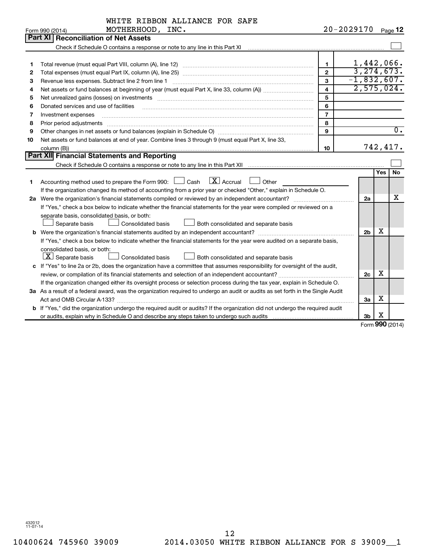|    | WHITE RIBBON ALLIANCE FOR SAFE<br>MOTHERHOOD, INC.                                                                                                                                                                             | 20-2029170 Page 12      |                |            |                  |
|----|--------------------------------------------------------------------------------------------------------------------------------------------------------------------------------------------------------------------------------|-------------------------|----------------|------------|------------------|
|    | Form 990 (2014)<br>Part XI Reconciliation of Net Assets                                                                                                                                                                        |                         |                |            |                  |
|    |                                                                                                                                                                                                                                |                         |                |            |                  |
|    |                                                                                                                                                                                                                                |                         |                |            |                  |
|    |                                                                                                                                                                                                                                | $\blacksquare$          | 1,442,066.     |            |                  |
| 2  |                                                                                                                                                                                                                                | $\overline{2}$          | 3,274,673.     |            |                  |
| З  | Revenue less expenses. Subtract line 2 from line 1                                                                                                                                                                             | 3                       | $-1,832,607.$  |            |                  |
| 4  |                                                                                                                                                                                                                                | $\overline{\mathbf{4}}$ | 2,575,024.     |            |                  |
| 5  | Net unrealized gains (losses) on investments [11] matter than the control of the state of the state of the state of the state of the state of the state of the state of the state of the state of the state of the state of th | 5                       |                |            |                  |
| 6  | Donated services and use of facilities                                                                                                                                                                                         | 6                       |                |            |                  |
| 7  | Investment expenses                                                                                                                                                                                                            | $\overline{7}$          |                |            |                  |
| 8  | Prior period adjustments                                                                                                                                                                                                       | 8                       |                |            |                  |
| 9  |                                                                                                                                                                                                                                | $\mathbf{Q}$            |                |            | $\overline{0}$ . |
| 10 | Net assets or fund balances at end of year. Combine lines 3 through 9 (must equal Part X, line 33,                                                                                                                             |                         |                |            |                  |
|    | column (B))                                                                                                                                                                                                                    | 10                      |                |            | 742,417.         |
|    | Part XII Financial Statements and Reporting                                                                                                                                                                                    |                         |                |            |                  |
|    |                                                                                                                                                                                                                                |                         |                |            |                  |
|    |                                                                                                                                                                                                                                |                         |                | <b>Yes</b> | <b>No</b>        |
| 1  | Accounting method used to prepare the Form 990: $\Box$ Cash $\Box$ Accrual $\Box$ Other                                                                                                                                        |                         |                |            |                  |
|    | If the organization changed its method of accounting from a prior year or checked "Other," explain in Schedule O.                                                                                                              |                         |                |            |                  |
|    |                                                                                                                                                                                                                                |                         | 2a             |            | x                |
|    | If "Yes," check a box below to indicate whether the financial statements for the year were compiled or reviewed on a                                                                                                           |                         |                |            |                  |
|    | separate basis, consolidated basis, or both:                                                                                                                                                                                   |                         |                |            |                  |
|    | Consolidated basis<br>Separate basis<br>Both consolidated and separate basis                                                                                                                                                   |                         |                |            |                  |
|    |                                                                                                                                                                                                                                |                         | 2 <sub>b</sub> | х          |                  |
|    | If "Yes," check a box below to indicate whether the financial statements for the year were audited on a separate basis,                                                                                                        |                         |                |            |                  |
|    | consolidated basis, or both:                                                                                                                                                                                                   |                         |                |            |                  |
|    | $ \mathbf{X} $ Separate basis<br>Both consolidated and separate basis<br>Consolidated basis                                                                                                                                    |                         |                |            |                  |
|    | c If "Yes" to line 2a or 2b, does the organization have a committee that assumes responsibility for oversight of the audit,                                                                                                    |                         |                |            |                  |
|    |                                                                                                                                                                                                                                |                         | 2c             | x          |                  |
|    | If the organization changed either its oversight process or selection process during the tax year, explain in Schedule O.                                                                                                      |                         |                |            |                  |
|    | 3a As a result of a federal award, was the organization required to undergo an audit or audits as set forth in the Single Audit                                                                                                |                         |                |            |                  |
|    |                                                                                                                                                                                                                                |                         | 3a             | х          |                  |
|    | b If "Yes," did the organization undergo the required audit or audits? If the organization did not undergo the required audit                                                                                                  |                         |                |            |                  |
|    |                                                                                                                                                                                                                                |                         | 3b             | х          |                  |

or audits, explain why in Schedule O and describe any steps taken to undergo such audits

Form (2014) **990**

**3b**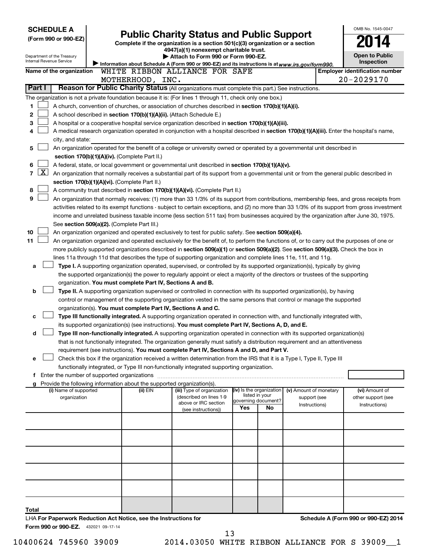| <b>SCHEDULE A</b>                                                        |                                             |                                               |                                                                                                                                                                                                                                  |                     |                                            |                               | OMB No. 1545-0047                     |
|--------------------------------------------------------------------------|---------------------------------------------|-----------------------------------------------|----------------------------------------------------------------------------------------------------------------------------------------------------------------------------------------------------------------------------------|---------------------|--------------------------------------------|-------------------------------|---------------------------------------|
| (Form 990 or 990-EZ)                                                     |                                             |                                               | <b>Public Charity Status and Public Support</b>                                                                                                                                                                                  |                     |                                            |                               |                                       |
|                                                                          |                                             |                                               | Complete if the organization is a section 501(c)(3) organization or a section<br>4947(a)(1) nonexempt charitable trust.                                                                                                          |                     |                                            |                               |                                       |
| Department of the Treasury                                               |                                             |                                               | Attach to Form 990 or Form 990-EZ.                                                                                                                                                                                               |                     |                                            |                               | <b>Open to Public</b>                 |
| Internal Revenue Service                                                 |                                             |                                               | Information about Schedule A (Form 990 or 990-EZ) and its instructions is at www.irs.gov/form990.                                                                                                                                |                     |                                            |                               | Inspection                            |
| Name of the organization                                                 |                                             |                                               | WHITE RIBBON ALLIANCE FOR SAFE                                                                                                                                                                                                   |                     |                                            |                               | <b>Employer identification number</b> |
|                                                                          |                                             | MOTHERHOOD, INC.                              |                                                                                                                                                                                                                                  |                     |                                            |                               | $20 - 2029170$                        |
| Part I                                                                   |                                             |                                               | Reason for Public Charity Status (All organizations must complete this part.) See instructions.                                                                                                                                  |                     |                                            |                               |                                       |
|                                                                          |                                             |                                               | The organization is not a private foundation because it is: (For lines 1 through 11, check only one box.)                                                                                                                        |                     |                                            |                               |                                       |
| 1                                                                        |                                             |                                               | A church, convention of churches, or association of churches described in section 170(b)(1)(A)(i).                                                                                                                               |                     |                                            |                               |                                       |
| 2                                                                        |                                             |                                               | A school described in section 170(b)(1)(A)(ii). (Attach Schedule E.)                                                                                                                                                             |                     |                                            |                               |                                       |
| 3                                                                        |                                             |                                               | A hospital or a cooperative hospital service organization described in section 170(b)(1)(A)(iii).                                                                                                                                |                     |                                            |                               |                                       |
| 4                                                                        |                                             |                                               | A medical research organization operated in conjunction with a hospital described in section 170(b)(1)(A)(iii). Enter the hospital's name,                                                                                       |                     |                                            |                               |                                       |
| city, and state:                                                         |                                             |                                               |                                                                                                                                                                                                                                  |                     |                                            |                               |                                       |
| 5                                                                        |                                             |                                               | An organization operated for the benefit of a college or university owned or operated by a governmental unit described in                                                                                                        |                     |                                            |                               |                                       |
|                                                                          |                                             | section 170(b)(1)(A)(iv). (Complete Part II.) |                                                                                                                                                                                                                                  |                     |                                            |                               |                                       |
| 6<br>$\overline{\text{X}}$<br>7                                          |                                             |                                               | A federal, state, or local government or governmental unit described in section 170(b)(1)(A)(v).                                                                                                                                 |                     |                                            |                               |                                       |
|                                                                          |                                             | section 170(b)(1)(A)(vi). (Complete Part II.) | An organization that normally receives a substantial part of its support from a governmental unit or from the general public described in                                                                                        |                     |                                            |                               |                                       |
| 8                                                                        |                                             |                                               | A community trust described in section 170(b)(1)(A)(vi). (Complete Part II.)                                                                                                                                                     |                     |                                            |                               |                                       |
| 9                                                                        |                                             |                                               | An organization that normally receives: (1) more than 33 1/3% of its support from contributions, membership fees, and gross receipts from                                                                                        |                     |                                            |                               |                                       |
|                                                                          |                                             |                                               | activities related to its exempt functions - subject to certain exceptions, and (2) no more than 33 1/3% of its support from gross investment                                                                                    |                     |                                            |                               |                                       |
|                                                                          |                                             |                                               | income and unrelated business taxable income (less section 511 tax) from businesses acquired by the organization after June 30, 1975.                                                                                            |                     |                                            |                               |                                       |
|                                                                          | See section 509(a)(2). (Complete Part III.) |                                               |                                                                                                                                                                                                                                  |                     |                                            |                               |                                       |
| 10                                                                       |                                             |                                               | An organization organized and operated exclusively to test for public safety. See section 509(a)(4).                                                                                                                             |                     |                                            |                               |                                       |
| 11                                                                       |                                             |                                               | An organization organized and operated exclusively for the benefit of, to perform the functions of, or to carry out the purposes of one or                                                                                       |                     |                                            |                               |                                       |
|                                                                          |                                             |                                               | more publicly supported organizations described in section 509(a)(1) or section 509(a)(2). See section 509(a)(3). Check the box in                                                                                               |                     |                                            |                               |                                       |
|                                                                          |                                             |                                               | lines 11a through 11d that describes the type of supporting organization and complete lines 11e, 11f, and 11g.                                                                                                                   |                     |                                            |                               |                                       |
| a                                                                        |                                             |                                               | Type I. A supporting organization operated, supervised, or controlled by its supported organization(s), typically by giving                                                                                                      |                     |                                            |                               |                                       |
|                                                                          |                                             |                                               | the supported organization(s) the power to regularly appoint or elect a majority of the directors or trustees of the supporting                                                                                                  |                     |                                            |                               |                                       |
|                                                                          |                                             |                                               | organization. You must complete Part IV, Sections A and B.                                                                                                                                                                       |                     |                                            |                               |                                       |
| b                                                                        |                                             |                                               | Type II. A supporting organization supervised or controlled in connection with its supported organization(s), by having                                                                                                          |                     |                                            |                               |                                       |
|                                                                          |                                             |                                               | control or management of the supporting organization vested in the same persons that control or manage the supported                                                                                                             |                     |                                            |                               |                                       |
|                                                                          |                                             |                                               | organization(s). You must complete Part IV, Sections A and C.                                                                                                                                                                    |                     |                                            |                               |                                       |
| с                                                                        |                                             |                                               | Type III functionally integrated. A supporting organization operated in connection with, and functionally integrated with,<br>its supported organization(s) (see instructions). You must complete Part IV, Sections A, D, and E. |                     |                                            |                               |                                       |
| d                                                                        |                                             |                                               | Type III non-functionally integrated. A supporting organization operated in connection with its supported organization(s)                                                                                                        |                     |                                            |                               |                                       |
|                                                                          |                                             |                                               | that is not functionally integrated. The organization generally must satisfy a distribution requirement and an attentiveness                                                                                                     |                     |                                            |                               |                                       |
|                                                                          |                                             |                                               | requirement (see instructions). You must complete Part IV, Sections A and D, and Part V.                                                                                                                                         |                     |                                            |                               |                                       |
| е                                                                        |                                             |                                               | Check this box if the organization received a written determination from the IRS that it is a Type I, Type II, Type III                                                                                                          |                     |                                            |                               |                                       |
|                                                                          |                                             |                                               | functionally integrated, or Type III non-functionally integrated supporting organization.                                                                                                                                        |                     |                                            |                               |                                       |
|                                                                          |                                             |                                               |                                                                                                                                                                                                                                  |                     |                                            |                               |                                       |
| g Provide the following information about the supported organization(s). |                                             |                                               |                                                                                                                                                                                                                                  |                     |                                            |                               |                                       |
| (i) Name of supported                                                    |                                             | (ii) EIN                                      | (iii) Type of organization                                                                                                                                                                                                       |                     | (iv) Is the organization<br>listed in your | (v) Amount of monetary        | (vi) Amount of                        |
| organization                                                             |                                             |                                               | (described on lines 1-9<br>above or IRC section                                                                                                                                                                                  | governing document? |                                            | support (see<br>Instructions) | other support (see<br>Instructions)   |
|                                                                          |                                             |                                               | (see instructions))                                                                                                                                                                                                              | Yes                 | No                                         |                               |                                       |
|                                                                          |                                             |                                               |                                                                                                                                                                                                                                  |                     |                                            |                               |                                       |
|                                                                          |                                             |                                               |                                                                                                                                                                                                                                  |                     |                                            |                               |                                       |
|                                                                          |                                             |                                               |                                                                                                                                                                                                                                  |                     |                                            |                               |                                       |
|                                                                          |                                             |                                               |                                                                                                                                                                                                                                  |                     |                                            |                               |                                       |
|                                                                          |                                             |                                               |                                                                                                                                                                                                                                  |                     |                                            |                               |                                       |
|                                                                          |                                             |                                               |                                                                                                                                                                                                                                  |                     |                                            |                               |                                       |
|                                                                          |                                             |                                               |                                                                                                                                                                                                                                  |                     |                                            |                               |                                       |
|                                                                          |                                             |                                               |                                                                                                                                                                                                                                  |                     |                                            |                               |                                       |
|                                                                          |                                             |                                               |                                                                                                                                                                                                                                  |                     |                                            |                               |                                       |
|                                                                          |                                             |                                               |                                                                                                                                                                                                                                  |                     |                                            |                               |                                       |
| Total                                                                    |                                             |                                               |                                                                                                                                                                                                                                  |                     |                                            |                               |                                       |
| LHA For Paperwork Reduction Act Notice, see the Instructions for         |                                             |                                               |                                                                                                                                                                                                                                  |                     |                                            |                               | Schedule A (Form 990 or 990-EZ) 2014  |
| Form 990 or 990-EZ. 432021 09-17-14                                      |                                             |                                               |                                                                                                                                                                                                                                  |                     |                                            |                               |                                       |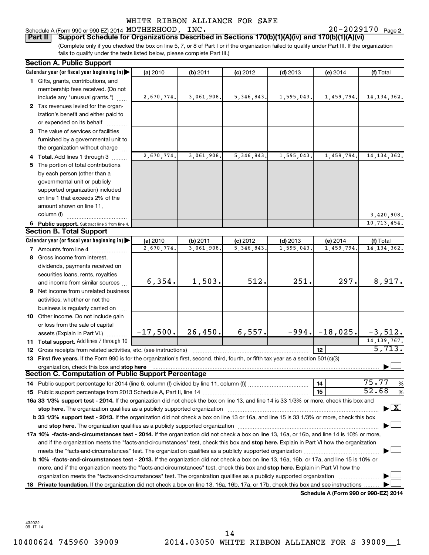# Schedule A (Form 990 or 990-EZ) 2014  $MOTHERHOOD$ , INC.  $20-2029170$  Page

20-2029170 Page 2

(Complete only if you checked the box on line 5, 7, or 8 of Part I or if the organization failed to qualify under Part III. If the organization fails to qualify under the tests listed below, please complete Part III.) **Part II Support Schedule for Organizations Described in Sections 170(b)(1)(A)(iv) and 170(b)(1)(A)(vi)**

| Calendar year (or fiscal year beginning in)<br>(f) Total<br>(a) 2010<br>(b) 2011<br>$(c)$ 2012<br>$(d)$ 2013<br>$(e)$ 2014<br>1 Gifts, grants, contributions, and<br>membership fees received. (Do not<br>3,061,908.<br>5, 346, 843.<br>1,595,043.<br>include any "unusual grants.")<br>2,670,774.<br>1,459,794.<br>14, 134, 362.<br>2 Tax revenues levied for the organ-<br>ization's benefit and either paid to<br>or expended on its behalf<br>3 The value of services or facilities<br>furnished by a governmental unit to<br>the organization without charge<br>2,670,774.<br>3,061,908.<br>5, 346, 843.<br>1,595,043.<br>1,459,794.<br>14, 134, 362.<br>4 Total. Add lines 1 through 3<br>5 The portion of total contributions<br>by each person (other than a<br>governmental unit or publicly<br>supported organization) included<br>on line 1 that exceeds 2% of the<br>amount shown on line 11,<br>column (f)<br>3,420,908.<br>10,713,454.<br>6 Public support. Subtract line 5 from line 4.<br><b>Section B. Total Support</b><br>Calendar year (or fiscal year beginning in)<br>(a) 2010<br>(b) 2011<br>$(c)$ 2012<br>$(d)$ 2013<br>(f) Total<br>$(e)$ 2014<br>2,670,774<br>3,061,908.<br>5, 346, 843<br>1,595,043<br>14, 134, 362.<br>1,459,794.<br>7 Amounts from line 4<br>Gross income from interest,<br>8<br>dividends, payments received on<br>securities loans, rents, royalties<br>251.<br>512.<br>6,354.<br>1,503.<br>297.<br>8,917.<br>and income from similar sources<br>9 Net income from unrelated business<br>activities, whether or not the<br>business is regularly carried on<br>10 Other income. Do not include gain<br>or loss from the sale of capital<br>$-17,500.$<br>26,450.<br>6,557.<br>$-994.$<br>$-18,025.$<br>$-3,512.$<br>assets (Explain in Part VI.)<br>14, 139, 767.<br>11 Total support. Add lines 7 through 10<br>5,713.<br>12<br><b>12</b> Gross receipts from related activities, etc. (see instructions)<br>13 First five years. If the Form 990 is for the organization's first, second, third, fourth, or fifth tax year as a section 501(c)(3)<br>organization, check this box and stop here<br><b>Section C. Computation of Public Support Percentage</b><br>75.77<br>14<br>%<br>52.68<br>15<br>%<br>16a 33 1/3% support test - 2014. If the organization did not check the box on line 13, and line 14 is 33 1/3% or more, check this box and<br>$\blacktriangleright$ $\mathbf{X}$<br>stop here. The organization qualifies as a publicly supported organization manufactured content and the content of the state of the state of the state of the state of the state of the state of the state of the state of the<br>b 33 1/3% support test - 2013. If the organization did not check a box on line 13 or 16a, and line 15 is 33 1/3% or more, check this box<br>17a 10% -facts-and-circumstances test - 2014. If the organization did not check a box on line 13, 16a, or 16b, and line 14 is 10% or more,<br>and if the organization meets the "facts-and-circumstances" test, check this box and stop here. Explain in Part VI how the organization<br>meets the "facts-and-circumstances" test. The organization qualifies as a publicly supported organization <i>manumumumum</i><br>b 10% -facts-and-circumstances test - 2013. If the organization did not check a box on line 13, 16a, 16b, or 17a, and line 15 is 10% or<br>more, and if the organization meets the "facts-and-circumstances" test, check this box and stop here. Explain in Part VI how the<br>organization meets the "facts-and-circumstances" test. The organization qualifies as a publicly supported organization<br>Private foundation. If the organization did not check a box on line 13, 16a, 16b, 17a, or 17b, check this box and see instructions<br>18<br>Schedule A (Form 990 or 990-EZ) 2014 | <b>Section A. Public Support</b> |  |  |  |
|-----------------------------------------------------------------------------------------------------------------------------------------------------------------------------------------------------------------------------------------------------------------------------------------------------------------------------------------------------------------------------------------------------------------------------------------------------------------------------------------------------------------------------------------------------------------------------------------------------------------------------------------------------------------------------------------------------------------------------------------------------------------------------------------------------------------------------------------------------------------------------------------------------------------------------------------------------------------------------------------------------------------------------------------------------------------------------------------------------------------------------------------------------------------------------------------------------------------------------------------------------------------------------------------------------------------------------------------------------------------------------------------------------------------------------------------------------------------------------------------------------------------------------------------------------------------------------------------------------------------------------------------------------------------------------------------------------------------------------------------------------------------------------------------------------------------------------------------------------------------------------------------------------------------------------------------------------------------------------------------------------------------------------------------------------------------------------------------------------------------------------------------------------------------------------------------------------------------------------------------------------------------------------------------------------------------------------------------------------------------------------------------------------------------------------------------------------------------------------------------------------------------------------------------------------------------------------------------------------------------------------------------------------------------------------------------------------------------------------------------------------------------------------------------------------------------------------------------------------------------------------------------------------------------------------------------------------------------------------------------------------------------------------------------------------------------------------------------------------------------------------------------------------------------------------------------------------------------------------------------------------------------------------------------------------------------------------------------------------------------------------------------------------------------------------------------------------------------------------------------------------------------------------------------------------------------------------------------------------------------------------------------------------------------------------------------------------------------------------------------------------------------------------------------------------------------------------------------------|----------------------------------|--|--|--|
|                                                                                                                                                                                                                                                                                                                                                                                                                                                                                                                                                                                                                                                                                                                                                                                                                                                                                                                                                                                                                                                                                                                                                                                                                                                                                                                                                                                                                                                                                                                                                                                                                                                                                                                                                                                                                                                                                                                                                                                                                                                                                                                                                                                                                                                                                                                                                                                                                                                                                                                                                                                                                                                                                                                                                                                                                                                                                                                                                                                                                                                                                                                                                                                                                                                                                                                                                                                                                                                                                                                                                                                                                                                                                                                                                                                                                                               |                                  |  |  |  |
|                                                                                                                                                                                                                                                                                                                                                                                                                                                                                                                                                                                                                                                                                                                                                                                                                                                                                                                                                                                                                                                                                                                                                                                                                                                                                                                                                                                                                                                                                                                                                                                                                                                                                                                                                                                                                                                                                                                                                                                                                                                                                                                                                                                                                                                                                                                                                                                                                                                                                                                                                                                                                                                                                                                                                                                                                                                                                                                                                                                                                                                                                                                                                                                                                                                                                                                                                                                                                                                                                                                                                                                                                                                                                                                                                                                                                                               |                                  |  |  |  |
|                                                                                                                                                                                                                                                                                                                                                                                                                                                                                                                                                                                                                                                                                                                                                                                                                                                                                                                                                                                                                                                                                                                                                                                                                                                                                                                                                                                                                                                                                                                                                                                                                                                                                                                                                                                                                                                                                                                                                                                                                                                                                                                                                                                                                                                                                                                                                                                                                                                                                                                                                                                                                                                                                                                                                                                                                                                                                                                                                                                                                                                                                                                                                                                                                                                                                                                                                                                                                                                                                                                                                                                                                                                                                                                                                                                                                                               |                                  |  |  |  |
|                                                                                                                                                                                                                                                                                                                                                                                                                                                                                                                                                                                                                                                                                                                                                                                                                                                                                                                                                                                                                                                                                                                                                                                                                                                                                                                                                                                                                                                                                                                                                                                                                                                                                                                                                                                                                                                                                                                                                                                                                                                                                                                                                                                                                                                                                                                                                                                                                                                                                                                                                                                                                                                                                                                                                                                                                                                                                                                                                                                                                                                                                                                                                                                                                                                                                                                                                                                                                                                                                                                                                                                                                                                                                                                                                                                                                                               |                                  |  |  |  |
|                                                                                                                                                                                                                                                                                                                                                                                                                                                                                                                                                                                                                                                                                                                                                                                                                                                                                                                                                                                                                                                                                                                                                                                                                                                                                                                                                                                                                                                                                                                                                                                                                                                                                                                                                                                                                                                                                                                                                                                                                                                                                                                                                                                                                                                                                                                                                                                                                                                                                                                                                                                                                                                                                                                                                                                                                                                                                                                                                                                                                                                                                                                                                                                                                                                                                                                                                                                                                                                                                                                                                                                                                                                                                                                                                                                                                                               |                                  |  |  |  |
|                                                                                                                                                                                                                                                                                                                                                                                                                                                                                                                                                                                                                                                                                                                                                                                                                                                                                                                                                                                                                                                                                                                                                                                                                                                                                                                                                                                                                                                                                                                                                                                                                                                                                                                                                                                                                                                                                                                                                                                                                                                                                                                                                                                                                                                                                                                                                                                                                                                                                                                                                                                                                                                                                                                                                                                                                                                                                                                                                                                                                                                                                                                                                                                                                                                                                                                                                                                                                                                                                                                                                                                                                                                                                                                                                                                                                                               |                                  |  |  |  |
|                                                                                                                                                                                                                                                                                                                                                                                                                                                                                                                                                                                                                                                                                                                                                                                                                                                                                                                                                                                                                                                                                                                                                                                                                                                                                                                                                                                                                                                                                                                                                                                                                                                                                                                                                                                                                                                                                                                                                                                                                                                                                                                                                                                                                                                                                                                                                                                                                                                                                                                                                                                                                                                                                                                                                                                                                                                                                                                                                                                                                                                                                                                                                                                                                                                                                                                                                                                                                                                                                                                                                                                                                                                                                                                                                                                                                                               |                                  |  |  |  |
|                                                                                                                                                                                                                                                                                                                                                                                                                                                                                                                                                                                                                                                                                                                                                                                                                                                                                                                                                                                                                                                                                                                                                                                                                                                                                                                                                                                                                                                                                                                                                                                                                                                                                                                                                                                                                                                                                                                                                                                                                                                                                                                                                                                                                                                                                                                                                                                                                                                                                                                                                                                                                                                                                                                                                                                                                                                                                                                                                                                                                                                                                                                                                                                                                                                                                                                                                                                                                                                                                                                                                                                                                                                                                                                                                                                                                                               |                                  |  |  |  |
|                                                                                                                                                                                                                                                                                                                                                                                                                                                                                                                                                                                                                                                                                                                                                                                                                                                                                                                                                                                                                                                                                                                                                                                                                                                                                                                                                                                                                                                                                                                                                                                                                                                                                                                                                                                                                                                                                                                                                                                                                                                                                                                                                                                                                                                                                                                                                                                                                                                                                                                                                                                                                                                                                                                                                                                                                                                                                                                                                                                                                                                                                                                                                                                                                                                                                                                                                                                                                                                                                                                                                                                                                                                                                                                                                                                                                                               |                                  |  |  |  |
|                                                                                                                                                                                                                                                                                                                                                                                                                                                                                                                                                                                                                                                                                                                                                                                                                                                                                                                                                                                                                                                                                                                                                                                                                                                                                                                                                                                                                                                                                                                                                                                                                                                                                                                                                                                                                                                                                                                                                                                                                                                                                                                                                                                                                                                                                                                                                                                                                                                                                                                                                                                                                                                                                                                                                                                                                                                                                                                                                                                                                                                                                                                                                                                                                                                                                                                                                                                                                                                                                                                                                                                                                                                                                                                                                                                                                                               |                                  |  |  |  |
|                                                                                                                                                                                                                                                                                                                                                                                                                                                                                                                                                                                                                                                                                                                                                                                                                                                                                                                                                                                                                                                                                                                                                                                                                                                                                                                                                                                                                                                                                                                                                                                                                                                                                                                                                                                                                                                                                                                                                                                                                                                                                                                                                                                                                                                                                                                                                                                                                                                                                                                                                                                                                                                                                                                                                                                                                                                                                                                                                                                                                                                                                                                                                                                                                                                                                                                                                                                                                                                                                                                                                                                                                                                                                                                                                                                                                                               |                                  |  |  |  |
|                                                                                                                                                                                                                                                                                                                                                                                                                                                                                                                                                                                                                                                                                                                                                                                                                                                                                                                                                                                                                                                                                                                                                                                                                                                                                                                                                                                                                                                                                                                                                                                                                                                                                                                                                                                                                                                                                                                                                                                                                                                                                                                                                                                                                                                                                                                                                                                                                                                                                                                                                                                                                                                                                                                                                                                                                                                                                                                                                                                                                                                                                                                                                                                                                                                                                                                                                                                                                                                                                                                                                                                                                                                                                                                                                                                                                                               |                                  |  |  |  |
|                                                                                                                                                                                                                                                                                                                                                                                                                                                                                                                                                                                                                                                                                                                                                                                                                                                                                                                                                                                                                                                                                                                                                                                                                                                                                                                                                                                                                                                                                                                                                                                                                                                                                                                                                                                                                                                                                                                                                                                                                                                                                                                                                                                                                                                                                                                                                                                                                                                                                                                                                                                                                                                                                                                                                                                                                                                                                                                                                                                                                                                                                                                                                                                                                                                                                                                                                                                                                                                                                                                                                                                                                                                                                                                                                                                                                                               |                                  |  |  |  |
|                                                                                                                                                                                                                                                                                                                                                                                                                                                                                                                                                                                                                                                                                                                                                                                                                                                                                                                                                                                                                                                                                                                                                                                                                                                                                                                                                                                                                                                                                                                                                                                                                                                                                                                                                                                                                                                                                                                                                                                                                                                                                                                                                                                                                                                                                                                                                                                                                                                                                                                                                                                                                                                                                                                                                                                                                                                                                                                                                                                                                                                                                                                                                                                                                                                                                                                                                                                                                                                                                                                                                                                                                                                                                                                                                                                                                                               |                                  |  |  |  |
|                                                                                                                                                                                                                                                                                                                                                                                                                                                                                                                                                                                                                                                                                                                                                                                                                                                                                                                                                                                                                                                                                                                                                                                                                                                                                                                                                                                                                                                                                                                                                                                                                                                                                                                                                                                                                                                                                                                                                                                                                                                                                                                                                                                                                                                                                                                                                                                                                                                                                                                                                                                                                                                                                                                                                                                                                                                                                                                                                                                                                                                                                                                                                                                                                                                                                                                                                                                                                                                                                                                                                                                                                                                                                                                                                                                                                                               |                                  |  |  |  |
|                                                                                                                                                                                                                                                                                                                                                                                                                                                                                                                                                                                                                                                                                                                                                                                                                                                                                                                                                                                                                                                                                                                                                                                                                                                                                                                                                                                                                                                                                                                                                                                                                                                                                                                                                                                                                                                                                                                                                                                                                                                                                                                                                                                                                                                                                                                                                                                                                                                                                                                                                                                                                                                                                                                                                                                                                                                                                                                                                                                                                                                                                                                                                                                                                                                                                                                                                                                                                                                                                                                                                                                                                                                                                                                                                                                                                                               |                                  |  |  |  |
|                                                                                                                                                                                                                                                                                                                                                                                                                                                                                                                                                                                                                                                                                                                                                                                                                                                                                                                                                                                                                                                                                                                                                                                                                                                                                                                                                                                                                                                                                                                                                                                                                                                                                                                                                                                                                                                                                                                                                                                                                                                                                                                                                                                                                                                                                                                                                                                                                                                                                                                                                                                                                                                                                                                                                                                                                                                                                                                                                                                                                                                                                                                                                                                                                                                                                                                                                                                                                                                                                                                                                                                                                                                                                                                                                                                                                                               |                                  |  |  |  |
|                                                                                                                                                                                                                                                                                                                                                                                                                                                                                                                                                                                                                                                                                                                                                                                                                                                                                                                                                                                                                                                                                                                                                                                                                                                                                                                                                                                                                                                                                                                                                                                                                                                                                                                                                                                                                                                                                                                                                                                                                                                                                                                                                                                                                                                                                                                                                                                                                                                                                                                                                                                                                                                                                                                                                                                                                                                                                                                                                                                                                                                                                                                                                                                                                                                                                                                                                                                                                                                                                                                                                                                                                                                                                                                                                                                                                                               |                                  |  |  |  |
|                                                                                                                                                                                                                                                                                                                                                                                                                                                                                                                                                                                                                                                                                                                                                                                                                                                                                                                                                                                                                                                                                                                                                                                                                                                                                                                                                                                                                                                                                                                                                                                                                                                                                                                                                                                                                                                                                                                                                                                                                                                                                                                                                                                                                                                                                                                                                                                                                                                                                                                                                                                                                                                                                                                                                                                                                                                                                                                                                                                                                                                                                                                                                                                                                                                                                                                                                                                                                                                                                                                                                                                                                                                                                                                                                                                                                                               |                                  |  |  |  |
|                                                                                                                                                                                                                                                                                                                                                                                                                                                                                                                                                                                                                                                                                                                                                                                                                                                                                                                                                                                                                                                                                                                                                                                                                                                                                                                                                                                                                                                                                                                                                                                                                                                                                                                                                                                                                                                                                                                                                                                                                                                                                                                                                                                                                                                                                                                                                                                                                                                                                                                                                                                                                                                                                                                                                                                                                                                                                                                                                                                                                                                                                                                                                                                                                                                                                                                                                                                                                                                                                                                                                                                                                                                                                                                                                                                                                                               |                                  |  |  |  |
|                                                                                                                                                                                                                                                                                                                                                                                                                                                                                                                                                                                                                                                                                                                                                                                                                                                                                                                                                                                                                                                                                                                                                                                                                                                                                                                                                                                                                                                                                                                                                                                                                                                                                                                                                                                                                                                                                                                                                                                                                                                                                                                                                                                                                                                                                                                                                                                                                                                                                                                                                                                                                                                                                                                                                                                                                                                                                                                                                                                                                                                                                                                                                                                                                                                                                                                                                                                                                                                                                                                                                                                                                                                                                                                                                                                                                                               |                                  |  |  |  |
|                                                                                                                                                                                                                                                                                                                                                                                                                                                                                                                                                                                                                                                                                                                                                                                                                                                                                                                                                                                                                                                                                                                                                                                                                                                                                                                                                                                                                                                                                                                                                                                                                                                                                                                                                                                                                                                                                                                                                                                                                                                                                                                                                                                                                                                                                                                                                                                                                                                                                                                                                                                                                                                                                                                                                                                                                                                                                                                                                                                                                                                                                                                                                                                                                                                                                                                                                                                                                                                                                                                                                                                                                                                                                                                                                                                                                                               |                                  |  |  |  |
|                                                                                                                                                                                                                                                                                                                                                                                                                                                                                                                                                                                                                                                                                                                                                                                                                                                                                                                                                                                                                                                                                                                                                                                                                                                                                                                                                                                                                                                                                                                                                                                                                                                                                                                                                                                                                                                                                                                                                                                                                                                                                                                                                                                                                                                                                                                                                                                                                                                                                                                                                                                                                                                                                                                                                                                                                                                                                                                                                                                                                                                                                                                                                                                                                                                                                                                                                                                                                                                                                                                                                                                                                                                                                                                                                                                                                                               |                                  |  |  |  |
|                                                                                                                                                                                                                                                                                                                                                                                                                                                                                                                                                                                                                                                                                                                                                                                                                                                                                                                                                                                                                                                                                                                                                                                                                                                                                                                                                                                                                                                                                                                                                                                                                                                                                                                                                                                                                                                                                                                                                                                                                                                                                                                                                                                                                                                                                                                                                                                                                                                                                                                                                                                                                                                                                                                                                                                                                                                                                                                                                                                                                                                                                                                                                                                                                                                                                                                                                                                                                                                                                                                                                                                                                                                                                                                                                                                                                                               |                                  |  |  |  |
|                                                                                                                                                                                                                                                                                                                                                                                                                                                                                                                                                                                                                                                                                                                                                                                                                                                                                                                                                                                                                                                                                                                                                                                                                                                                                                                                                                                                                                                                                                                                                                                                                                                                                                                                                                                                                                                                                                                                                                                                                                                                                                                                                                                                                                                                                                                                                                                                                                                                                                                                                                                                                                                                                                                                                                                                                                                                                                                                                                                                                                                                                                                                                                                                                                                                                                                                                                                                                                                                                                                                                                                                                                                                                                                                                                                                                                               |                                  |  |  |  |
|                                                                                                                                                                                                                                                                                                                                                                                                                                                                                                                                                                                                                                                                                                                                                                                                                                                                                                                                                                                                                                                                                                                                                                                                                                                                                                                                                                                                                                                                                                                                                                                                                                                                                                                                                                                                                                                                                                                                                                                                                                                                                                                                                                                                                                                                                                                                                                                                                                                                                                                                                                                                                                                                                                                                                                                                                                                                                                                                                                                                                                                                                                                                                                                                                                                                                                                                                                                                                                                                                                                                                                                                                                                                                                                                                                                                                                               |                                  |  |  |  |
|                                                                                                                                                                                                                                                                                                                                                                                                                                                                                                                                                                                                                                                                                                                                                                                                                                                                                                                                                                                                                                                                                                                                                                                                                                                                                                                                                                                                                                                                                                                                                                                                                                                                                                                                                                                                                                                                                                                                                                                                                                                                                                                                                                                                                                                                                                                                                                                                                                                                                                                                                                                                                                                                                                                                                                                                                                                                                                                                                                                                                                                                                                                                                                                                                                                                                                                                                                                                                                                                                                                                                                                                                                                                                                                                                                                                                                               |                                  |  |  |  |
|                                                                                                                                                                                                                                                                                                                                                                                                                                                                                                                                                                                                                                                                                                                                                                                                                                                                                                                                                                                                                                                                                                                                                                                                                                                                                                                                                                                                                                                                                                                                                                                                                                                                                                                                                                                                                                                                                                                                                                                                                                                                                                                                                                                                                                                                                                                                                                                                                                                                                                                                                                                                                                                                                                                                                                                                                                                                                                                                                                                                                                                                                                                                                                                                                                                                                                                                                                                                                                                                                                                                                                                                                                                                                                                                                                                                                                               |                                  |  |  |  |
|                                                                                                                                                                                                                                                                                                                                                                                                                                                                                                                                                                                                                                                                                                                                                                                                                                                                                                                                                                                                                                                                                                                                                                                                                                                                                                                                                                                                                                                                                                                                                                                                                                                                                                                                                                                                                                                                                                                                                                                                                                                                                                                                                                                                                                                                                                                                                                                                                                                                                                                                                                                                                                                                                                                                                                                                                                                                                                                                                                                                                                                                                                                                                                                                                                                                                                                                                                                                                                                                                                                                                                                                                                                                                                                                                                                                                                               |                                  |  |  |  |
|                                                                                                                                                                                                                                                                                                                                                                                                                                                                                                                                                                                                                                                                                                                                                                                                                                                                                                                                                                                                                                                                                                                                                                                                                                                                                                                                                                                                                                                                                                                                                                                                                                                                                                                                                                                                                                                                                                                                                                                                                                                                                                                                                                                                                                                                                                                                                                                                                                                                                                                                                                                                                                                                                                                                                                                                                                                                                                                                                                                                                                                                                                                                                                                                                                                                                                                                                                                                                                                                                                                                                                                                                                                                                                                                                                                                                                               |                                  |  |  |  |
|                                                                                                                                                                                                                                                                                                                                                                                                                                                                                                                                                                                                                                                                                                                                                                                                                                                                                                                                                                                                                                                                                                                                                                                                                                                                                                                                                                                                                                                                                                                                                                                                                                                                                                                                                                                                                                                                                                                                                                                                                                                                                                                                                                                                                                                                                                                                                                                                                                                                                                                                                                                                                                                                                                                                                                                                                                                                                                                                                                                                                                                                                                                                                                                                                                                                                                                                                                                                                                                                                                                                                                                                                                                                                                                                                                                                                                               |                                  |  |  |  |
|                                                                                                                                                                                                                                                                                                                                                                                                                                                                                                                                                                                                                                                                                                                                                                                                                                                                                                                                                                                                                                                                                                                                                                                                                                                                                                                                                                                                                                                                                                                                                                                                                                                                                                                                                                                                                                                                                                                                                                                                                                                                                                                                                                                                                                                                                                                                                                                                                                                                                                                                                                                                                                                                                                                                                                                                                                                                                                                                                                                                                                                                                                                                                                                                                                                                                                                                                                                                                                                                                                                                                                                                                                                                                                                                                                                                                                               |                                  |  |  |  |
|                                                                                                                                                                                                                                                                                                                                                                                                                                                                                                                                                                                                                                                                                                                                                                                                                                                                                                                                                                                                                                                                                                                                                                                                                                                                                                                                                                                                                                                                                                                                                                                                                                                                                                                                                                                                                                                                                                                                                                                                                                                                                                                                                                                                                                                                                                                                                                                                                                                                                                                                                                                                                                                                                                                                                                                                                                                                                                                                                                                                                                                                                                                                                                                                                                                                                                                                                                                                                                                                                                                                                                                                                                                                                                                                                                                                                                               |                                  |  |  |  |
|                                                                                                                                                                                                                                                                                                                                                                                                                                                                                                                                                                                                                                                                                                                                                                                                                                                                                                                                                                                                                                                                                                                                                                                                                                                                                                                                                                                                                                                                                                                                                                                                                                                                                                                                                                                                                                                                                                                                                                                                                                                                                                                                                                                                                                                                                                                                                                                                                                                                                                                                                                                                                                                                                                                                                                                                                                                                                                                                                                                                                                                                                                                                                                                                                                                                                                                                                                                                                                                                                                                                                                                                                                                                                                                                                                                                                                               |                                  |  |  |  |
|                                                                                                                                                                                                                                                                                                                                                                                                                                                                                                                                                                                                                                                                                                                                                                                                                                                                                                                                                                                                                                                                                                                                                                                                                                                                                                                                                                                                                                                                                                                                                                                                                                                                                                                                                                                                                                                                                                                                                                                                                                                                                                                                                                                                                                                                                                                                                                                                                                                                                                                                                                                                                                                                                                                                                                                                                                                                                                                                                                                                                                                                                                                                                                                                                                                                                                                                                                                                                                                                                                                                                                                                                                                                                                                                                                                                                                               |                                  |  |  |  |
|                                                                                                                                                                                                                                                                                                                                                                                                                                                                                                                                                                                                                                                                                                                                                                                                                                                                                                                                                                                                                                                                                                                                                                                                                                                                                                                                                                                                                                                                                                                                                                                                                                                                                                                                                                                                                                                                                                                                                                                                                                                                                                                                                                                                                                                                                                                                                                                                                                                                                                                                                                                                                                                                                                                                                                                                                                                                                                                                                                                                                                                                                                                                                                                                                                                                                                                                                                                                                                                                                                                                                                                                                                                                                                                                                                                                                                               |                                  |  |  |  |
|                                                                                                                                                                                                                                                                                                                                                                                                                                                                                                                                                                                                                                                                                                                                                                                                                                                                                                                                                                                                                                                                                                                                                                                                                                                                                                                                                                                                                                                                                                                                                                                                                                                                                                                                                                                                                                                                                                                                                                                                                                                                                                                                                                                                                                                                                                                                                                                                                                                                                                                                                                                                                                                                                                                                                                                                                                                                                                                                                                                                                                                                                                                                                                                                                                                                                                                                                                                                                                                                                                                                                                                                                                                                                                                                                                                                                                               |                                  |  |  |  |
|                                                                                                                                                                                                                                                                                                                                                                                                                                                                                                                                                                                                                                                                                                                                                                                                                                                                                                                                                                                                                                                                                                                                                                                                                                                                                                                                                                                                                                                                                                                                                                                                                                                                                                                                                                                                                                                                                                                                                                                                                                                                                                                                                                                                                                                                                                                                                                                                                                                                                                                                                                                                                                                                                                                                                                                                                                                                                                                                                                                                                                                                                                                                                                                                                                                                                                                                                                                                                                                                                                                                                                                                                                                                                                                                                                                                                                               |                                  |  |  |  |
|                                                                                                                                                                                                                                                                                                                                                                                                                                                                                                                                                                                                                                                                                                                                                                                                                                                                                                                                                                                                                                                                                                                                                                                                                                                                                                                                                                                                                                                                                                                                                                                                                                                                                                                                                                                                                                                                                                                                                                                                                                                                                                                                                                                                                                                                                                                                                                                                                                                                                                                                                                                                                                                                                                                                                                                                                                                                                                                                                                                                                                                                                                                                                                                                                                                                                                                                                                                                                                                                                                                                                                                                                                                                                                                                                                                                                                               |                                  |  |  |  |
|                                                                                                                                                                                                                                                                                                                                                                                                                                                                                                                                                                                                                                                                                                                                                                                                                                                                                                                                                                                                                                                                                                                                                                                                                                                                                                                                                                                                                                                                                                                                                                                                                                                                                                                                                                                                                                                                                                                                                                                                                                                                                                                                                                                                                                                                                                                                                                                                                                                                                                                                                                                                                                                                                                                                                                                                                                                                                                                                                                                                                                                                                                                                                                                                                                                                                                                                                                                                                                                                                                                                                                                                                                                                                                                                                                                                                                               |                                  |  |  |  |
|                                                                                                                                                                                                                                                                                                                                                                                                                                                                                                                                                                                                                                                                                                                                                                                                                                                                                                                                                                                                                                                                                                                                                                                                                                                                                                                                                                                                                                                                                                                                                                                                                                                                                                                                                                                                                                                                                                                                                                                                                                                                                                                                                                                                                                                                                                                                                                                                                                                                                                                                                                                                                                                                                                                                                                                                                                                                                                                                                                                                                                                                                                                                                                                                                                                                                                                                                                                                                                                                                                                                                                                                                                                                                                                                                                                                                                               |                                  |  |  |  |
|                                                                                                                                                                                                                                                                                                                                                                                                                                                                                                                                                                                                                                                                                                                                                                                                                                                                                                                                                                                                                                                                                                                                                                                                                                                                                                                                                                                                                                                                                                                                                                                                                                                                                                                                                                                                                                                                                                                                                                                                                                                                                                                                                                                                                                                                                                                                                                                                                                                                                                                                                                                                                                                                                                                                                                                                                                                                                                                                                                                                                                                                                                                                                                                                                                                                                                                                                                                                                                                                                                                                                                                                                                                                                                                                                                                                                                               |                                  |  |  |  |
|                                                                                                                                                                                                                                                                                                                                                                                                                                                                                                                                                                                                                                                                                                                                                                                                                                                                                                                                                                                                                                                                                                                                                                                                                                                                                                                                                                                                                                                                                                                                                                                                                                                                                                                                                                                                                                                                                                                                                                                                                                                                                                                                                                                                                                                                                                                                                                                                                                                                                                                                                                                                                                                                                                                                                                                                                                                                                                                                                                                                                                                                                                                                                                                                                                                                                                                                                                                                                                                                                                                                                                                                                                                                                                                                                                                                                                               |                                  |  |  |  |
|                                                                                                                                                                                                                                                                                                                                                                                                                                                                                                                                                                                                                                                                                                                                                                                                                                                                                                                                                                                                                                                                                                                                                                                                                                                                                                                                                                                                                                                                                                                                                                                                                                                                                                                                                                                                                                                                                                                                                                                                                                                                                                                                                                                                                                                                                                                                                                                                                                                                                                                                                                                                                                                                                                                                                                                                                                                                                                                                                                                                                                                                                                                                                                                                                                                                                                                                                                                                                                                                                                                                                                                                                                                                                                                                                                                                                                               |                                  |  |  |  |
|                                                                                                                                                                                                                                                                                                                                                                                                                                                                                                                                                                                                                                                                                                                                                                                                                                                                                                                                                                                                                                                                                                                                                                                                                                                                                                                                                                                                                                                                                                                                                                                                                                                                                                                                                                                                                                                                                                                                                                                                                                                                                                                                                                                                                                                                                                                                                                                                                                                                                                                                                                                                                                                                                                                                                                                                                                                                                                                                                                                                                                                                                                                                                                                                                                                                                                                                                                                                                                                                                                                                                                                                                                                                                                                                                                                                                                               |                                  |  |  |  |
|                                                                                                                                                                                                                                                                                                                                                                                                                                                                                                                                                                                                                                                                                                                                                                                                                                                                                                                                                                                                                                                                                                                                                                                                                                                                                                                                                                                                                                                                                                                                                                                                                                                                                                                                                                                                                                                                                                                                                                                                                                                                                                                                                                                                                                                                                                                                                                                                                                                                                                                                                                                                                                                                                                                                                                                                                                                                                                                                                                                                                                                                                                                                                                                                                                                                                                                                                                                                                                                                                                                                                                                                                                                                                                                                                                                                                                               |                                  |  |  |  |
|                                                                                                                                                                                                                                                                                                                                                                                                                                                                                                                                                                                                                                                                                                                                                                                                                                                                                                                                                                                                                                                                                                                                                                                                                                                                                                                                                                                                                                                                                                                                                                                                                                                                                                                                                                                                                                                                                                                                                                                                                                                                                                                                                                                                                                                                                                                                                                                                                                                                                                                                                                                                                                                                                                                                                                                                                                                                                                                                                                                                                                                                                                                                                                                                                                                                                                                                                                                                                                                                                                                                                                                                                                                                                                                                                                                                                                               |                                  |  |  |  |
|                                                                                                                                                                                                                                                                                                                                                                                                                                                                                                                                                                                                                                                                                                                                                                                                                                                                                                                                                                                                                                                                                                                                                                                                                                                                                                                                                                                                                                                                                                                                                                                                                                                                                                                                                                                                                                                                                                                                                                                                                                                                                                                                                                                                                                                                                                                                                                                                                                                                                                                                                                                                                                                                                                                                                                                                                                                                                                                                                                                                                                                                                                                                                                                                                                                                                                                                                                                                                                                                                                                                                                                                                                                                                                                                                                                                                                               |                                  |  |  |  |
|                                                                                                                                                                                                                                                                                                                                                                                                                                                                                                                                                                                                                                                                                                                                                                                                                                                                                                                                                                                                                                                                                                                                                                                                                                                                                                                                                                                                                                                                                                                                                                                                                                                                                                                                                                                                                                                                                                                                                                                                                                                                                                                                                                                                                                                                                                                                                                                                                                                                                                                                                                                                                                                                                                                                                                                                                                                                                                                                                                                                                                                                                                                                                                                                                                                                                                                                                                                                                                                                                                                                                                                                                                                                                                                                                                                                                                               |                                  |  |  |  |
|                                                                                                                                                                                                                                                                                                                                                                                                                                                                                                                                                                                                                                                                                                                                                                                                                                                                                                                                                                                                                                                                                                                                                                                                                                                                                                                                                                                                                                                                                                                                                                                                                                                                                                                                                                                                                                                                                                                                                                                                                                                                                                                                                                                                                                                                                                                                                                                                                                                                                                                                                                                                                                                                                                                                                                                                                                                                                                                                                                                                                                                                                                                                                                                                                                                                                                                                                                                                                                                                                                                                                                                                                                                                                                                                                                                                                                               |                                  |  |  |  |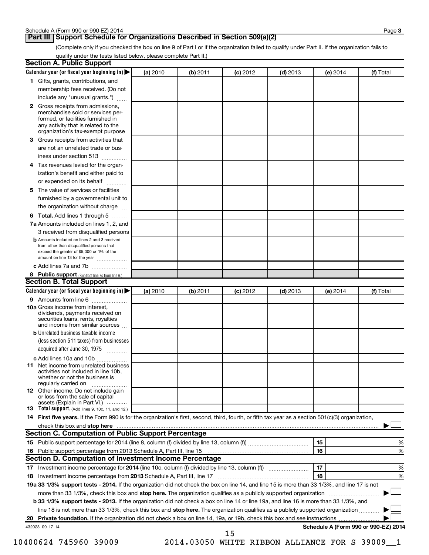# **Part III Support Schedule for Organizations Described in Section 509(a)(2)**

(Complete only if you checked the box on line 9 of Part I or if the organization failed to qualify under Part II. If the organization fails to qualify under the tests listed below, please complete Part II.)

|    | Calendar year (or fiscal year beginning in)                                                                                                         | (a) 2010 | (b) 2011 | (c) 2012   | $(d)$ 2013 | (e) 2014 | (f) Total |  |
|----|-----------------------------------------------------------------------------------------------------------------------------------------------------|----------|----------|------------|------------|----------|-----------|--|
|    | 1 Gifts, grants, contributions, and                                                                                                                 |          |          |            |            |          |           |  |
|    | membership fees received. (Do not                                                                                                                   |          |          |            |            |          |           |  |
|    | include any "unusual grants.")                                                                                                                      |          |          |            |            |          |           |  |
|    | 2 Gross receipts from admissions,<br>merchandise sold or services per-<br>formed, or facilities furnished in<br>any activity that is related to the |          |          |            |            |          |           |  |
|    | organization's tax-exempt purpose                                                                                                                   |          |          |            |            |          |           |  |
| 3  | Gross receipts from activities that                                                                                                                 |          |          |            |            |          |           |  |
|    | are not an unrelated trade or bus-<br>iness under section 513                                                                                       |          |          |            |            |          |           |  |
| 4  | Tax revenues levied for the organ-                                                                                                                  |          |          |            |            |          |           |  |
|    | ization's benefit and either paid to<br>or expended on its behalf                                                                                   |          |          |            |            |          |           |  |
| 5. | The value of services or facilities                                                                                                                 |          |          |            |            |          |           |  |
|    | furnished by a governmental unit to                                                                                                                 |          |          |            |            |          |           |  |
|    | the organization without charge                                                                                                                     |          |          |            |            |          |           |  |
| 6  | Total. Add lines 1 through 5                                                                                                                        |          |          |            |            |          |           |  |
|    | 7a Amounts included on lines 1, 2, and                                                                                                              |          |          |            |            |          |           |  |
|    | 3 received from disqualified persons<br><b>b</b> Amounts included on lines 2 and 3 received                                                         |          |          |            |            |          |           |  |
|    | from other than disqualified persons that<br>exceed the greater of \$5,000 or 1% of the<br>amount on line 13 for the year                           |          |          |            |            |          |           |  |
|    | c Add lines 7a and 7b                                                                                                                               |          |          |            |            |          |           |  |
|    | 8 Public support (Subtract line 7c from line 6.)                                                                                                    |          |          |            |            |          |           |  |
|    | <b>Section B. Total Support</b>                                                                                                                     |          |          |            |            |          |           |  |
|    | Calendar year (or fiscal year beginning in)                                                                                                         | (a) 2010 | (b) 2011 | $(c)$ 2012 | $(d)$ 2013 | (e) 2014 | (f) Total |  |
|    | <b>9</b> Amounts from line 6                                                                                                                        |          |          |            |            |          |           |  |
|    | <b>10a</b> Gross income from interest,<br>dividends, payments received on<br>securities loans, rents, royalties<br>and income from similar sources  |          |          |            |            |          |           |  |
|    | <b>b</b> Unrelated business taxable income                                                                                                          |          |          |            |            |          |           |  |
|    | (less section 511 taxes) from businesses<br>acquired after June 30, 1975                                                                            |          |          |            |            |          |           |  |
|    | c Add lines 10a and 10b                                                                                                                             |          |          |            |            |          |           |  |
| 11 | Net income from unrelated business<br>activities not included in line 10b.<br>whether or not the business is<br>regularly carried on                |          |          |            |            |          |           |  |
|    | <b>12</b> Other income. Do not include gain<br>or loss from the sale of capital<br>assets (Explain in Part VI.)                                     |          |          |            |            |          |           |  |
|    | 13 Total support. (Add lines 9, 10c, 11, and 12.)                                                                                                   |          |          |            |            |          |           |  |
|    | 14 First five years. If the Form 990 is for the organization's first, second, third, fourth, or fifth tax year as a section 501(c)(3) organization, |          |          |            |            |          |           |  |
|    |                                                                                                                                                     |          |          |            |            |          |           |  |
|    | <b>Section C. Computation of Public Support Percentage</b>                                                                                          |          |          |            |            |          |           |  |
|    |                                                                                                                                                     |          |          |            |            | 15       |           |  |
|    |                                                                                                                                                     |          |          |            |            | 16       |           |  |
|    | Section D. Computation of Investment Income Percentage                                                                                              |          |          |            |            |          |           |  |
|    |                                                                                                                                                     |          |          |            |            | 17       |           |  |
|    |                                                                                                                                                     |          |          |            |            | 18       |           |  |
|    | 19a 33 1/3% support tests - 2014. If the organization did not check the box on line 14, and line 15 is more than 33 1/3%, and line 17 is not        |          |          |            |            |          |           |  |
|    | more than 33 1/3%, check this box and stop here. The organization qualifies as a publicly supported organization                                    |          |          |            |            |          |           |  |
|    |                                                                                                                                                     |          |          |            |            |          |           |  |
|    |                                                                                                                                                     |          |          |            |            |          |           |  |
|    | b 33 1/3% support tests - 2013. If the organization did not check a box on line 14 or line 19a, and line 16 is more than 33 1/3%, and               |          |          |            |            |          |           |  |
|    | line 18 is not more than 33 1/3%, check this box and stop here. The organization qualifies as a publicly supported organization                     |          |          |            |            |          |           |  |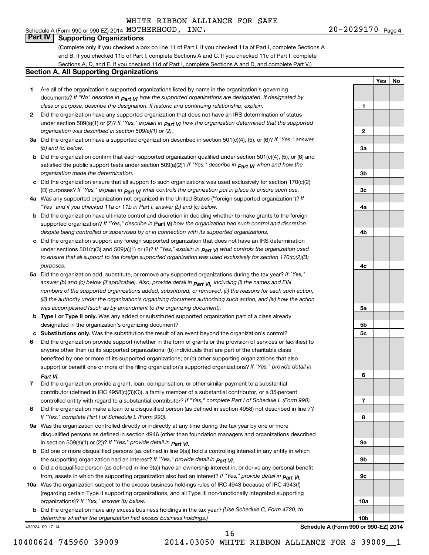#### 20-2029170 Page 4 Schedule A (Form 990 or 990-EZ) 2014  $MOTHERHOOD$ , INC.  $20-2029170$  Page

**1**

**2**

**3a**

**3b**

**3c**

**4a**

**4b**

**4c**

**5a**

**5b 5c**

**6**

**7**

**8**

**9a**

**9b**

**9c**

**10a**

**10b**

**Yes No**

# **Part IV Supporting Organizations**

(Complete only if you checked a box on line 11 of Part I. If you checked 11a of Part I, complete Sections A and B. If you checked 11b of Part I, complete Sections A and C. If you checked 11c of Part I, complete Sections A, D, and E. If you checked 11d of Part I, complete Sections A and D, and complete Part V.)

## **Section A. All Supporting Organizations**

- **1** Are all of the organization's supported organizations listed by name in the organization's governing documents? If "No" describe in  $_{\mathsf{Part}}$   $_{\mathsf{V}}$  how the supported organizations are designated. If designated by *class or purpose, describe the designation. If historic and continuing relationship, explain.*
- **2** Did the organization have any supported organization that does not have an IRS determination of status under section 509(a)(1) or (2)? If "Yes," explain in  $_{\sf Part}$   $_{\sf VI}$  how the organization determined that the supported *organization was described in section 509(a)(1) or (2).*
- **3a** Did the organization have a supported organization described in section 501(c)(4), (5), or (6)? If "Yes," answer *(b) and (c) below.*
- **b** Did the organization confirm that each supported organization qualified under section 501(c)(4), (5), or (6) and satisfied the public support tests under section 509(a)(2)? If "Yes," describe in  $_{\rm Part}$   $_{\rm VI}$  when and how the *organization made the determination.*
- **c** Did the organization ensure that all support to such organizations was used exclusively for section 170(c)(2) (B) purposes? If "Yes," explain in  $_{\mathsf{Part}}$   $_{\mathsf{V}}$  what controls the organization put in place to ensure such use.
- **4 a** *If* Was any supported organization not organized in the United States ("foreign supported organization")? *"Yes" and if you checked 11a or 11b in Part I, answer (b) and (c) below.*
- **b** Did the organization have ultimate control and discretion in deciding whether to make grants to the foreign supported organization? If "Yes," describe in Part VI how the organization had such control and discretion *despite being controlled or supervised by or in connection with its supported organizations.*
- **c** Did the organization support any foreign supported organization that does not have an IRS determination under sections 501(c)(3) and 509(a)(1) or (2)? If "Yes," ex*plain in*  $_{\sf Part}$  *v*J what controls the organization used *to ensure that all support to the foreign supported organization was used exclusively for section 170(c)(2)(B) purposes.*
- **5a** Did the organization add, substitute, or remove any supported organizations during the tax year? If "Yes," answer (b) and (c) below (if applicable). Also, provide detail in  $_{\mathsf{Part}}$   $_{\mathsf{V{\mathsf{I}}}}$ , including (i) the names and EIN *numbers of the supported organizations added, substituted, or removed, (ii) the reasons for each such action, (iii) the authority under the organization's organizing document authorizing such action, and (iv) how the action was accomplished (such as by amendment to the organizing document).*
- **b** Type I or Type II only. Was any added or substituted supported organization part of a class already designated in the organization's organizing document?
- **c Substitutions only.**  Was the substitution the result of an event beyond the organization's control?
- **6** Did the organization provide support (whether in the form of grants or the provision of services or facilities) to support or benefit one or more of the filing organization's supported organizations? If "Yes," provide detail in anyone other than (a) its supported organizations; (b) individuals that are part of the charitable class benefited by one or more of its supported organizations; or (c) other supporting organizations that also *Part VI.*
- **7** Did the organization provide a grant, loan, compensation, or other similar payment to a substantial controlled entity with regard to a substantial contributor? If "Yes," complete Part I of Schedule L (Form 990). contributor (defined in IRC 4958(c)(3)(C)), a family member of a substantial contributor, or a 35-percent
- **8** Did the organization make a loan to a disqualified person (as defined in section 4958) not described in line 7? *If "Yes," complete Part I of Schedule L (Form 990).*
- **9 a** Was the organization controlled directly or indirectly at any time during the tax year by one or more *If "Yes," provide detail in*  in section 509(a)(1) or (2))? *Part VI.* disqualified persons as defined in section 4946 (other than foundation managers and organizations described
- **b** Did one or more disqualified persons (as defined in line 9(a)) hold a controlling interest in any entity in which  *If "Yes," provide detail in*  the supporting organization had an interest? *Part VI.*
- **c** Did a disqualified person (as defined in line 9(a)) have an ownership interest in, or derive any personal benefit from, assets in which the supporting organization also had an interest? If "Yes," *provide detail in Part VI.*
- **10 a** Was the organization subject to the excess business holdings rules of IRC 4943 because of IRC 4943(f)  *If "Yes," answer (b) below.* organizations)? (regarding certain Type II supporting organizations, and all Type III non-functionally integrated supporting
	- **b** Did the organization have any excess business holdings in the tax year? (Use Schedule C, Form 4720, to *determine whether the organization had excess business holdings.)*

432024 09-17-14

**Schedule A (Form 990 or 990-EZ) 2014**

10400624 745960 39009 2014.03050 WHITE RIBBON ALLIANCE FOR S 39009\_\_1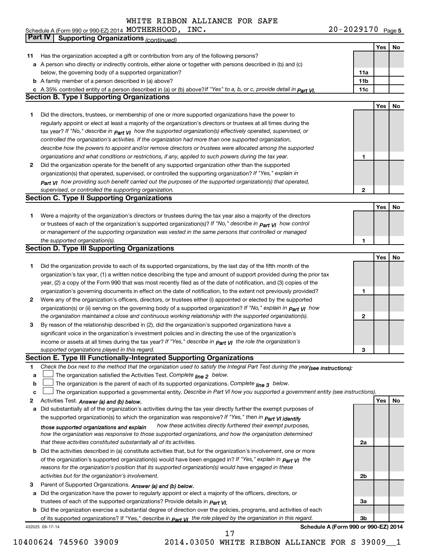20-2029170 Page 5 Schedule A (Form 990 or 990-EZ) 2014 MOTHERHOOD , INC .  $20-2029170$  Page MOTHERHOOD, INC. 20-2029170

|    | Part IV<br><b>Supporting Organizations (continued)</b>                                                                                                                                                                   |                 |     |    |
|----|--------------------------------------------------------------------------------------------------------------------------------------------------------------------------------------------------------------------------|-----------------|-----|----|
|    |                                                                                                                                                                                                                          |                 | Yes | No |
| 11 | Has the organization accepted a gift or contribution from any of the following persons?                                                                                                                                  |                 |     |    |
|    | a A person who directly or indirectly controls, either alone or together with persons described in (b) and (c)                                                                                                           |                 |     |    |
|    | below, the governing body of a supported organization?                                                                                                                                                                   | 11a             |     |    |
|    | <b>b</b> A family member of a person described in (a) above?                                                                                                                                                             | 11 <sub>b</sub> |     |    |
|    | c A 35% controlled entity of a person described in (a) or (b) above?If "Yes" to a, b, or c, provide detail in Part VI.                                                                                                   | 11c             |     |    |
|    | <b>Section B. Type I Supporting Organizations</b>                                                                                                                                                                        |                 |     |    |
|    |                                                                                                                                                                                                                          |                 | Yes | No |
| 1. | Did the directors, trustees, or membership of one or more supported organizations have the power to                                                                                                                      |                 |     |    |
|    | regularly appoint or elect at least a majority of the organization's directors or trustees at all times during the                                                                                                       |                 |     |    |
|    | tax year? If "No," describe in $_{Part}$ $_{VI}$ how the supported organization(s) effectively operated, supervised, or                                                                                                  |                 |     |    |
|    | controlled the organization's activities. If the organization had more than one supported organization,                                                                                                                  |                 |     |    |
|    | describe how the powers to appoint and/or remove directors or trustees were allocated among the supported                                                                                                                |                 |     |    |
|    | organizations and what conditions or restrictions, if any, applied to such powers during the tax year.                                                                                                                   | 1               |     |    |
| 2  | Did the organization operate for the benefit of any supported organization other than the supported                                                                                                                      |                 |     |    |
|    | organization(s) that operated, supervised, or controlled the supporting organization? If "Yes," explain in                                                                                                               |                 |     |    |
|    | $_{Part}$ v <sub>I</sub> how providing such benefit carried out the purposes of the supported organization(s) that operated,                                                                                             |                 |     |    |
|    | supervised, or controlled the supporting organization.                                                                                                                                                                   | $\mathbf{2}$    |     |    |
|    | <b>Section C. Type II Supporting Organizations</b>                                                                                                                                                                       |                 |     |    |
|    |                                                                                                                                                                                                                          |                 | Yes | No |
| 1. | Were a majority of the organization's directors or trustees during the tax year also a majority of the directors                                                                                                         |                 |     |    |
|    | or trustees of each of the organization's supported organization(s)? If "No," describe in <b>Part VI</b> how control                                                                                                     |                 |     |    |
|    | or management of the supporting organization was vested in the same persons that controlled or managed                                                                                                                   |                 |     |    |
|    | the supported organization(s).                                                                                                                                                                                           | 1               |     |    |
|    | <b>Section D. Type III Supporting Organizations</b>                                                                                                                                                                      |                 |     |    |
|    |                                                                                                                                                                                                                          |                 | Yes | No |
| 1. | Did the organization provide to each of its supported organizations, by the last day of the fifth month of the                                                                                                           |                 |     |    |
|    | organization's tax year, (1) a written notice describing the type and amount of support provided during the prior tax                                                                                                    |                 |     |    |
|    | year, (2) a copy of the Form 990 that was most recently filed as of the date of notification, and (3) copies of the                                                                                                      |                 |     |    |
|    | organization's governing documents in effect on the date of notification, to the extent not previously provided?                                                                                                         | 1               |     |    |
| 2  | Were any of the organization's officers, directors, or trustees either (i) appointed or elected by the supported                                                                                                         |                 |     |    |
|    | organization(s) or (ii) serving on the governing body of a supported organization? If "No," explain in part VI how                                                                                                       |                 |     |    |
|    | the organization maintained a close and continuous working relationship with the supported organization(s).                                                                                                              | 2               |     |    |
| 3  | By reason of the relationship described in (2), did the organization's supported organizations have a                                                                                                                    |                 |     |    |
|    | significant voice in the organization's investment policies and in directing the use of the organization's                                                                                                               |                 |     |    |
|    | income or assets at all times during the tax year? If "Yes," describe in $_{Part}$ y the role the organization's                                                                                                         |                 |     |    |
|    | supported organizations played in this regard.                                                                                                                                                                           | з               |     |    |
|    | Section E. Type III Functionally-Integrated Supporting Organizations                                                                                                                                                     |                 |     |    |
| 1  | Check the box next to the method that the organization used to satisfy the Integral Part Test during the year(see instructions):                                                                                         |                 |     |    |
| a  | The organization satisfied the Activities Test. Complete line 2 below.                                                                                                                                                   |                 |     |    |
| b  | The organization is the parent of each of its supported organizations. Complete line 3 below.                                                                                                                            |                 |     |    |
| с  | The organization supported a governmental entity. Describe in Part VI how you supported a government entity (see instructions).                                                                                          |                 |     |    |
| 2  | Activities Test. Answer (a) and (b) below.                                                                                                                                                                               |                 | Yes | No |
| а  | Did substantially all of the organization's activities during the tax year directly further the exempt purposes of                                                                                                       |                 |     |    |
|    | the supported organization(s) to which the organization was responsive? If "Yes," then in Part VI identify                                                                                                               |                 |     |    |
|    | how these activities directly furthered their exempt purposes,<br>those supported organizations and explain<br>how the organization was responsive to those supported organizations, and how the organization determined |                 |     |    |
|    | that these activities constituted substantially all of its activities.                                                                                                                                                   | 2a              |     |    |
|    | <b>b</b> Did the activities described in (a) constitute activities that, but for the organization's involvement, one or more                                                                                             |                 |     |    |
|    | of the organization's supported organization(s) would have been engaged in? If "Yes," explain in <b>Part VI</b> the                                                                                                      |                 |     |    |
|    | reasons for the organization's position that its supported organization(s) would have engaged in these                                                                                                                   |                 |     |    |
|    | activities but for the organization's involvement.                                                                                                                                                                       | 2b              |     |    |
| 3  | Parent of Supported Organizations. Answer (a) and (b) below.                                                                                                                                                             |                 |     |    |
| а  | Did the organization have the power to regularly appoint or elect a majority of the officers, directors, or                                                                                                              |                 |     |    |
|    | trustees of each of the supported organizations? Provide details in <i>Part VI.</i>                                                                                                                                      | За              |     |    |
|    | <b>b</b> Did the organization exercise a substantial degree of direction over the policies, programs, and activities of each                                                                                             |                 |     |    |
|    | of its supported organizations? If "Yes," describe in $Part VI$ the role played by the organization in this regard.                                                                                                      | Зb              |     |    |
|    | Schedule A (Form 990 or 990-EZ) 2014<br>432025 09-17-14                                                                                                                                                                  |                 |     |    |
|    | 17                                                                                                                                                                                                                       |                 |     |    |

10400624 745960 39009 2014.03050 WHITE RIBBON ALLIANCE FOR S 39009\_\_1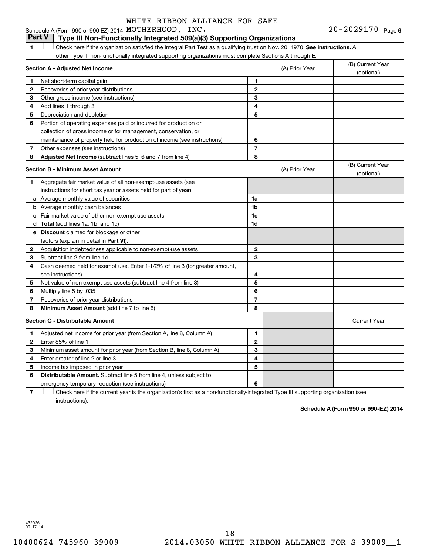#### 1  $\Box$  Check here if the organization satisfied the Integral Part Test as a qualifying trust on Nov. 20, 1970. See instructions. All **Section A - Adjusted Net Income 1 2 3 4 5 6 7 8 1 2 3 4 5 6 7 Adjusted Net Income** (subtract lines 5, 6 and 7 from line 4) **8 8 Section B - Minimum Asset Amount 1 2 3 4 5 6 7 8 a** Average monthly value of securities **b** Average monthly cash balances **c** Fair market value of other non-exempt-use assets **d Total**  (add lines 1a, 1b, and 1c) **e Discount** claimed for blockage or other **1a 1b 1c 1d 2 3 4 5 6 7 8** factors (explain in detail in Part VI): **Minimum Asset Amount**  (add line 7 to line 6) **Section C - Distributable Amount 1 2 3 4 5 6 1 2 3 4 5 6** Distributable Amount. Subtract line 5 from line 4, unless subject to Schedule A (Form 990 or 990-EZ) 2014  $MOTHERHOOD$ , INC.  $20-2029170$  Page other Type III non-functionally integrated supporting organizations must complete Sections A through E. (B) Current Year (A) Prior Year  $\left\{\n\begin{array}{ccc}\n\text{(b) common} \\
\text{(c) common} \\
\text{(c) rational)}\n\end{array}\n\right\}$ Net short-term capital gain Recoveries of prior-year distributions Other gross income (see instructions) Add lines 1 through 3 Depreciation and depletion Portion of operating expenses paid or incurred for production or collection of gross income or for management, conservation, or maintenance of property held for production of income (see instructions) Other expenses (see instructions) (B) Current Year (A) Prior Year (b) Current 1 Aggregate fair market value of all non-exempt-use assets (see instructions for short tax year or assets held for part of year): Acquisition indebtedness applicable to non-exempt-use assets Subtract line 2 from line 1d Cash deemed held for exempt use. Enter 1-1/2% of line 3 (for greater amount, see instructions). Net value of non-exempt-use assets (subtract line 4 from line 3) Multiply line 5 by .035 Recoveries of prior-year distributions Current Year Adjusted net income for prior year (from Section A, line 8, Column A) Enter 85% of line 1 Minimum asset amount for prior year (from Section B, line 8, Column A) Enter greater of line 2 or line 3 Income tax imposed in prior year emergency temporary reduction (see instructions) **Part V Type III Non-Functionally Integrated 509(a)(3) Supporting Organizations**   $\Box$

**7** Check here if the current year is the organization's first as a non-functionally-integrated Type III supporting organization (see † instructions).

**Schedule A (Form 990 or 990-EZ) 2014**

432026 09-17-14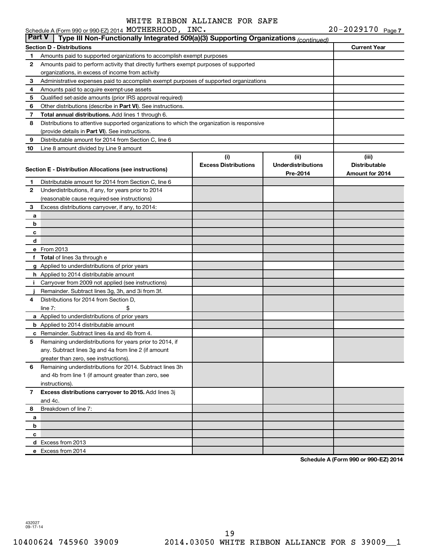|               | Schedule A (Form 990 or 990-EZ) 2014 MOTHERHOOD, INC.                                      |                             |                           | $20 - 2029170$ Page 7  |
|---------------|--------------------------------------------------------------------------------------------|-----------------------------|---------------------------|------------------------|
| <b>Part V</b> | Type III Non-Functionally Integrated 509(a)(3) Supporting Organizations (continued)        |                             |                           |                        |
|               | <b>Section D - Distributions</b>                                                           |                             |                           | <b>Current Year</b>    |
| 1             | Amounts paid to supported organizations to accomplish exempt purposes                      |                             |                           |                        |
| 2             | Amounts paid to perform activity that directly furthers exempt purposes of supported       |                             |                           |                        |
|               | organizations, in excess of income from activity                                           |                             |                           |                        |
| 3             | Administrative expenses paid to accomplish exempt purposes of supported organizations      |                             |                           |                        |
| 4             | Amounts paid to acquire exempt-use assets                                                  |                             |                           |                        |
| 5             | Qualified set-aside amounts (prior IRS approval required)                                  |                             |                           |                        |
| 6             | Other distributions (describe in <b>Part VI</b> ). See instructions.                       |                             |                           |                        |
| 7             | Total annual distributions. Add lines 1 through 6.                                         |                             |                           |                        |
| 8             | Distributions to attentive supported organizations to which the organization is responsive |                             |                           |                        |
|               | (provide details in Part VI). See instructions.                                            |                             |                           |                        |
| 9             | Distributable amount for 2014 from Section C, line 6                                       |                             |                           |                        |
| 10            | Line 8 amount divided by Line 9 amount                                                     |                             |                           |                        |
|               |                                                                                            | (i)                         | (ii)                      | (iii)                  |
|               |                                                                                            | <b>Excess Distributions</b> | <b>Underdistributions</b> | <b>Distributable</b>   |
|               | Section E - Distribution Allocations (see instructions)                                    |                             | Pre-2014                  | <b>Amount for 2014</b> |
| 1             | Distributable amount for 2014 from Section C, line 6                                       |                             |                           |                        |
| $\mathbf{2}$  | Underdistributions, if any, for years prior to 2014                                        |                             |                           |                        |
|               | (reasonable cause required-see instructions)                                               |                             |                           |                        |
| 3             | Excess distributions carryover, if any, to 2014:                                           |                             |                           |                        |
| a             |                                                                                            |                             |                           |                        |
| b             |                                                                                            |                             |                           |                        |
| с             |                                                                                            |                             |                           |                        |
| d             |                                                                                            |                             |                           |                        |
|               | e From 2013                                                                                |                             |                           |                        |
| f             | Total of lines 3a through e                                                                |                             |                           |                        |
|               |                                                                                            |                             |                           |                        |
|               | g Applied to underdistributions of prior years                                             |                             |                           |                        |
|               | <b>h</b> Applied to 2014 distributable amount                                              |                             |                           |                        |
| Ť.            | Carryover from 2009 not applied (see instructions)                                         |                             |                           |                        |
|               | Remainder. Subtract lines 3g, 3h, and 3i from 3f.                                          |                             |                           |                        |
| 4             | Distributions for 2014 from Section D,                                                     |                             |                           |                        |
|               | line $7:$                                                                                  |                             |                           |                        |
|               | a Applied to underdistributions of prior years                                             |                             |                           |                        |
|               | <b>b</b> Applied to 2014 distributable amount                                              |                             |                           |                        |
|               | <b>c</b> Remainder. Subtract lines 4a and 4b from 4.                                       |                             |                           |                        |
|               | 5 Remaining underdistributions for years prior to 2014, if                                 |                             |                           |                        |
|               | any. Subtract lines 3q and 4a from line 2 (if amount                                       |                             |                           |                        |
|               | greater than zero, see instructions).                                                      |                             |                           |                        |
| 6             | Remaining underdistributions for 2014. Subtract lines 3h                                   |                             |                           |                        |
|               | and 4b from line 1 (if amount greater than zero, see                                       |                             |                           |                        |
|               | instructions).                                                                             |                             |                           |                        |
| 7             | Excess distributions carryover to 2015. Add lines 3j                                       |                             |                           |                        |
|               | and 4c.                                                                                    |                             |                           |                        |
| 8             | Breakdown of line 7:                                                                       |                             |                           |                        |
| а             |                                                                                            |                             |                           |                        |
| b             |                                                                                            |                             |                           |                        |
| c             |                                                                                            |                             |                           |                        |
|               | d Excess from 2013                                                                         |                             |                           |                        |
|               | e Excess from 2014                                                                         |                             |                           |                        |

**Schedule A (Form 990 or 990-EZ) 2014**

432027 09-17-14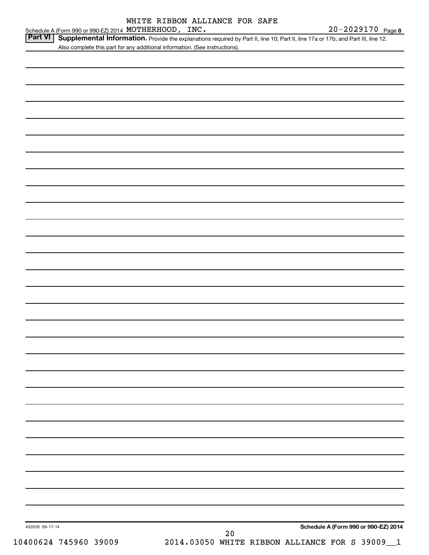432028 09-17-14 **Schedule A (Form 990 or 990-EZ) 2014** Part VI | Supplemental Information. Provide the explanations required by Part II, line 10; Part II, line 17a or 17b; and Part III, line 12. Also complete this part for any additional information. (See instructions). 10400624 745960 39009 2014.03050 WHITE RIBBON ALLIANCE FOR S 39009\_\_1 20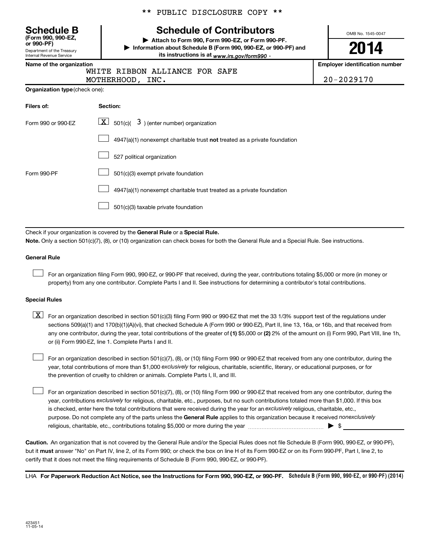Department of the Treasury Internal Revenue Service **(Form 990, 990-EZ,**

\*\* PUBLIC DISCLOSURE COPY \*\*

# **Schedule B Schedule of Contributors**

**or 990-PF) | Attach to Form 990, Form 990-EZ, or Form 990-PF. | Information about Schedule B (Form 990, 990-EZ, or 990-PF) and** its instructions is at <sub>www.irs.gov/form990  $\cdot$ </sub>

OMB No. 1545-0047

# **2014**

**Name of the organization Employer identification number**

| WHITE RIBBON ALLIANCE FOR SAFE |  |  |
|--------------------------------|--|--|
|--------------------------------|--|--|

| MOTHERHOOD, |  |
|-------------|--|
|-------------|--|

 $\text{NC}$ .  $\begin{array}{|c|c|c|c|c|c|}\n\hline\n20-2029170 \\
\hline\n\end{array}$ 

|  | Organization type (check one): |
|--|--------------------------------|
|--|--------------------------------|

| Filers of:         | Section:                                                                  |
|--------------------|---------------------------------------------------------------------------|
| Form 990 or 990-FZ | $ \mathbf{X} $ 501(c)( 3) (enter number) organization                     |
|                    | 4947(a)(1) nonexempt charitable trust not treated as a private foundation |
|                    | 527 political organization                                                |
| Form 990-PF        | 501(c)(3) exempt private foundation                                       |
|                    | 4947(a)(1) nonexempt charitable trust treated as a private foundation     |
|                    | 501(c)(3) taxable private foundation                                      |

Check if your organization is covered by the General Rule or a Special Rule.

**Note.**  Only a section 501(c)(7), (8), or (10) organization can check boxes for both the General Rule and a Special Rule. See instructions.

### **General Rule**

 $\Box$ 

For an organization filing Form 990, 990-EZ, or 990-PF that received, during the year, contributions totaling \$5,000 or more (in money or property) from any one contributor. Complete Parts I and II. See instructions for determining a contributor's total contributions.

#### **Special Rules**

any one contributor, during the year, total contributions of the greater of **(1)** \$5,000 or **(2)** 2% of the amount on (i) Form 990, Part VIII, line 1h,  $\boxed{\text{X}}$  For an organization described in section 501(c)(3) filing Form 990 or 990-EZ that met the 33 1/3% support test of the regulations under sections 509(a)(1) and 170(b)(1)(A)(vi), that checked Schedule A (Form 990 or 990-EZ), Part II, line 13, 16a, or 16b, and that received from or (ii) Form 990-EZ, line 1. Complete Parts I and II.

year, total contributions of more than \$1,000 *exclusively* for religious, charitable, scientific, literary, or educational purposes, or for For an organization described in section 501(c)(7), (8), or (10) filing Form 990 or 990-EZ that received from any one contributor, during the the prevention of cruelty to children or animals. Complete Parts I, II, and III.  $\Box$ 

purpose. Do not complete any of the parts unless the General Rule applies to this organization because it received nonexclusively year, contributions exclusively for religious, charitable, etc., purposes, but no such contributions totaled more than \$1,000. If this box is checked, enter here the total contributions that were received during the year for an exclusively religious, charitable, etc., For an organization described in section 501(c)(7), (8), or (10) filing Form 990 or 990-EZ that received from any one contributor, during the religious, charitable, etc., contributions totaling \$5,000 or more during the year  $\ldots$  $\ldots$  $\ldots$  $\ldots$  $\ldots$  $\ldots$  $\Box$ 

**Caution.** An organization that is not covered by the General Rule and/or the Special Rules does not file Schedule B (Form 990, 990-EZ, or 990-PF),  **must** but it answer "No" on Part IV, line 2, of its Form 990; or check the box on line H of its Form 990-EZ or on its Form 990-PF, Part I, line 2, to certify that it does not meet the filing requirements of Schedule B (Form 990, 990-EZ, or 990-PF).

LHA For Paperwork Reduction Act Notice, see the Instructions for Form 990, 990-EZ, or 990-PF. Schedule B (Form 990, 990-EZ, or 990-PF) (2014)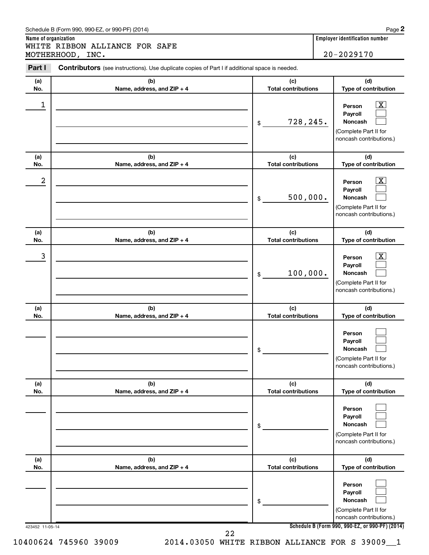## Schedule B (Form 990, 990-EZ, or 990-PF) (2014)

**Name of organization Employer identification number** WHITE RIBBON ALLIANCE FOR SAFE MOTHERHOOD, INC. 20-2029170

| (a)              | (b)                               | (c)                               | (d)                                                                                          |
|------------------|-----------------------------------|-----------------------------------|----------------------------------------------------------------------------------------------|
| No.              | Name, address, and ZIP + 4        | <b>Total contributions</b>        | Type of contribution                                                                         |
| 1                |                                   | 728,245.<br>\$                    | x<br>Person<br>Payroll<br><b>Noncash</b><br>(Complete Part II for<br>noncash contributions.) |
| (a)<br>No.       | (b)<br>Name, address, and ZIP + 4 | (c)<br><b>Total contributions</b> | (d)<br>Type of contribution                                                                  |
| $\boldsymbol{2}$ |                                   | 500,000.<br>\$                    | x<br>Person<br>Payroll<br>Noncash<br>(Complete Part II for<br>noncash contributions.)        |
| (a)<br>No.       | (b)<br>Name, address, and ZIP + 4 | (c)<br><b>Total contributions</b> | (d)<br>Type of contribution                                                                  |
| 3                |                                   | 100,000.<br>\$                    | х<br>Person<br>Payroll<br>Noncash<br>(Complete Part II for<br>noncash contributions.)        |
| (a)<br>No.       | (b)<br>Name, address, and ZIP + 4 | (c)<br><b>Total contributions</b> | (d)<br>Type of contribution                                                                  |
|                  |                                   | \$                                | Person<br>Pavroll<br>Noncash<br>(Complete Part II for<br>noncash contributions.)             |
| (a)<br>No.       | (b)<br>Name, address, and ZIP + 4 | (c)<br><b>Total contributions</b> | (d)<br>Type of contribution                                                                  |
|                  |                                   | \$                                | Person<br>Payroll<br>Noncash<br>(Complete Part II for<br>noncash contributions.)             |
| (a)<br>No.       | (b)<br>Name, address, and ZIP + 4 | (c)<br><b>Total contributions</b> | (d)<br>Type of contribution                                                                  |
|                  |                                   | \$                                | Person<br>Payroll<br><b>Noncash</b><br>(Complete Part II for<br>noncash contributions.)      |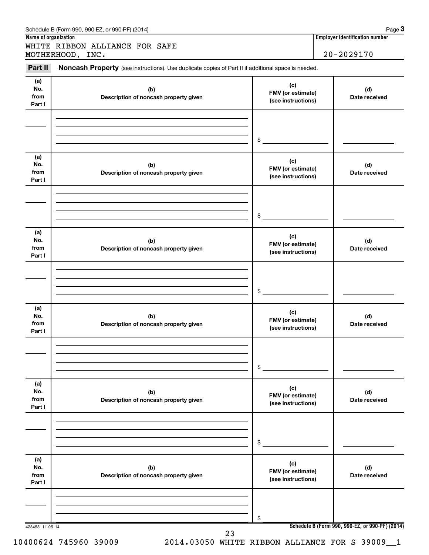| Part II                      | Noncash Property (see instructions). Use duplicate copies of Part II if additional space is needed. |                                                |                                                 |
|------------------------------|-----------------------------------------------------------------------------------------------------|------------------------------------------------|-------------------------------------------------|
| (a)<br>No.<br>from<br>Part I | (b)<br>Description of noncash property given                                                        | (c)<br>FMV (or estimate)<br>(see instructions) | (d)<br>Date received                            |
|                              |                                                                                                     | \$                                             |                                                 |
| (a)<br>No.<br>from<br>Part I | (b)<br>Description of noncash property given                                                        | (c)<br>FMV (or estimate)<br>(see instructions) | (d)<br>Date received                            |
|                              |                                                                                                     | \$                                             |                                                 |
| (a)<br>No.<br>from<br>Part I | (b)<br>Description of noncash property given                                                        | (c)<br>FMV (or estimate)<br>(see instructions) | (d)<br>Date received                            |
|                              |                                                                                                     | \$                                             |                                                 |
| (a)<br>No.<br>from<br>Part I | (b)<br>Description of noncash property given                                                        | (c)<br>FMV (or estimate)<br>(see instructions) | (d)<br>Date received                            |
|                              |                                                                                                     | \$                                             |                                                 |
| (a)<br>No.<br>from<br>Part I | (b)<br>Description of noncash property given                                                        | (c)<br>FMV (or estimate)<br>(see instructions) | (d)<br>Date received                            |
|                              |                                                                                                     | \$                                             |                                                 |
| (a)<br>No.<br>from<br>Part I | (b)<br>Description of noncash property given                                                        | (c)<br>FMV (or estimate)<br>(see instructions) | (d)<br>Date received                            |
|                              |                                                                                                     | \$                                             | Schedule B (Form 990, 990-EZ, or 990-PF) (2014) |

## Schedule B (Form 990, 990-EZ, or 990-PF) (2014)

**Name of organization Employer identification number**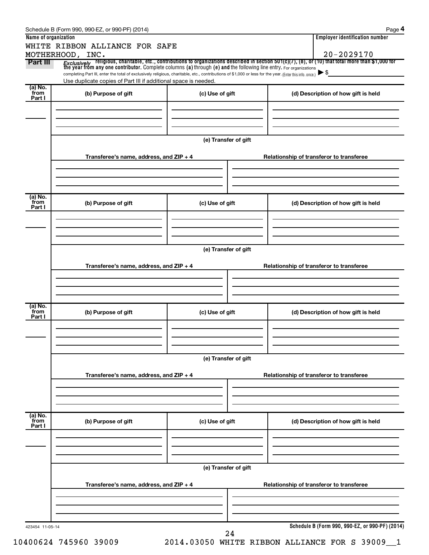|                           | WHITE RIBBON ALLIANCE FOR SAFE                                                                                                                           |                                          |                                                                                                                                                                                                                                                |                                                 |  |  |  |
|---------------------------|----------------------------------------------------------------------------------------------------------------------------------------------------------|------------------------------------------|------------------------------------------------------------------------------------------------------------------------------------------------------------------------------------------------------------------------------------------------|-------------------------------------------------|--|--|--|
| Part III                  | MOTHERHOOD, INC.                                                                                                                                         |                                          | $20 - 2029170$                                                                                                                                                                                                                                 |                                                 |  |  |  |
|                           | completing Part III, enter the total of exclusively religious, charitable, etc., contributions of \$1,000 or less for the year. (Enter this info. once.) |                                          | <i>Exclusively</i> religious, charitable, etc., contributions to organizations described in section 501(c)(7), (8), or (10) that total more than \$1,000 for<br>the year from any one contributor. Complete columns (a) through (e) and<br>▶\$ |                                                 |  |  |  |
|                           | Use duplicate copies of Part III if additional space is needed.                                                                                          |                                          |                                                                                                                                                                                                                                                |                                                 |  |  |  |
| (a) No.<br>from           | (b) Purpose of gift                                                                                                                                      | (c) Use of gift                          | (d) Description of how gift is held                                                                                                                                                                                                            |                                                 |  |  |  |
| Part I                    |                                                                                                                                                          |                                          |                                                                                                                                                                                                                                                |                                                 |  |  |  |
|                           |                                                                                                                                                          |                                          |                                                                                                                                                                                                                                                |                                                 |  |  |  |
|                           |                                                                                                                                                          |                                          |                                                                                                                                                                                                                                                |                                                 |  |  |  |
|                           |                                                                                                                                                          | (e) Transfer of gift                     |                                                                                                                                                                                                                                                |                                                 |  |  |  |
|                           | Transferee's name, address, and ZIP + 4                                                                                                                  |                                          | Relationship of transferor to transferee                                                                                                                                                                                                       |                                                 |  |  |  |
|                           |                                                                                                                                                          |                                          |                                                                                                                                                                                                                                                |                                                 |  |  |  |
|                           |                                                                                                                                                          |                                          |                                                                                                                                                                                                                                                |                                                 |  |  |  |
| (a) No.<br>`from          |                                                                                                                                                          |                                          |                                                                                                                                                                                                                                                |                                                 |  |  |  |
| Part I                    | (b) Purpose of gift                                                                                                                                      | (c) Use of gift                          | (d) Description of how gift is held                                                                                                                                                                                                            |                                                 |  |  |  |
|                           |                                                                                                                                                          |                                          |                                                                                                                                                                                                                                                |                                                 |  |  |  |
|                           |                                                                                                                                                          |                                          |                                                                                                                                                                                                                                                |                                                 |  |  |  |
|                           | (e) Transfer of gift                                                                                                                                     |                                          |                                                                                                                                                                                                                                                |                                                 |  |  |  |
|                           | Transferee's name, address, and ZIP + 4                                                                                                                  | Relationship of transferor to transferee |                                                                                                                                                                                                                                                |                                                 |  |  |  |
|                           |                                                                                                                                                          |                                          |                                                                                                                                                                                                                                                |                                                 |  |  |  |
|                           |                                                                                                                                                          |                                          |                                                                                                                                                                                                                                                |                                                 |  |  |  |
| (a) No.                   |                                                                                                                                                          |                                          |                                                                                                                                                                                                                                                |                                                 |  |  |  |
| from<br>Part I            | (b) Purpose of gift                                                                                                                                      | (c) Use of gift                          | (d) Description of how gift is held                                                                                                                                                                                                            |                                                 |  |  |  |
|                           |                                                                                                                                                          |                                          |                                                                                                                                                                                                                                                |                                                 |  |  |  |
|                           |                                                                                                                                                          |                                          |                                                                                                                                                                                                                                                |                                                 |  |  |  |
|                           |                                                                                                                                                          | (e) Transfer of gift                     |                                                                                                                                                                                                                                                |                                                 |  |  |  |
|                           |                                                                                                                                                          |                                          |                                                                                                                                                                                                                                                |                                                 |  |  |  |
|                           | Transferee's name, address, and ZIP + 4                                                                                                                  |                                          | Relationship of transferor to transferee                                                                                                                                                                                                       |                                                 |  |  |  |
|                           |                                                                                                                                                          |                                          |                                                                                                                                                                                                                                                |                                                 |  |  |  |
|                           |                                                                                                                                                          |                                          |                                                                                                                                                                                                                                                |                                                 |  |  |  |
| (a) No.<br>from<br>Part I | (b) Purpose of gift                                                                                                                                      | (c) Use of gift                          | (d) Description of how gift is held                                                                                                                                                                                                            |                                                 |  |  |  |
|                           |                                                                                                                                                          |                                          |                                                                                                                                                                                                                                                |                                                 |  |  |  |
|                           |                                                                                                                                                          |                                          |                                                                                                                                                                                                                                                |                                                 |  |  |  |
|                           |                                                                                                                                                          |                                          |                                                                                                                                                                                                                                                |                                                 |  |  |  |
|                           |                                                                                                                                                          | (e) Transfer of gift                     |                                                                                                                                                                                                                                                |                                                 |  |  |  |
|                           | Transferee's name, address, and ZIP + 4                                                                                                                  |                                          | Relationship of transferor to transferee                                                                                                                                                                                                       |                                                 |  |  |  |
|                           |                                                                                                                                                          |                                          |                                                                                                                                                                                                                                                |                                                 |  |  |  |
|                           |                                                                                                                                                          |                                          |                                                                                                                                                                                                                                                |                                                 |  |  |  |
|                           |                                                                                                                                                          |                                          |                                                                                                                                                                                                                                                | Schedule B (Form 990, 990-EZ, or 990-PF) (2014) |  |  |  |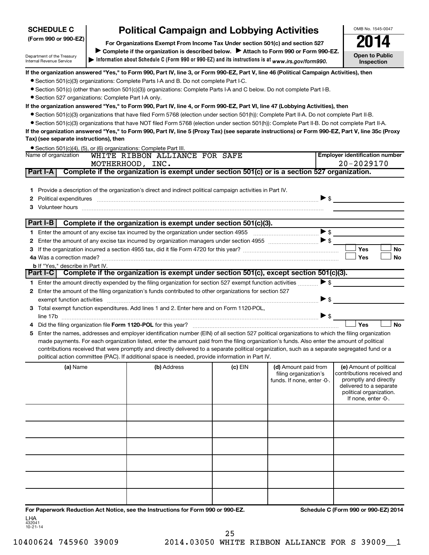# **SCHEDULE C**

Department of the Treasury Internal Revenue Service

# **Political Campaign and Lobbying Activities** 2016 MB No. 1545-00<br>Draanizations Exempt From Income Tax Under section 501(c) and section 527

**Information about Schedule C (Form 990 or 990-EZ) and its instructions is at |**  *www.irs.gov/form990.* **(Form 990 or 990-EZ) For Organizations Exempt From Income Tax Under section 501(c) and section 527** Complete if the organization is described below. > Attach to Form 990 or Form 990-EZ.

**Open to Public Inspection**

OMB No. 1545-0047

**If the organization answered "Yes," to Form 990, Part IV, line 3, or Form 990-EZ, Part V, line 46 (Political Campaign Activities), then**

- Section 501(c)(3) organizations: Complete Parts I-A and B. Do not complete Part I-C.
- Section 501(c) (other than section 501(c)(3)) organizations: Complete Parts I-A and C below. Do not complete Part I-B.
- Section 527 organizations: Complete Part I-A only.

# **If the organization answered "Yes," to Form 990, Part IV, line 4, or Form 990-EZ, Part VI, line 47 (Lobbying Activities), then**

- Section 501(c)(3) organizations that have filed Form 5768 (election under section 501(h)): Complete Part II-A. Do not complete Part II-B.
- Section 501(c)(3) organizations that have NOT filed Form 5768 (election under section 501(h)): Complete Part II-B. Do not complete Part II-A.

**If the organization answered "Yes," to Form 990, Part IV, line 5 (Proxy Tax) (see separate instructions) or Form 990-EZ, Part V, line 35c (Proxy Tax) (see separate instructions), then**

• Section 501(c)(4), (5), or (6) organizations: Complete Part III.

| Name of organization | $\sim$ 36000 $(0, 4)$ , (3), or (0) organizations. Ourilplete Fart III. | WHITE RIBBON ALLIANCE FOR SAFE                                                                                                                                                                                                                                                                                                                                                                                                                                                                                                                       |           |                                                                             | <b>Employer identification number</b>                                                                                                                       |
|----------------------|-------------------------------------------------------------------------|------------------------------------------------------------------------------------------------------------------------------------------------------------------------------------------------------------------------------------------------------------------------------------------------------------------------------------------------------------------------------------------------------------------------------------------------------------------------------------------------------------------------------------------------------|-----------|-----------------------------------------------------------------------------|-------------------------------------------------------------------------------------------------------------------------------------------------------------|
|                      |                                                                         | MOTHERHOOD, INC.                                                                                                                                                                                                                                                                                                                                                                                                                                                                                                                                     |           |                                                                             | 20-2029170                                                                                                                                                  |
| Part I-A             |                                                                         | Complete if the organization is exempt under section 501(c) or is a section 527 organization.                                                                                                                                                                                                                                                                                                                                                                                                                                                        |           |                                                                             |                                                                                                                                                             |
|                      |                                                                         | 1 Provide a description of the organization's direct and indirect political campaign activities in Part IV.<br>Political expenditures <b>continuum continuum contract and continuum contract and continuum contract and continuum contract and continuum contract and set of the set of the set of the set of set of the set of set of set of s</b><br>Volunteer hours with an accommodal contract to the contract of the contract of the contract of the contract of                                                                                |           |                                                                             |                                                                                                                                                             |
| Part I-B             |                                                                         | Complete if the organization is exempt under section 501(c)(3).                                                                                                                                                                                                                                                                                                                                                                                                                                                                                      |           |                                                                             |                                                                                                                                                             |
|                      |                                                                         | 1 Enter the amount of any excise tax incurred by the organization under section 4955 $\ldots$ $\ldots$ $\ldots$ $\ldots$                                                                                                                                                                                                                                                                                                                                                                                                                             |           |                                                                             |                                                                                                                                                             |
|                      |                                                                         | 2 Enter the amount of any excise tax incurred by organization managers under section 4955 [111] [120] 5                                                                                                                                                                                                                                                                                                                                                                                                                                              |           |                                                                             |                                                                                                                                                             |
| 3.                   |                                                                         |                                                                                                                                                                                                                                                                                                                                                                                                                                                                                                                                                      |           |                                                                             | Yes<br>No                                                                                                                                                   |
|                      |                                                                         |                                                                                                                                                                                                                                                                                                                                                                                                                                                                                                                                                      |           |                                                                             | <b>No</b><br>Yes                                                                                                                                            |
|                      | <b>b</b> If "Yes," describe in Part IV.                                 |                                                                                                                                                                                                                                                                                                                                                                                                                                                                                                                                                      |           |                                                                             |                                                                                                                                                             |
|                      |                                                                         | Part I-C Complete if the organization is exempt under section 501(c), except section 501(c)(3).                                                                                                                                                                                                                                                                                                                                                                                                                                                      |           |                                                                             |                                                                                                                                                             |
|                      |                                                                         | 1 Enter the amount directly expended by the filing organization for section 527 exempt function activities                                                                                                                                                                                                                                                                                                                                                                                                                                           |           |                                                                             | >                                                                                                                                                           |
|                      |                                                                         | 2 Enter the amount of the filing organization's funds contributed to other organizations for section 527                                                                                                                                                                                                                                                                                                                                                                                                                                             |           |                                                                             |                                                                                                                                                             |
|                      |                                                                         |                                                                                                                                                                                                                                                                                                                                                                                                                                                                                                                                                      |           | $\blacktriangleright$ \$                                                    |                                                                                                                                                             |
|                      |                                                                         | 3 Total exempt function expenditures. Add lines 1 and 2. Enter here and on Form 1120-POL,                                                                                                                                                                                                                                                                                                                                                                                                                                                            |           |                                                                             |                                                                                                                                                             |
|                      |                                                                         |                                                                                                                                                                                                                                                                                                                                                                                                                                                                                                                                                      |           |                                                                             | Yes                                                                                                                                                         |
| 5                    |                                                                         | Enter the names, addresses and employer identification number (EIN) of all section 527 political organizations to which the filing organization<br>made payments. For each organization listed, enter the amount paid from the filing organization's funds. Also enter the amount of political<br>contributions received that were promptly and directly delivered to a separate political organization, such as a separate segregated fund or a<br>political action committee (PAC). If additional space is needed, provide information in Part IV. |           |                                                                             | <b>No</b>                                                                                                                                                   |
|                      | (a) Name                                                                | (b) Address                                                                                                                                                                                                                                                                                                                                                                                                                                                                                                                                          | $(c)$ EIN | (d) Amount paid from<br>filing organization's<br>funds. If none, enter -0-. | (e) Amount of political<br>contributions received and<br>promptly and directly<br>delivered to a separate<br>political organization.<br>If none, enter -0-. |
|                      |                                                                         |                                                                                                                                                                                                                                                                                                                                                                                                                                                                                                                                                      |           |                                                                             |                                                                                                                                                             |
|                      |                                                                         |                                                                                                                                                                                                                                                                                                                                                                                                                                                                                                                                                      |           |                                                                             |                                                                                                                                                             |
|                      |                                                                         |                                                                                                                                                                                                                                                                                                                                                                                                                                                                                                                                                      |           |                                                                             |                                                                                                                                                             |
|                      |                                                                         |                                                                                                                                                                                                                                                                                                                                                                                                                                                                                                                                                      |           |                                                                             |                                                                                                                                                             |
|                      |                                                                         |                                                                                                                                                                                                                                                                                                                                                                                                                                                                                                                                                      |           |                                                                             |                                                                                                                                                             |

**For Paperwork Reduction Act Notice, see the Instructions for Form 990 or 990-EZ. Schedule C (Form 990 or 990-EZ) 2014** LHA

<sup>432041</sup> 10-21-14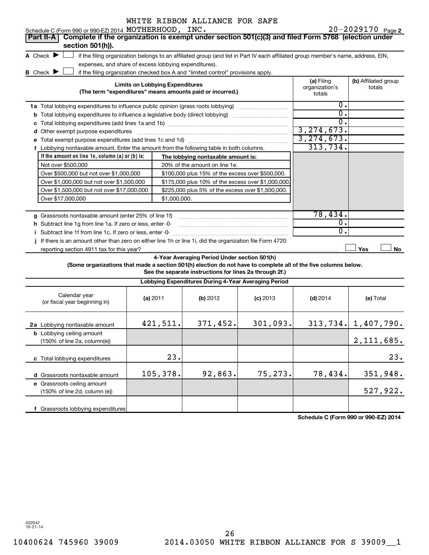|                               | Schedule C (Form 990 or 990-EZ) 2014 MOTHERHOOD, INC.                                                          |                                                       |                                                                                                                                   |            |                          | $20 - 2029170$ Page 2 |
|-------------------------------|----------------------------------------------------------------------------------------------------------------|-------------------------------------------------------|-----------------------------------------------------------------------------------------------------------------------------------|------------|--------------------------|-----------------------|
| Part II-A                     | Complete if the organization is exempt under section 501(c)(3) and filed Form 5768 (election under             |                                                       |                                                                                                                                   |            |                          |                       |
|                               | section 501(h)).                                                                                               |                                                       |                                                                                                                                   |            |                          |                       |
| A Check $\blacktriangleright$ |                                                                                                                |                                                       | if the filing organization belongs to an affiliated group (and list in Part IV each affiliated group member's name, address, EIN, |            |                          |                       |
|                               |                                                                                                                | expenses, and share of excess lobbying expenditures). |                                                                                                                                   |            |                          |                       |
| B Check $\blacktriangleright$ |                                                                                                                |                                                       | if the filing organization checked box A and "limited control" provisions apply.                                                  |            |                          |                       |
|                               |                                                                                                                | <b>Limits on Lobbying Expenditures</b>                |                                                                                                                                   |            | (a) Filing               | (b) Affiliated group  |
|                               |                                                                                                                |                                                       | (The term "expenditures" means amounts paid or incurred.)                                                                         |            | organization's<br>totals | totals                |
|                               | 1a Total lobbying expenditures to influence public opinion (grass roots lobbying)                              |                                                       |                                                                                                                                   |            | 0.                       |                       |
|                               | <b>b</b> Total lobbying expenditures to influence a legislative body (direct lobbying)                         |                                                       |                                                                                                                                   |            | σ.                       |                       |
|                               |                                                                                                                |                                                       |                                                                                                                                   |            | $\overline{0}$ .         |                       |
|                               | d Other exempt purpose expenditures                                                                            |                                                       |                                                                                                                                   |            | 3, 274, 673.             |                       |
|                               |                                                                                                                |                                                       |                                                                                                                                   |            | 3, 274, 673.             |                       |
|                               | f Lobbying nontaxable amount. Enter the amount from the following table in both columns.                       |                                                       |                                                                                                                                   |            | 313,734.                 |                       |
|                               | If the amount on line 1e, column (a) or (b) is:                                                                |                                                       | The lobbying nontaxable amount is:                                                                                                |            |                          |                       |
|                               | Not over \$500,000                                                                                             |                                                       | 20% of the amount on line 1e.                                                                                                     |            |                          |                       |
|                               | Over \$500,000 but not over \$1,000,000                                                                        |                                                       | \$100,000 plus 15% of the excess over \$500,000.                                                                                  |            |                          |                       |
|                               | Over \$1,000,000 but not over \$1,500,000                                                                      |                                                       | \$175,000 plus 10% of the excess over \$1,000,000                                                                                 |            |                          |                       |
|                               | Over \$1,500,000 but not over \$17,000,000                                                                     |                                                       | \$225,000 plus 5% of the excess over \$1,500,000.                                                                                 |            |                          |                       |
|                               | Over \$17,000,000                                                                                              | \$1,000,000.                                          |                                                                                                                                   |            |                          |                       |
|                               |                                                                                                                |                                                       |                                                                                                                                   |            |                          |                       |
|                               | g Grassroots nontaxable amount (enter 25% of line 1f)                                                          |                                                       |                                                                                                                                   |            | 78,434.                  |                       |
|                               | h Subtract line 1q from line 1a. If zero or less, enter -0-                                                    |                                                       |                                                                                                                                   |            | 0.                       |                       |
|                               |                                                                                                                |                                                       |                                                                                                                                   |            | $\overline{0}$ .         |                       |
|                               | If there is an amount other than zero on either line 1h or line 1i, did the organization file Form 4720        |                                                       |                                                                                                                                   |            |                          |                       |
|                               | reporting section 4911 tax for this year?                                                                      |                                                       |                                                                                                                                   |            |                          | Yes<br>No             |
|                               | (Some organizations that made a section 501(h) election do not have to complete all of the five columns below. |                                                       | 4-Year Averaging Period Under section 501(h)<br>See the separate instructions for lines 2a through 2f.)                           |            |                          |                       |
|                               |                                                                                                                |                                                       | Lobbying Expenditures During 4-Year Averaging Period                                                                              |            |                          |                       |
|                               | Calendar year                                                                                                  | (a) 2011                                              | $(b)$ 2012                                                                                                                        | $(c)$ 2013 | $(d)$ 2014               | (e) Total             |

| Calendar year<br>(or fiscal year beginning in)                                      | (a) 2011  | (b) 2012 | $(c)$ 2013 | $(d)$ 2014 | (e) Total  |
|-------------------------------------------------------------------------------------|-----------|----------|------------|------------|------------|
| 2a Lobbying nontaxable amount                                                       | 421,511.  | 371,452. | 301,093.   | 313,734.   | 1,407,790. |
| <b>b</b> Lobbying ceiling amount<br>$(150\% \text{ of line } 2a, \text{column}(e))$ |           |          |            |            | 2,111,685. |
| c Total lobbying expenditures                                                       | 23.       |          |            |            | 23.        |
| Grassroots nontaxable amount<br>d                                                   | 105, 378. | 92,863.  | 75, 273.   | 78,434.    | 351,948.   |
| e Grassroots ceiling amount<br>$(150\% \text{ of line } 2d, \text{ column } (e))$   |           |          |            |            | 527,922.   |
| Grassroots lobbying expenditures                                                    |           |          |            |            |            |

**Schedule C (Form 990 or 990-EZ) 2014**

432042 10-21-14

10400624 745960 39009 2014.03050 WHITE RIBBON ALLIANCE FOR S 39009\_\_1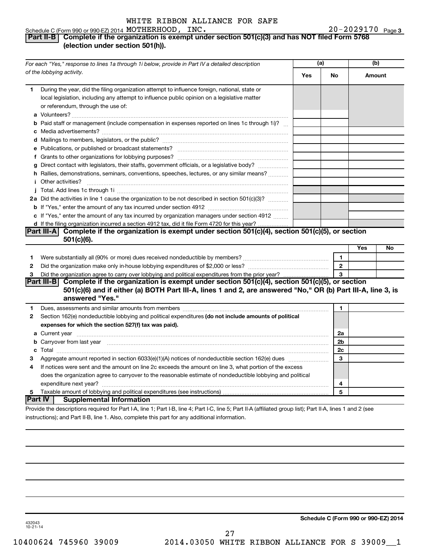#### 20-2029170 Page 3 Schedule C (Form 990 or 990-EZ) 2014  $MOTHERHOOD$ , INC.  $20-2029170$  Page

# **Part II-B Complete if the organization is exempt under section 501(c)(3) and has NOT filed Form 5768 (election under section 501(h)).**

|              | For each "Yes," response to lines 1a through 1i below, provide in Part IV a detailed description                                                                                                                                                                                                                                                                                                                                                                          | (a) |                | (b)    |    |
|--------------|---------------------------------------------------------------------------------------------------------------------------------------------------------------------------------------------------------------------------------------------------------------------------------------------------------------------------------------------------------------------------------------------------------------------------------------------------------------------------|-----|----------------|--------|----|
|              | of the lobbying activity.                                                                                                                                                                                                                                                                                                                                                                                                                                                 | Yes | No             | Amount |    |
| 1            | During the year, did the filing organization attempt to influence foreign, national, state or<br>local legislation, including any attempt to influence public opinion on a legislative matter<br>or referendum, through the use of:                                                                                                                                                                                                                                       |     |                |        |    |
|              | <b>b</b> Paid staff or management (include compensation in expenses reported on lines 1c through 1i)?                                                                                                                                                                                                                                                                                                                                                                     |     |                |        |    |
|              |                                                                                                                                                                                                                                                                                                                                                                                                                                                                           |     |                |        |    |
|              |                                                                                                                                                                                                                                                                                                                                                                                                                                                                           |     |                |        |    |
|              |                                                                                                                                                                                                                                                                                                                                                                                                                                                                           |     |                |        |    |
|              | g Direct contact with legislators, their staffs, government officials, or a legislative body?                                                                                                                                                                                                                                                                                                                                                                             |     |                |        |    |
|              | h Rallies, demonstrations, seminars, conventions, speeches, lectures, or any similar means?                                                                                                                                                                                                                                                                                                                                                                               |     |                |        |    |
|              | <i>i</i> Other activities?<br>$\begin{minipage}{0.5\textwidth} \begin{tabular}{ l l l } \hline \multicolumn{1}{ l l l } \hline \multicolumn{1}{ l l } \multicolumn{1}{ l } \multicolumn{1}{ l } \multicolumn{1}{ l } \multicolumn{1}{ l } \multicolumn{1}{ l } \multicolumn{1}{ l } \multicolumn{1}{ l } \multicolumn{1}{ l } \multicolumn{1}{ l } \multicolumn{1}{ l } \multicolumn{1}{ l } \multicolumn{1}{ l } \multicolumn{1}{ l } \multicolumn{1}{ l } \multicolumn$ |     |                |        |    |
|              |                                                                                                                                                                                                                                                                                                                                                                                                                                                                           |     |                |        |    |
|              | 2a Did the activities in line 1 cause the organization to be not described in section 501(c)(3)?                                                                                                                                                                                                                                                                                                                                                                          |     |                |        |    |
|              |                                                                                                                                                                                                                                                                                                                                                                                                                                                                           |     |                |        |    |
|              | c If "Yes," enter the amount of any tax incurred by organization managers under section 4912                                                                                                                                                                                                                                                                                                                                                                              |     |                |        |    |
|              | d If the filing organization incurred a section 4912 tax, did it file Form 4720 for this year?                                                                                                                                                                                                                                                                                                                                                                            |     |                |        |    |
|              | Part III-A Complete if the organization is exempt under section $501(c)(4)$ , section $501(c)(5)$ , or section                                                                                                                                                                                                                                                                                                                                                            |     |                |        |    |
|              | $501(c)(6)$ .                                                                                                                                                                                                                                                                                                                                                                                                                                                             |     |                |        |    |
|              |                                                                                                                                                                                                                                                                                                                                                                                                                                                                           |     |                | Yes    | No |
| 1            |                                                                                                                                                                                                                                                                                                                                                                                                                                                                           |     | 1              |        |    |
| $\mathbf{2}$ |                                                                                                                                                                                                                                                                                                                                                                                                                                                                           |     | $\mathbf{2}$   |        |    |
| 3            |                                                                                                                                                                                                                                                                                                                                                                                                                                                                           |     | 3              |        |    |
|              | Part III-B Complete if the organization is exempt under section 501(c)(4), section 501(c)(5), or section<br>501(c)(6) and if either (a) BOTH Part III-A, lines 1 and 2, are answered "No," OR (b) Part III-A, line 3, is<br>answered "Yes."                                                                                                                                                                                                                               |     |                |        |    |
| 1.           |                                                                                                                                                                                                                                                                                                                                                                                                                                                                           |     | 1              |        |    |
| $\mathbf{2}$ | Section 162(e) nondeductible lobbying and political expenditures (do not include amounts of political                                                                                                                                                                                                                                                                                                                                                                     |     |                |        |    |
|              | expenses for which the section 527(f) tax was paid).                                                                                                                                                                                                                                                                                                                                                                                                                      |     |                |        |    |
|              |                                                                                                                                                                                                                                                                                                                                                                                                                                                                           |     | 2a             |        |    |
|              | b Carryover from last year manufactured and content to content the content of the content of the content of the content of the content of the content of the content of the content of the content of the content of the conte                                                                                                                                                                                                                                            |     | 2 <sub>b</sub> |        |    |
|              |                                                                                                                                                                                                                                                                                                                                                                                                                                                                           |     | 2c             |        |    |
| 3            |                                                                                                                                                                                                                                                                                                                                                                                                                                                                           |     | 3              |        |    |
| 4            | If notices were sent and the amount on line 2c exceeds the amount on line 3, what portion of the excess                                                                                                                                                                                                                                                                                                                                                                   |     |                |        |    |
|              | does the organization agree to carryover to the reasonable estimate of nondeductible lobbying and political                                                                                                                                                                                                                                                                                                                                                               |     |                |        |    |
|              |                                                                                                                                                                                                                                                                                                                                                                                                                                                                           |     | 4              |        |    |
| 5            |                                                                                                                                                                                                                                                                                                                                                                                                                                                                           |     | 5              |        |    |
|              | ∣Part IV ⊺<br><b>Supplemental Information</b>                                                                                                                                                                                                                                                                                                                                                                                                                             |     |                |        |    |
|              | Provide the descriptions required for Part I-A, line 1; Part I-B, line 4; Part I-C, line 5; Part II-A (affiliated group list); Part II-A, lines 1 and 2 (see                                                                                                                                                                                                                                                                                                              |     |                |        |    |

instructions); and Part II-B, line 1. Also, complete this part for any additional information.

**Schedule C (Form 990 or 990-EZ) 2014**

432043 10-21-14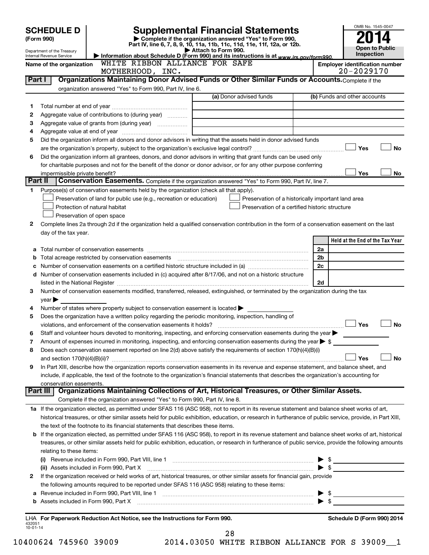| Complete if the organization answered "Yes" to Form 990,<br>(Form 990)<br>Part IV, line 6, 7, 8, 9, 10, 11a, 11b, 11c, 11d, 11e, 11f, 12a, or 12b.<br><b>Open to Public</b><br>Attach to Form 990.<br>Department of the Treasury<br>Inspection<br>Information about Schedule D (Form 990) and its instructions is at www.irs.gov/form990.<br>Internal Revenue Service<br>WHITE RIBBON ALLIANCE FOR SAFE<br><b>Employer identification number</b><br>Name of the organization<br>20-2029170<br>MOTHERHOOD, INC.<br>Organizations Maintaining Donor Advised Funds or Other Similar Funds or Accounts. Complete if the<br>Part I<br>organization answered "Yes" to Form 990, Part IV, line 6.<br>(a) Donor advised funds<br>(b) Funds and other accounts<br>1<br>Aggregate value of contributions to (during year)<br>2<br>з<br>4<br>Did the organization inform all donors and donor advisors in writing that the assets held in donor advised funds<br>5<br>Yes<br><b>No</b><br>Did the organization inform all grantees, donors, and donor advisors in writing that grant funds can be used only<br>6<br>for charitable purposes and not for the benefit of the donor or donor advisor, or for any other purpose conferring<br>Yes<br><b>No</b><br>impermissible private benefit?<br>Part II<br>Conservation Easements. Complete if the organization answered "Yes" to Form 990, Part IV, line 7.<br>Purpose(s) of conservation easements held by the organization (check all that apply).<br>1<br>Preservation of land for public use (e.g., recreation or education)<br>Preservation of a historically important land area<br>Protection of natural habitat<br>Preservation of a certified historic structure<br>Preservation of open space<br>Complete lines 2a through 2d if the organization held a qualified conservation contribution in the form of a conservation easement on the last<br>2<br>day of the tax year.<br>Held at the End of the Tax Year<br>2a<br>2b<br>b<br>2c<br>d Number of conservation easements included in (c) acquired after 8/17/06, and not on a historic structure<br>2d<br>Number of conservation easements modified, transferred, released, extinguished, or terminated by the organization during the tax<br>з<br>year<br>Number of states where property subject to conservation easement is located $\blacktriangleright$<br>4<br>Does the organization have a written policy regarding the periodic monitoring, inspection, handling of<br>5<br>Yes<br><b>No</b><br>violations, and enforcement of the conservation easements it holds?<br>Staff and volunteer hours devoted to monitoring, inspecting, and enforcing conservation easements during the year<br>6<br>7<br>Amount of expenses incurred in monitoring, inspecting, and enforcing conservation easements during the year $\triangleright$ \$<br>Does each conservation easement reported on line 2(d) above satisfy the requirements of section 170(h)(4)(B)(i)<br>8<br>Yes<br>No<br>In Part XIII, describe how the organization reports conservation easements in its revenue and expense statement, and balance sheet, and<br>9<br>include, if applicable, the text of the footnote to the organization's financial statements that describes the organization's accounting for<br>conservation easements.<br>Organizations Maintaining Collections of Art, Historical Treasures, or Other Similar Assets.<br>Part III  <br>Complete if the organization answered "Yes" to Form 990, Part IV, line 8.<br>1a If the organization elected, as permitted under SFAS 116 (ASC 958), not to report in its revenue statement and balance sheet works of art,<br>historical treasures, or other similar assets held for public exhibition, education, or research in furtherance of public service, provide, in Part XIII,<br>the text of the footnote to its financial statements that describes these items.<br><b>b</b> If the organization elected, as permitted under SFAS 116 (ASC 958), to report in its revenue statement and balance sheet works of art, historical<br>treasures, or other similar assets held for public exhibition, education, or research in furtherance of public service, provide the following amounts<br>relating to these items:<br>$\triangleright$ \$<br>$\blacktriangleright$ \$<br>(ii) Assets included in Form 990, Part X<br>If the organization received or held works of art, historical treasures, or other similar assets for financial gain, provide<br>2<br>the following amounts required to be reported under SFAS 116 (ASC 958) relating to these items:<br>b<br>LHA For Paperwork Reduction Act Notice, see the Instructions for Form 990.<br>Schedule D (Form 990) 2014<br>432051<br>$10 - 01 - 14$<br>28 | <b>SCHEDULE D</b> | <b>Supplemental Financial Statements</b> | OMB No. 1545-0047 |
|-------------------------------------------------------------------------------------------------------------------------------------------------------------------------------------------------------------------------------------------------------------------------------------------------------------------------------------------------------------------------------------------------------------------------------------------------------------------------------------------------------------------------------------------------------------------------------------------------------------------------------------------------------------------------------------------------------------------------------------------------------------------------------------------------------------------------------------------------------------------------------------------------------------------------------------------------------------------------------------------------------------------------------------------------------------------------------------------------------------------------------------------------------------------------------------------------------------------------------------------------------------------------------------------------------------------------------------------------------------------------------------------------------------------------------------------------------------------------------------------------------------------------------------------------------------------------------------------------------------------------------------------------------------------------------------------------------------------------------------------------------------------------------------------------------------------------------------------------------------------------------------------------------------------------------------------------------------------------------------------------------------------------------------------------------------------------------------------------------------------------------------------------------------------------------------------------------------------------------------------------------------------------------------------------------------------------------------------------------------------------------------------------------------------------------------------------------------------------------------------------------------------------------------------------------------------------------------------------------------------------------------------------------------------------------------------------------------------------------------------------------------------------------------------------------------------------------------------------------------------------------------------------------------------------------------------------------------------------------------------------------------------------------------------------------------------------------------------------------------------------------------------------------------------------------------------------------------------------------------------------------------------------------------------------------------------------------------------------------------------------------------------------------------------------------------------------------------------------------------------------------------------------------------------------------------------------------------------------------------------------------------------------------------------------------------------------------------------------------------------------------------------------------------------------------------------------------------------------------------------------------------------------------------------------------------------------------------------------------------------------------------------------------------------------------------------------------------------------------------------------------------------------------------------------------------------------------------------------------------------------------------------------------------------------------------------------------------------------------------------------------------------------------------------------------------------------------------------------------------------------------------------------------------------------------------------------------------------------------------------------------------------------------------------------------------------------------------------------------------------------------------|-------------------|------------------------------------------|-------------------|
|                                                                                                                                                                                                                                                                                                                                                                                                                                                                                                                                                                                                                                                                                                                                                                                                                                                                                                                                                                                                                                                                                                                                                                                                                                                                                                                                                                                                                                                                                                                                                                                                                                                                                                                                                                                                                                                                                                                                                                                                                                                                                                                                                                                                                                                                                                                                                                                                                                                                                                                                                                                                                                                                                                                                                                                                                                                                                                                                                                                                                                                                                                                                                                                                                                                                                                                                                                                                                                                                                                                                                                                                                                                                                                                                                                                                                                                                                                                                                                                                                                                                                                                                                                                                                                                                                                                                                                                                                                                                                                                                                                                                                                                                                                                                                             |                   |                                          |                   |
|                                                                                                                                                                                                                                                                                                                                                                                                                                                                                                                                                                                                                                                                                                                                                                                                                                                                                                                                                                                                                                                                                                                                                                                                                                                                                                                                                                                                                                                                                                                                                                                                                                                                                                                                                                                                                                                                                                                                                                                                                                                                                                                                                                                                                                                                                                                                                                                                                                                                                                                                                                                                                                                                                                                                                                                                                                                                                                                                                                                                                                                                                                                                                                                                                                                                                                                                                                                                                                                                                                                                                                                                                                                                                                                                                                                                                                                                                                                                                                                                                                                                                                                                                                                                                                                                                                                                                                                                                                                                                                                                                                                                                                                                                                                                                             |                   |                                          |                   |
|                                                                                                                                                                                                                                                                                                                                                                                                                                                                                                                                                                                                                                                                                                                                                                                                                                                                                                                                                                                                                                                                                                                                                                                                                                                                                                                                                                                                                                                                                                                                                                                                                                                                                                                                                                                                                                                                                                                                                                                                                                                                                                                                                                                                                                                                                                                                                                                                                                                                                                                                                                                                                                                                                                                                                                                                                                                                                                                                                                                                                                                                                                                                                                                                                                                                                                                                                                                                                                                                                                                                                                                                                                                                                                                                                                                                                                                                                                                                                                                                                                                                                                                                                                                                                                                                                                                                                                                                                                                                                                                                                                                                                                                                                                                                                             |                   |                                          |                   |
|                                                                                                                                                                                                                                                                                                                                                                                                                                                                                                                                                                                                                                                                                                                                                                                                                                                                                                                                                                                                                                                                                                                                                                                                                                                                                                                                                                                                                                                                                                                                                                                                                                                                                                                                                                                                                                                                                                                                                                                                                                                                                                                                                                                                                                                                                                                                                                                                                                                                                                                                                                                                                                                                                                                                                                                                                                                                                                                                                                                                                                                                                                                                                                                                                                                                                                                                                                                                                                                                                                                                                                                                                                                                                                                                                                                                                                                                                                                                                                                                                                                                                                                                                                                                                                                                                                                                                                                                                                                                                                                                                                                                                                                                                                                                                             |                   |                                          |                   |
|                                                                                                                                                                                                                                                                                                                                                                                                                                                                                                                                                                                                                                                                                                                                                                                                                                                                                                                                                                                                                                                                                                                                                                                                                                                                                                                                                                                                                                                                                                                                                                                                                                                                                                                                                                                                                                                                                                                                                                                                                                                                                                                                                                                                                                                                                                                                                                                                                                                                                                                                                                                                                                                                                                                                                                                                                                                                                                                                                                                                                                                                                                                                                                                                                                                                                                                                                                                                                                                                                                                                                                                                                                                                                                                                                                                                                                                                                                                                                                                                                                                                                                                                                                                                                                                                                                                                                                                                                                                                                                                                                                                                                                                                                                                                                             |                   |                                          |                   |
|                                                                                                                                                                                                                                                                                                                                                                                                                                                                                                                                                                                                                                                                                                                                                                                                                                                                                                                                                                                                                                                                                                                                                                                                                                                                                                                                                                                                                                                                                                                                                                                                                                                                                                                                                                                                                                                                                                                                                                                                                                                                                                                                                                                                                                                                                                                                                                                                                                                                                                                                                                                                                                                                                                                                                                                                                                                                                                                                                                                                                                                                                                                                                                                                                                                                                                                                                                                                                                                                                                                                                                                                                                                                                                                                                                                                                                                                                                                                                                                                                                                                                                                                                                                                                                                                                                                                                                                                                                                                                                                                                                                                                                                                                                                                                             |                   |                                          |                   |
|                                                                                                                                                                                                                                                                                                                                                                                                                                                                                                                                                                                                                                                                                                                                                                                                                                                                                                                                                                                                                                                                                                                                                                                                                                                                                                                                                                                                                                                                                                                                                                                                                                                                                                                                                                                                                                                                                                                                                                                                                                                                                                                                                                                                                                                                                                                                                                                                                                                                                                                                                                                                                                                                                                                                                                                                                                                                                                                                                                                                                                                                                                                                                                                                                                                                                                                                                                                                                                                                                                                                                                                                                                                                                                                                                                                                                                                                                                                                                                                                                                                                                                                                                                                                                                                                                                                                                                                                                                                                                                                                                                                                                                                                                                                                                             |                   |                                          |                   |
|                                                                                                                                                                                                                                                                                                                                                                                                                                                                                                                                                                                                                                                                                                                                                                                                                                                                                                                                                                                                                                                                                                                                                                                                                                                                                                                                                                                                                                                                                                                                                                                                                                                                                                                                                                                                                                                                                                                                                                                                                                                                                                                                                                                                                                                                                                                                                                                                                                                                                                                                                                                                                                                                                                                                                                                                                                                                                                                                                                                                                                                                                                                                                                                                                                                                                                                                                                                                                                                                                                                                                                                                                                                                                                                                                                                                                                                                                                                                                                                                                                                                                                                                                                                                                                                                                                                                                                                                                                                                                                                                                                                                                                                                                                                                                             |                   |                                          |                   |
|                                                                                                                                                                                                                                                                                                                                                                                                                                                                                                                                                                                                                                                                                                                                                                                                                                                                                                                                                                                                                                                                                                                                                                                                                                                                                                                                                                                                                                                                                                                                                                                                                                                                                                                                                                                                                                                                                                                                                                                                                                                                                                                                                                                                                                                                                                                                                                                                                                                                                                                                                                                                                                                                                                                                                                                                                                                                                                                                                                                                                                                                                                                                                                                                                                                                                                                                                                                                                                                                                                                                                                                                                                                                                                                                                                                                                                                                                                                                                                                                                                                                                                                                                                                                                                                                                                                                                                                                                                                                                                                                                                                                                                                                                                                                                             |                   |                                          |                   |
|                                                                                                                                                                                                                                                                                                                                                                                                                                                                                                                                                                                                                                                                                                                                                                                                                                                                                                                                                                                                                                                                                                                                                                                                                                                                                                                                                                                                                                                                                                                                                                                                                                                                                                                                                                                                                                                                                                                                                                                                                                                                                                                                                                                                                                                                                                                                                                                                                                                                                                                                                                                                                                                                                                                                                                                                                                                                                                                                                                                                                                                                                                                                                                                                                                                                                                                                                                                                                                                                                                                                                                                                                                                                                                                                                                                                                                                                                                                                                                                                                                                                                                                                                                                                                                                                                                                                                                                                                                                                                                                                                                                                                                                                                                                                                             |                   |                                          |                   |
|                                                                                                                                                                                                                                                                                                                                                                                                                                                                                                                                                                                                                                                                                                                                                                                                                                                                                                                                                                                                                                                                                                                                                                                                                                                                                                                                                                                                                                                                                                                                                                                                                                                                                                                                                                                                                                                                                                                                                                                                                                                                                                                                                                                                                                                                                                                                                                                                                                                                                                                                                                                                                                                                                                                                                                                                                                                                                                                                                                                                                                                                                                                                                                                                                                                                                                                                                                                                                                                                                                                                                                                                                                                                                                                                                                                                                                                                                                                                                                                                                                                                                                                                                                                                                                                                                                                                                                                                                                                                                                                                                                                                                                                                                                                                                             |                   |                                          |                   |
|                                                                                                                                                                                                                                                                                                                                                                                                                                                                                                                                                                                                                                                                                                                                                                                                                                                                                                                                                                                                                                                                                                                                                                                                                                                                                                                                                                                                                                                                                                                                                                                                                                                                                                                                                                                                                                                                                                                                                                                                                                                                                                                                                                                                                                                                                                                                                                                                                                                                                                                                                                                                                                                                                                                                                                                                                                                                                                                                                                                                                                                                                                                                                                                                                                                                                                                                                                                                                                                                                                                                                                                                                                                                                                                                                                                                                                                                                                                                                                                                                                                                                                                                                                                                                                                                                                                                                                                                                                                                                                                                                                                                                                                                                                                                                             |                   |                                          |                   |
|                                                                                                                                                                                                                                                                                                                                                                                                                                                                                                                                                                                                                                                                                                                                                                                                                                                                                                                                                                                                                                                                                                                                                                                                                                                                                                                                                                                                                                                                                                                                                                                                                                                                                                                                                                                                                                                                                                                                                                                                                                                                                                                                                                                                                                                                                                                                                                                                                                                                                                                                                                                                                                                                                                                                                                                                                                                                                                                                                                                                                                                                                                                                                                                                                                                                                                                                                                                                                                                                                                                                                                                                                                                                                                                                                                                                                                                                                                                                                                                                                                                                                                                                                                                                                                                                                                                                                                                                                                                                                                                                                                                                                                                                                                                                                             |                   |                                          |                   |
|                                                                                                                                                                                                                                                                                                                                                                                                                                                                                                                                                                                                                                                                                                                                                                                                                                                                                                                                                                                                                                                                                                                                                                                                                                                                                                                                                                                                                                                                                                                                                                                                                                                                                                                                                                                                                                                                                                                                                                                                                                                                                                                                                                                                                                                                                                                                                                                                                                                                                                                                                                                                                                                                                                                                                                                                                                                                                                                                                                                                                                                                                                                                                                                                                                                                                                                                                                                                                                                                                                                                                                                                                                                                                                                                                                                                                                                                                                                                                                                                                                                                                                                                                                                                                                                                                                                                                                                                                                                                                                                                                                                                                                                                                                                                                             |                   |                                          |                   |
|                                                                                                                                                                                                                                                                                                                                                                                                                                                                                                                                                                                                                                                                                                                                                                                                                                                                                                                                                                                                                                                                                                                                                                                                                                                                                                                                                                                                                                                                                                                                                                                                                                                                                                                                                                                                                                                                                                                                                                                                                                                                                                                                                                                                                                                                                                                                                                                                                                                                                                                                                                                                                                                                                                                                                                                                                                                                                                                                                                                                                                                                                                                                                                                                                                                                                                                                                                                                                                                                                                                                                                                                                                                                                                                                                                                                                                                                                                                                                                                                                                                                                                                                                                                                                                                                                                                                                                                                                                                                                                                                                                                                                                                                                                                                                             |                   |                                          |                   |
|                                                                                                                                                                                                                                                                                                                                                                                                                                                                                                                                                                                                                                                                                                                                                                                                                                                                                                                                                                                                                                                                                                                                                                                                                                                                                                                                                                                                                                                                                                                                                                                                                                                                                                                                                                                                                                                                                                                                                                                                                                                                                                                                                                                                                                                                                                                                                                                                                                                                                                                                                                                                                                                                                                                                                                                                                                                                                                                                                                                                                                                                                                                                                                                                                                                                                                                                                                                                                                                                                                                                                                                                                                                                                                                                                                                                                                                                                                                                                                                                                                                                                                                                                                                                                                                                                                                                                                                                                                                                                                                                                                                                                                                                                                                                                             |                   |                                          |                   |
|                                                                                                                                                                                                                                                                                                                                                                                                                                                                                                                                                                                                                                                                                                                                                                                                                                                                                                                                                                                                                                                                                                                                                                                                                                                                                                                                                                                                                                                                                                                                                                                                                                                                                                                                                                                                                                                                                                                                                                                                                                                                                                                                                                                                                                                                                                                                                                                                                                                                                                                                                                                                                                                                                                                                                                                                                                                                                                                                                                                                                                                                                                                                                                                                                                                                                                                                                                                                                                                                                                                                                                                                                                                                                                                                                                                                                                                                                                                                                                                                                                                                                                                                                                                                                                                                                                                                                                                                                                                                                                                                                                                                                                                                                                                                                             |                   |                                          |                   |
|                                                                                                                                                                                                                                                                                                                                                                                                                                                                                                                                                                                                                                                                                                                                                                                                                                                                                                                                                                                                                                                                                                                                                                                                                                                                                                                                                                                                                                                                                                                                                                                                                                                                                                                                                                                                                                                                                                                                                                                                                                                                                                                                                                                                                                                                                                                                                                                                                                                                                                                                                                                                                                                                                                                                                                                                                                                                                                                                                                                                                                                                                                                                                                                                                                                                                                                                                                                                                                                                                                                                                                                                                                                                                                                                                                                                                                                                                                                                                                                                                                                                                                                                                                                                                                                                                                                                                                                                                                                                                                                                                                                                                                                                                                                                                             |                   |                                          |                   |
|                                                                                                                                                                                                                                                                                                                                                                                                                                                                                                                                                                                                                                                                                                                                                                                                                                                                                                                                                                                                                                                                                                                                                                                                                                                                                                                                                                                                                                                                                                                                                                                                                                                                                                                                                                                                                                                                                                                                                                                                                                                                                                                                                                                                                                                                                                                                                                                                                                                                                                                                                                                                                                                                                                                                                                                                                                                                                                                                                                                                                                                                                                                                                                                                                                                                                                                                                                                                                                                                                                                                                                                                                                                                                                                                                                                                                                                                                                                                                                                                                                                                                                                                                                                                                                                                                                                                                                                                                                                                                                                                                                                                                                                                                                                                                             |                   |                                          |                   |
|                                                                                                                                                                                                                                                                                                                                                                                                                                                                                                                                                                                                                                                                                                                                                                                                                                                                                                                                                                                                                                                                                                                                                                                                                                                                                                                                                                                                                                                                                                                                                                                                                                                                                                                                                                                                                                                                                                                                                                                                                                                                                                                                                                                                                                                                                                                                                                                                                                                                                                                                                                                                                                                                                                                                                                                                                                                                                                                                                                                                                                                                                                                                                                                                                                                                                                                                                                                                                                                                                                                                                                                                                                                                                                                                                                                                                                                                                                                                                                                                                                                                                                                                                                                                                                                                                                                                                                                                                                                                                                                                                                                                                                                                                                                                                             |                   |                                          |                   |
|                                                                                                                                                                                                                                                                                                                                                                                                                                                                                                                                                                                                                                                                                                                                                                                                                                                                                                                                                                                                                                                                                                                                                                                                                                                                                                                                                                                                                                                                                                                                                                                                                                                                                                                                                                                                                                                                                                                                                                                                                                                                                                                                                                                                                                                                                                                                                                                                                                                                                                                                                                                                                                                                                                                                                                                                                                                                                                                                                                                                                                                                                                                                                                                                                                                                                                                                                                                                                                                                                                                                                                                                                                                                                                                                                                                                                                                                                                                                                                                                                                                                                                                                                                                                                                                                                                                                                                                                                                                                                                                                                                                                                                                                                                                                                             |                   |                                          |                   |
|                                                                                                                                                                                                                                                                                                                                                                                                                                                                                                                                                                                                                                                                                                                                                                                                                                                                                                                                                                                                                                                                                                                                                                                                                                                                                                                                                                                                                                                                                                                                                                                                                                                                                                                                                                                                                                                                                                                                                                                                                                                                                                                                                                                                                                                                                                                                                                                                                                                                                                                                                                                                                                                                                                                                                                                                                                                                                                                                                                                                                                                                                                                                                                                                                                                                                                                                                                                                                                                                                                                                                                                                                                                                                                                                                                                                                                                                                                                                                                                                                                                                                                                                                                                                                                                                                                                                                                                                                                                                                                                                                                                                                                                                                                                                                             |                   |                                          |                   |
|                                                                                                                                                                                                                                                                                                                                                                                                                                                                                                                                                                                                                                                                                                                                                                                                                                                                                                                                                                                                                                                                                                                                                                                                                                                                                                                                                                                                                                                                                                                                                                                                                                                                                                                                                                                                                                                                                                                                                                                                                                                                                                                                                                                                                                                                                                                                                                                                                                                                                                                                                                                                                                                                                                                                                                                                                                                                                                                                                                                                                                                                                                                                                                                                                                                                                                                                                                                                                                                                                                                                                                                                                                                                                                                                                                                                                                                                                                                                                                                                                                                                                                                                                                                                                                                                                                                                                                                                                                                                                                                                                                                                                                                                                                                                                             |                   |                                          |                   |
|                                                                                                                                                                                                                                                                                                                                                                                                                                                                                                                                                                                                                                                                                                                                                                                                                                                                                                                                                                                                                                                                                                                                                                                                                                                                                                                                                                                                                                                                                                                                                                                                                                                                                                                                                                                                                                                                                                                                                                                                                                                                                                                                                                                                                                                                                                                                                                                                                                                                                                                                                                                                                                                                                                                                                                                                                                                                                                                                                                                                                                                                                                                                                                                                                                                                                                                                                                                                                                                                                                                                                                                                                                                                                                                                                                                                                                                                                                                                                                                                                                                                                                                                                                                                                                                                                                                                                                                                                                                                                                                                                                                                                                                                                                                                                             |                   |                                          |                   |
|                                                                                                                                                                                                                                                                                                                                                                                                                                                                                                                                                                                                                                                                                                                                                                                                                                                                                                                                                                                                                                                                                                                                                                                                                                                                                                                                                                                                                                                                                                                                                                                                                                                                                                                                                                                                                                                                                                                                                                                                                                                                                                                                                                                                                                                                                                                                                                                                                                                                                                                                                                                                                                                                                                                                                                                                                                                                                                                                                                                                                                                                                                                                                                                                                                                                                                                                                                                                                                                                                                                                                                                                                                                                                                                                                                                                                                                                                                                                                                                                                                                                                                                                                                                                                                                                                                                                                                                                                                                                                                                                                                                                                                                                                                                                                             |                   |                                          |                   |
|                                                                                                                                                                                                                                                                                                                                                                                                                                                                                                                                                                                                                                                                                                                                                                                                                                                                                                                                                                                                                                                                                                                                                                                                                                                                                                                                                                                                                                                                                                                                                                                                                                                                                                                                                                                                                                                                                                                                                                                                                                                                                                                                                                                                                                                                                                                                                                                                                                                                                                                                                                                                                                                                                                                                                                                                                                                                                                                                                                                                                                                                                                                                                                                                                                                                                                                                                                                                                                                                                                                                                                                                                                                                                                                                                                                                                                                                                                                                                                                                                                                                                                                                                                                                                                                                                                                                                                                                                                                                                                                                                                                                                                                                                                                                                             |                   |                                          |                   |
|                                                                                                                                                                                                                                                                                                                                                                                                                                                                                                                                                                                                                                                                                                                                                                                                                                                                                                                                                                                                                                                                                                                                                                                                                                                                                                                                                                                                                                                                                                                                                                                                                                                                                                                                                                                                                                                                                                                                                                                                                                                                                                                                                                                                                                                                                                                                                                                                                                                                                                                                                                                                                                                                                                                                                                                                                                                                                                                                                                                                                                                                                                                                                                                                                                                                                                                                                                                                                                                                                                                                                                                                                                                                                                                                                                                                                                                                                                                                                                                                                                                                                                                                                                                                                                                                                                                                                                                                                                                                                                                                                                                                                                                                                                                                                             |                   |                                          |                   |
|                                                                                                                                                                                                                                                                                                                                                                                                                                                                                                                                                                                                                                                                                                                                                                                                                                                                                                                                                                                                                                                                                                                                                                                                                                                                                                                                                                                                                                                                                                                                                                                                                                                                                                                                                                                                                                                                                                                                                                                                                                                                                                                                                                                                                                                                                                                                                                                                                                                                                                                                                                                                                                                                                                                                                                                                                                                                                                                                                                                                                                                                                                                                                                                                                                                                                                                                                                                                                                                                                                                                                                                                                                                                                                                                                                                                                                                                                                                                                                                                                                                                                                                                                                                                                                                                                                                                                                                                                                                                                                                                                                                                                                                                                                                                                             |                   |                                          |                   |
|                                                                                                                                                                                                                                                                                                                                                                                                                                                                                                                                                                                                                                                                                                                                                                                                                                                                                                                                                                                                                                                                                                                                                                                                                                                                                                                                                                                                                                                                                                                                                                                                                                                                                                                                                                                                                                                                                                                                                                                                                                                                                                                                                                                                                                                                                                                                                                                                                                                                                                                                                                                                                                                                                                                                                                                                                                                                                                                                                                                                                                                                                                                                                                                                                                                                                                                                                                                                                                                                                                                                                                                                                                                                                                                                                                                                                                                                                                                                                                                                                                                                                                                                                                                                                                                                                                                                                                                                                                                                                                                                                                                                                                                                                                                                                             |                   |                                          |                   |
|                                                                                                                                                                                                                                                                                                                                                                                                                                                                                                                                                                                                                                                                                                                                                                                                                                                                                                                                                                                                                                                                                                                                                                                                                                                                                                                                                                                                                                                                                                                                                                                                                                                                                                                                                                                                                                                                                                                                                                                                                                                                                                                                                                                                                                                                                                                                                                                                                                                                                                                                                                                                                                                                                                                                                                                                                                                                                                                                                                                                                                                                                                                                                                                                                                                                                                                                                                                                                                                                                                                                                                                                                                                                                                                                                                                                                                                                                                                                                                                                                                                                                                                                                                                                                                                                                                                                                                                                                                                                                                                                                                                                                                                                                                                                                             |                   |                                          |                   |
|                                                                                                                                                                                                                                                                                                                                                                                                                                                                                                                                                                                                                                                                                                                                                                                                                                                                                                                                                                                                                                                                                                                                                                                                                                                                                                                                                                                                                                                                                                                                                                                                                                                                                                                                                                                                                                                                                                                                                                                                                                                                                                                                                                                                                                                                                                                                                                                                                                                                                                                                                                                                                                                                                                                                                                                                                                                                                                                                                                                                                                                                                                                                                                                                                                                                                                                                                                                                                                                                                                                                                                                                                                                                                                                                                                                                                                                                                                                                                                                                                                                                                                                                                                                                                                                                                                                                                                                                                                                                                                                                                                                                                                                                                                                                                             |                   |                                          |                   |
|                                                                                                                                                                                                                                                                                                                                                                                                                                                                                                                                                                                                                                                                                                                                                                                                                                                                                                                                                                                                                                                                                                                                                                                                                                                                                                                                                                                                                                                                                                                                                                                                                                                                                                                                                                                                                                                                                                                                                                                                                                                                                                                                                                                                                                                                                                                                                                                                                                                                                                                                                                                                                                                                                                                                                                                                                                                                                                                                                                                                                                                                                                                                                                                                                                                                                                                                                                                                                                                                                                                                                                                                                                                                                                                                                                                                                                                                                                                                                                                                                                                                                                                                                                                                                                                                                                                                                                                                                                                                                                                                                                                                                                                                                                                                                             |                   |                                          |                   |
|                                                                                                                                                                                                                                                                                                                                                                                                                                                                                                                                                                                                                                                                                                                                                                                                                                                                                                                                                                                                                                                                                                                                                                                                                                                                                                                                                                                                                                                                                                                                                                                                                                                                                                                                                                                                                                                                                                                                                                                                                                                                                                                                                                                                                                                                                                                                                                                                                                                                                                                                                                                                                                                                                                                                                                                                                                                                                                                                                                                                                                                                                                                                                                                                                                                                                                                                                                                                                                                                                                                                                                                                                                                                                                                                                                                                                                                                                                                                                                                                                                                                                                                                                                                                                                                                                                                                                                                                                                                                                                                                                                                                                                                                                                                                                             |                   |                                          |                   |
|                                                                                                                                                                                                                                                                                                                                                                                                                                                                                                                                                                                                                                                                                                                                                                                                                                                                                                                                                                                                                                                                                                                                                                                                                                                                                                                                                                                                                                                                                                                                                                                                                                                                                                                                                                                                                                                                                                                                                                                                                                                                                                                                                                                                                                                                                                                                                                                                                                                                                                                                                                                                                                                                                                                                                                                                                                                                                                                                                                                                                                                                                                                                                                                                                                                                                                                                                                                                                                                                                                                                                                                                                                                                                                                                                                                                                                                                                                                                                                                                                                                                                                                                                                                                                                                                                                                                                                                                                                                                                                                                                                                                                                                                                                                                                             |                   |                                          |                   |
|                                                                                                                                                                                                                                                                                                                                                                                                                                                                                                                                                                                                                                                                                                                                                                                                                                                                                                                                                                                                                                                                                                                                                                                                                                                                                                                                                                                                                                                                                                                                                                                                                                                                                                                                                                                                                                                                                                                                                                                                                                                                                                                                                                                                                                                                                                                                                                                                                                                                                                                                                                                                                                                                                                                                                                                                                                                                                                                                                                                                                                                                                                                                                                                                                                                                                                                                                                                                                                                                                                                                                                                                                                                                                                                                                                                                                                                                                                                                                                                                                                                                                                                                                                                                                                                                                                                                                                                                                                                                                                                                                                                                                                                                                                                                                             |                   |                                          |                   |
|                                                                                                                                                                                                                                                                                                                                                                                                                                                                                                                                                                                                                                                                                                                                                                                                                                                                                                                                                                                                                                                                                                                                                                                                                                                                                                                                                                                                                                                                                                                                                                                                                                                                                                                                                                                                                                                                                                                                                                                                                                                                                                                                                                                                                                                                                                                                                                                                                                                                                                                                                                                                                                                                                                                                                                                                                                                                                                                                                                                                                                                                                                                                                                                                                                                                                                                                                                                                                                                                                                                                                                                                                                                                                                                                                                                                                                                                                                                                                                                                                                                                                                                                                                                                                                                                                                                                                                                                                                                                                                                                                                                                                                                                                                                                                             |                   |                                          |                   |
|                                                                                                                                                                                                                                                                                                                                                                                                                                                                                                                                                                                                                                                                                                                                                                                                                                                                                                                                                                                                                                                                                                                                                                                                                                                                                                                                                                                                                                                                                                                                                                                                                                                                                                                                                                                                                                                                                                                                                                                                                                                                                                                                                                                                                                                                                                                                                                                                                                                                                                                                                                                                                                                                                                                                                                                                                                                                                                                                                                                                                                                                                                                                                                                                                                                                                                                                                                                                                                                                                                                                                                                                                                                                                                                                                                                                                                                                                                                                                                                                                                                                                                                                                                                                                                                                                                                                                                                                                                                                                                                                                                                                                                                                                                                                                             |                   |                                          |                   |
|                                                                                                                                                                                                                                                                                                                                                                                                                                                                                                                                                                                                                                                                                                                                                                                                                                                                                                                                                                                                                                                                                                                                                                                                                                                                                                                                                                                                                                                                                                                                                                                                                                                                                                                                                                                                                                                                                                                                                                                                                                                                                                                                                                                                                                                                                                                                                                                                                                                                                                                                                                                                                                                                                                                                                                                                                                                                                                                                                                                                                                                                                                                                                                                                                                                                                                                                                                                                                                                                                                                                                                                                                                                                                                                                                                                                                                                                                                                                                                                                                                                                                                                                                                                                                                                                                                                                                                                                                                                                                                                                                                                                                                                                                                                                                             |                   |                                          |                   |
|                                                                                                                                                                                                                                                                                                                                                                                                                                                                                                                                                                                                                                                                                                                                                                                                                                                                                                                                                                                                                                                                                                                                                                                                                                                                                                                                                                                                                                                                                                                                                                                                                                                                                                                                                                                                                                                                                                                                                                                                                                                                                                                                                                                                                                                                                                                                                                                                                                                                                                                                                                                                                                                                                                                                                                                                                                                                                                                                                                                                                                                                                                                                                                                                                                                                                                                                                                                                                                                                                                                                                                                                                                                                                                                                                                                                                                                                                                                                                                                                                                                                                                                                                                                                                                                                                                                                                                                                                                                                                                                                                                                                                                                                                                                                                             |                   |                                          |                   |
|                                                                                                                                                                                                                                                                                                                                                                                                                                                                                                                                                                                                                                                                                                                                                                                                                                                                                                                                                                                                                                                                                                                                                                                                                                                                                                                                                                                                                                                                                                                                                                                                                                                                                                                                                                                                                                                                                                                                                                                                                                                                                                                                                                                                                                                                                                                                                                                                                                                                                                                                                                                                                                                                                                                                                                                                                                                                                                                                                                                                                                                                                                                                                                                                                                                                                                                                                                                                                                                                                                                                                                                                                                                                                                                                                                                                                                                                                                                                                                                                                                                                                                                                                                                                                                                                                                                                                                                                                                                                                                                                                                                                                                                                                                                                                             |                   |                                          |                   |
|                                                                                                                                                                                                                                                                                                                                                                                                                                                                                                                                                                                                                                                                                                                                                                                                                                                                                                                                                                                                                                                                                                                                                                                                                                                                                                                                                                                                                                                                                                                                                                                                                                                                                                                                                                                                                                                                                                                                                                                                                                                                                                                                                                                                                                                                                                                                                                                                                                                                                                                                                                                                                                                                                                                                                                                                                                                                                                                                                                                                                                                                                                                                                                                                                                                                                                                                                                                                                                                                                                                                                                                                                                                                                                                                                                                                                                                                                                                                                                                                                                                                                                                                                                                                                                                                                                                                                                                                                                                                                                                                                                                                                                                                                                                                                             |                   |                                          |                   |
|                                                                                                                                                                                                                                                                                                                                                                                                                                                                                                                                                                                                                                                                                                                                                                                                                                                                                                                                                                                                                                                                                                                                                                                                                                                                                                                                                                                                                                                                                                                                                                                                                                                                                                                                                                                                                                                                                                                                                                                                                                                                                                                                                                                                                                                                                                                                                                                                                                                                                                                                                                                                                                                                                                                                                                                                                                                                                                                                                                                                                                                                                                                                                                                                                                                                                                                                                                                                                                                                                                                                                                                                                                                                                                                                                                                                                                                                                                                                                                                                                                                                                                                                                                                                                                                                                                                                                                                                                                                                                                                                                                                                                                                                                                                                                             |                   |                                          |                   |
|                                                                                                                                                                                                                                                                                                                                                                                                                                                                                                                                                                                                                                                                                                                                                                                                                                                                                                                                                                                                                                                                                                                                                                                                                                                                                                                                                                                                                                                                                                                                                                                                                                                                                                                                                                                                                                                                                                                                                                                                                                                                                                                                                                                                                                                                                                                                                                                                                                                                                                                                                                                                                                                                                                                                                                                                                                                                                                                                                                                                                                                                                                                                                                                                                                                                                                                                                                                                                                                                                                                                                                                                                                                                                                                                                                                                                                                                                                                                                                                                                                                                                                                                                                                                                                                                                                                                                                                                                                                                                                                                                                                                                                                                                                                                                             |                   |                                          |                   |
|                                                                                                                                                                                                                                                                                                                                                                                                                                                                                                                                                                                                                                                                                                                                                                                                                                                                                                                                                                                                                                                                                                                                                                                                                                                                                                                                                                                                                                                                                                                                                                                                                                                                                                                                                                                                                                                                                                                                                                                                                                                                                                                                                                                                                                                                                                                                                                                                                                                                                                                                                                                                                                                                                                                                                                                                                                                                                                                                                                                                                                                                                                                                                                                                                                                                                                                                                                                                                                                                                                                                                                                                                                                                                                                                                                                                                                                                                                                                                                                                                                                                                                                                                                                                                                                                                                                                                                                                                                                                                                                                                                                                                                                                                                                                                             |                   |                                          |                   |
|                                                                                                                                                                                                                                                                                                                                                                                                                                                                                                                                                                                                                                                                                                                                                                                                                                                                                                                                                                                                                                                                                                                                                                                                                                                                                                                                                                                                                                                                                                                                                                                                                                                                                                                                                                                                                                                                                                                                                                                                                                                                                                                                                                                                                                                                                                                                                                                                                                                                                                                                                                                                                                                                                                                                                                                                                                                                                                                                                                                                                                                                                                                                                                                                                                                                                                                                                                                                                                                                                                                                                                                                                                                                                                                                                                                                                                                                                                                                                                                                                                                                                                                                                                                                                                                                                                                                                                                                                                                                                                                                                                                                                                                                                                                                                             |                   |                                          |                   |
|                                                                                                                                                                                                                                                                                                                                                                                                                                                                                                                                                                                                                                                                                                                                                                                                                                                                                                                                                                                                                                                                                                                                                                                                                                                                                                                                                                                                                                                                                                                                                                                                                                                                                                                                                                                                                                                                                                                                                                                                                                                                                                                                                                                                                                                                                                                                                                                                                                                                                                                                                                                                                                                                                                                                                                                                                                                                                                                                                                                                                                                                                                                                                                                                                                                                                                                                                                                                                                                                                                                                                                                                                                                                                                                                                                                                                                                                                                                                                                                                                                                                                                                                                                                                                                                                                                                                                                                                                                                                                                                                                                                                                                                                                                                                                             |                   |                                          |                   |
|                                                                                                                                                                                                                                                                                                                                                                                                                                                                                                                                                                                                                                                                                                                                                                                                                                                                                                                                                                                                                                                                                                                                                                                                                                                                                                                                                                                                                                                                                                                                                                                                                                                                                                                                                                                                                                                                                                                                                                                                                                                                                                                                                                                                                                                                                                                                                                                                                                                                                                                                                                                                                                                                                                                                                                                                                                                                                                                                                                                                                                                                                                                                                                                                                                                                                                                                                                                                                                                                                                                                                                                                                                                                                                                                                                                                                                                                                                                                                                                                                                                                                                                                                                                                                                                                                                                                                                                                                                                                                                                                                                                                                                                                                                                                                             |                   |                                          |                   |
|                                                                                                                                                                                                                                                                                                                                                                                                                                                                                                                                                                                                                                                                                                                                                                                                                                                                                                                                                                                                                                                                                                                                                                                                                                                                                                                                                                                                                                                                                                                                                                                                                                                                                                                                                                                                                                                                                                                                                                                                                                                                                                                                                                                                                                                                                                                                                                                                                                                                                                                                                                                                                                                                                                                                                                                                                                                                                                                                                                                                                                                                                                                                                                                                                                                                                                                                                                                                                                                                                                                                                                                                                                                                                                                                                                                                                                                                                                                                                                                                                                                                                                                                                                                                                                                                                                                                                                                                                                                                                                                                                                                                                                                                                                                                                             |                   |                                          |                   |
|                                                                                                                                                                                                                                                                                                                                                                                                                                                                                                                                                                                                                                                                                                                                                                                                                                                                                                                                                                                                                                                                                                                                                                                                                                                                                                                                                                                                                                                                                                                                                                                                                                                                                                                                                                                                                                                                                                                                                                                                                                                                                                                                                                                                                                                                                                                                                                                                                                                                                                                                                                                                                                                                                                                                                                                                                                                                                                                                                                                                                                                                                                                                                                                                                                                                                                                                                                                                                                                                                                                                                                                                                                                                                                                                                                                                                                                                                                                                                                                                                                                                                                                                                                                                                                                                                                                                                                                                                                                                                                                                                                                                                                                                                                                                                             |                   |                                          |                   |
|                                                                                                                                                                                                                                                                                                                                                                                                                                                                                                                                                                                                                                                                                                                                                                                                                                                                                                                                                                                                                                                                                                                                                                                                                                                                                                                                                                                                                                                                                                                                                                                                                                                                                                                                                                                                                                                                                                                                                                                                                                                                                                                                                                                                                                                                                                                                                                                                                                                                                                                                                                                                                                                                                                                                                                                                                                                                                                                                                                                                                                                                                                                                                                                                                                                                                                                                                                                                                                                                                                                                                                                                                                                                                                                                                                                                                                                                                                                                                                                                                                                                                                                                                                                                                                                                                                                                                                                                                                                                                                                                                                                                                                                                                                                                                             |                   |                                          |                   |
|                                                                                                                                                                                                                                                                                                                                                                                                                                                                                                                                                                                                                                                                                                                                                                                                                                                                                                                                                                                                                                                                                                                                                                                                                                                                                                                                                                                                                                                                                                                                                                                                                                                                                                                                                                                                                                                                                                                                                                                                                                                                                                                                                                                                                                                                                                                                                                                                                                                                                                                                                                                                                                                                                                                                                                                                                                                                                                                                                                                                                                                                                                                                                                                                                                                                                                                                                                                                                                                                                                                                                                                                                                                                                                                                                                                                                                                                                                                                                                                                                                                                                                                                                                                                                                                                                                                                                                                                                                                                                                                                                                                                                                                                                                                                                             |                   |                                          |                   |
|                                                                                                                                                                                                                                                                                                                                                                                                                                                                                                                                                                                                                                                                                                                                                                                                                                                                                                                                                                                                                                                                                                                                                                                                                                                                                                                                                                                                                                                                                                                                                                                                                                                                                                                                                                                                                                                                                                                                                                                                                                                                                                                                                                                                                                                                                                                                                                                                                                                                                                                                                                                                                                                                                                                                                                                                                                                                                                                                                                                                                                                                                                                                                                                                                                                                                                                                                                                                                                                                                                                                                                                                                                                                                                                                                                                                                                                                                                                                                                                                                                                                                                                                                                                                                                                                                                                                                                                                                                                                                                                                                                                                                                                                                                                                                             |                   |                                          |                   |
|                                                                                                                                                                                                                                                                                                                                                                                                                                                                                                                                                                                                                                                                                                                                                                                                                                                                                                                                                                                                                                                                                                                                                                                                                                                                                                                                                                                                                                                                                                                                                                                                                                                                                                                                                                                                                                                                                                                                                                                                                                                                                                                                                                                                                                                                                                                                                                                                                                                                                                                                                                                                                                                                                                                                                                                                                                                                                                                                                                                                                                                                                                                                                                                                                                                                                                                                                                                                                                                                                                                                                                                                                                                                                                                                                                                                                                                                                                                                                                                                                                                                                                                                                                                                                                                                                                                                                                                                                                                                                                                                                                                                                                                                                                                                                             |                   |                                          |                   |
|                                                                                                                                                                                                                                                                                                                                                                                                                                                                                                                                                                                                                                                                                                                                                                                                                                                                                                                                                                                                                                                                                                                                                                                                                                                                                                                                                                                                                                                                                                                                                                                                                                                                                                                                                                                                                                                                                                                                                                                                                                                                                                                                                                                                                                                                                                                                                                                                                                                                                                                                                                                                                                                                                                                                                                                                                                                                                                                                                                                                                                                                                                                                                                                                                                                                                                                                                                                                                                                                                                                                                                                                                                                                                                                                                                                                                                                                                                                                                                                                                                                                                                                                                                                                                                                                                                                                                                                                                                                                                                                                                                                                                                                                                                                                                             |                   |                                          |                   |

10400624 745960 39009 2014.03050 WHITE RIBBON ALLIANCE FOR S 39009\_\_1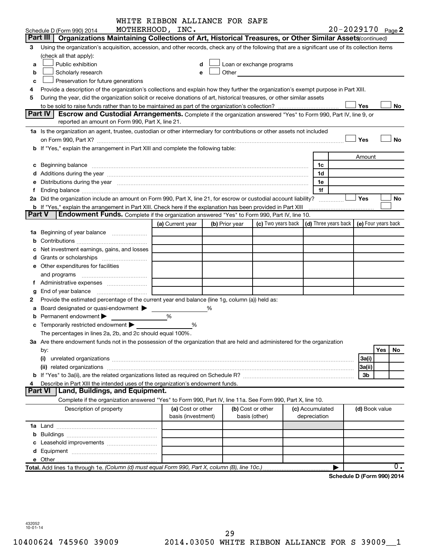|               |                                                                                                                                                                                                                                | WHITE RIBBON ALLIANCE FOR SAFE          |   |                |                                                                                                                                                                                                                               |                                 |                            |            |
|---------------|--------------------------------------------------------------------------------------------------------------------------------------------------------------------------------------------------------------------------------|-----------------------------------------|---|----------------|-------------------------------------------------------------------------------------------------------------------------------------------------------------------------------------------------------------------------------|---------------------------------|----------------------------|------------|
|               | Schedule D (Form 990) 2014                                                                                                                                                                                                     | MOTHERHOOD, INC.                        |   |                |                                                                                                                                                                                                                               |                                 | $20 - 2029170$ Page 2      |            |
|               | Part III<br>Organizations Maintaining Collections of Art, Historical Treasures, or Other Similar Assets (continued)                                                                                                            |                                         |   |                |                                                                                                                                                                                                                               |                                 |                            |            |
| З             | Using the organization's acquisition, accession, and other records, check any of the following that are a significant use of its collection items                                                                              |                                         |   |                |                                                                                                                                                                                                                               |                                 |                            |            |
|               | (check all that apply):                                                                                                                                                                                                        |                                         |   |                |                                                                                                                                                                                                                               |                                 |                            |            |
| a             | Public exhibition                                                                                                                                                                                                              | d                                       |   |                | Loan or exchange programs                                                                                                                                                                                                     |                                 |                            |            |
| b             | Scholarly research                                                                                                                                                                                                             | e                                       |   |                | Other and the contract of the contract of the contract of the contract of the contract of the contract of the contract of the contract of the contract of the contract of the contract of the contract of the contract of the |                                 |                            |            |
| c             | Preservation for future generations                                                                                                                                                                                            |                                         |   |                |                                                                                                                                                                                                                               |                                 |                            |            |
| 4             | Provide a description of the organization's collections and explain how they further the organization's exempt purpose in Part XIII.                                                                                           |                                         |   |                |                                                                                                                                                                                                                               |                                 |                            |            |
| 5             | During the year, did the organization solicit or receive donations of art, historical treasures, or other similar assets                                                                                                       |                                         |   |                |                                                                                                                                                                                                                               |                                 |                            |            |
|               |                                                                                                                                                                                                                                |                                         |   |                |                                                                                                                                                                                                                               |                                 | Yes                        | No         |
|               | Part IV<br>Escrow and Custodial Arrangements. Complete if the organization answered "Yes" to Form 990, Part IV, line 9, or                                                                                                     |                                         |   |                |                                                                                                                                                                                                                               |                                 |                            |            |
|               | reported an amount on Form 990, Part X, line 21.                                                                                                                                                                               |                                         |   |                |                                                                                                                                                                                                                               |                                 |                            |            |
|               | 1a Is the organization an agent, trustee, custodian or other intermediary for contributions or other assets not included                                                                                                       |                                         |   |                |                                                                                                                                                                                                                               |                                 |                            |            |
|               |                                                                                                                                                                                                                                |                                         |   |                |                                                                                                                                                                                                                               |                                 | Yes                        | No         |
|               | b If "Yes," explain the arrangement in Part XIII and complete the following table:                                                                                                                                             |                                         |   |                |                                                                                                                                                                                                                               |                                 |                            |            |
|               |                                                                                                                                                                                                                                |                                         |   |                |                                                                                                                                                                                                                               |                                 | Amount                     |            |
|               | c Beginning balance measurements and the contract of Beginning balance measurements are all the contract of the contract of the contract of the contract of the contract of the contract of the contract of the contract of th |                                         |   |                |                                                                                                                                                                                                                               | 1c                              |                            |            |
|               |                                                                                                                                                                                                                                |                                         |   |                |                                                                                                                                                                                                                               | 1d                              |                            |            |
|               | e Distributions during the year manufactured and contain an account of the year manufactured and the year manufactured and the year manufactured and the year manufactured and the year manufactured and the year manufactured |                                         |   |                |                                                                                                                                                                                                                               | 1е                              |                            |            |
| f.            |                                                                                                                                                                                                                                |                                         |   |                |                                                                                                                                                                                                                               | 1f                              |                            |            |
|               | 2a Did the organization include an amount on Form 990, Part X, line 21, for escrow or custodial account liability?                                                                                                             |                                         |   |                |                                                                                                                                                                                                                               |                                 | Yes                        | No         |
|               | b If "Yes," explain the arrangement in Part XIII. Check here if the explanation has been provided in Part XIII                                                                                                                 |                                         |   |                |                                                                                                                                                                                                                               |                                 |                            |            |
| <b>Part V</b> | Endowment Funds. Complete if the organization answered "Yes" to Form 990, Part IV, line 10.                                                                                                                                    |                                         |   |                |                                                                                                                                                                                                                               |                                 |                            |            |
|               |                                                                                                                                                                                                                                | (a) Current year                        |   | (b) Prior year | (c) Two years back $\vert$ (d) Three years back $\vert$ (e) Four years back                                                                                                                                                   |                                 |                            |            |
|               | 1a Beginning of year balance                                                                                                                                                                                                   |                                         |   |                |                                                                                                                                                                                                                               |                                 |                            |            |
| b             |                                                                                                                                                                                                                                |                                         |   |                |                                                                                                                                                                                                                               |                                 |                            |            |
| с             | Net investment earnings, gains, and losses                                                                                                                                                                                     |                                         |   |                |                                                                                                                                                                                                                               |                                 |                            |            |
|               |                                                                                                                                                                                                                                |                                         |   |                |                                                                                                                                                                                                                               |                                 |                            |            |
|               | e Other expenditures for facilities                                                                                                                                                                                            |                                         |   |                |                                                                                                                                                                                                                               |                                 |                            |            |
|               | and programs                                                                                                                                                                                                                   |                                         |   |                |                                                                                                                                                                                                                               |                                 |                            |            |
|               |                                                                                                                                                                                                                                |                                         |   |                |                                                                                                                                                                                                                               |                                 |                            |            |
| g             |                                                                                                                                                                                                                                |                                         |   |                |                                                                                                                                                                                                                               |                                 |                            |            |
| 2             | Provide the estimated percentage of the current year end balance (line 1g, column (a)) held as:                                                                                                                                |                                         |   |                |                                                                                                                                                                                                                               |                                 |                            |            |
| а             | Board designated or quasi-endowment                                                                                                                                                                                            |                                         | % |                |                                                                                                                                                                                                                               |                                 |                            |            |
|               | Permanent endowment                                                                                                                                                                                                            | %                                       |   |                |                                                                                                                                                                                                                               |                                 |                            |            |
|               | <b>c</b> Temporarily restricted endowment $\blacktriangleright$                                                                                                                                                                | %                                       |   |                |                                                                                                                                                                                                                               |                                 |                            |            |
|               | The percentages in lines 2a, 2b, and 2c should equal 100%.                                                                                                                                                                     |                                         |   |                |                                                                                                                                                                                                                               |                                 |                            |            |
|               | 3a Are there endowment funds not in the possession of the organization that are held and administered for the organization                                                                                                     |                                         |   |                |                                                                                                                                                                                                                               |                                 |                            |            |
|               | by:                                                                                                                                                                                                                            |                                         |   |                |                                                                                                                                                                                                                               |                                 |                            | Yes<br>No. |
|               | (i)                                                                                                                                                                                                                            |                                         |   |                |                                                                                                                                                                                                                               |                                 | 3a(i)                      |            |
|               |                                                                                                                                                                                                                                |                                         |   |                |                                                                                                                                                                                                                               |                                 | 3a(ii)                     |            |
|               |                                                                                                                                                                                                                                |                                         |   |                |                                                                                                                                                                                                                               |                                 | 3b                         |            |
| 4             | Describe in Part XIII the intended uses of the organization's endowment funds.<br>Land, Buildings, and Equipment.<br><b>Part VI</b>                                                                                            |                                         |   |                |                                                                                                                                                                                                                               |                                 |                            |            |
|               |                                                                                                                                                                                                                                |                                         |   |                |                                                                                                                                                                                                                               |                                 |                            |            |
|               | Complete if the organization answered "Yes" to Form 990, Part IV, line 11a. See Form 990, Part X, line 10.                                                                                                                     |                                         |   |                |                                                                                                                                                                                                                               |                                 |                            |            |
|               | Description of property                                                                                                                                                                                                        | (a) Cost or other<br>basis (investment) |   |                | (b) Cost or other<br>basis (other)                                                                                                                                                                                            | (c) Accumulated<br>depreciation | (d) Book value             |            |
|               |                                                                                                                                                                                                                                |                                         |   |                |                                                                                                                                                                                                                               |                                 |                            |            |
|               |                                                                                                                                                                                                                                |                                         |   |                |                                                                                                                                                                                                                               |                                 |                            |            |
| b             |                                                                                                                                                                                                                                |                                         |   |                |                                                                                                                                                                                                                               |                                 |                            |            |
|               |                                                                                                                                                                                                                                |                                         |   |                |                                                                                                                                                                                                                               |                                 |                            |            |
|               |                                                                                                                                                                                                                                |                                         |   |                |                                                                                                                                                                                                                               |                                 |                            |            |
|               |                                                                                                                                                                                                                                |                                         |   |                |                                                                                                                                                                                                                               |                                 |                            | 0.         |
|               | Total. Add lines 1a through 1e. (Column (d) must equal Form 990, Part X, column (B), line 10c.)                                                                                                                                |                                         |   |                |                                                                                                                                                                                                                               |                                 |                            |            |
|               |                                                                                                                                                                                                                                |                                         |   |                |                                                                                                                                                                                                                               |                                 | Schedule D (Form 990) 2014 |            |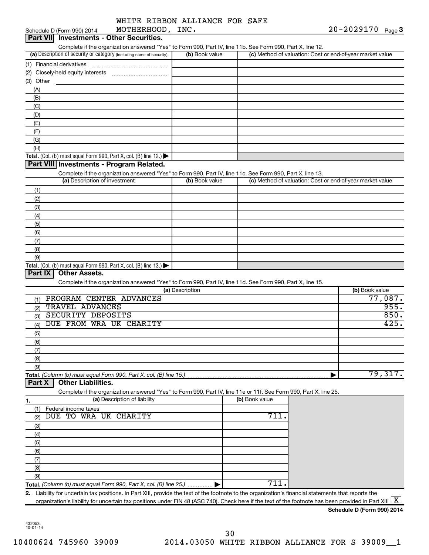|                 | WHITE RIBBON ALLIANCE FOR SAFE |  |
|-----------------|--------------------------------|--|
| אזור הממשפח שמא |                                |  |

| MOTHERHOOD, INC.<br>Schedule D (Form 990) 2014                                                                                                          |                 |                | 20-2029170 Page 3                                         |
|---------------------------------------------------------------------------------------------------------------------------------------------------------|-----------------|----------------|-----------------------------------------------------------|
| Part VII Investments - Other Securities.                                                                                                                |                 |                |                                                           |
| Complete if the organization answered "Yes" to Form 990, Part IV, line 11b. See Form 990, Part X, line 12.                                              |                 |                |                                                           |
| (a) Description of security or category (including name of security)                                                                                    | (b) Book value  |                | (c) Method of valuation: Cost or end-of-year market value |
| (1) Financial derivatives                                                                                                                               |                 |                |                                                           |
| (2) Closely-held equity interests                                                                                                                       |                 |                |                                                           |
| (3) Other<br>(A)                                                                                                                                        |                 |                |                                                           |
| (B)                                                                                                                                                     |                 |                |                                                           |
| (C)                                                                                                                                                     |                 |                |                                                           |
| (D)                                                                                                                                                     |                 |                |                                                           |
| (E)                                                                                                                                                     |                 |                |                                                           |
| (F)                                                                                                                                                     |                 |                |                                                           |
| (G)                                                                                                                                                     |                 |                |                                                           |
| (H)                                                                                                                                                     |                 |                |                                                           |
| Total. (Col. (b) must equal Form 990, Part X, col. (B) line 12.) $\blacktriangleright$                                                                  |                 |                |                                                           |
| Part VIII Investments - Program Related.                                                                                                                |                 |                |                                                           |
| Complete if the organization answered "Yes" to Form 990, Part IV, line 11c. See Form 990, Part X, line 13.                                              |                 |                |                                                           |
| (a) Description of investment                                                                                                                           | (b) Book value  |                | (c) Method of valuation: Cost or end-of-year market value |
| (1)                                                                                                                                                     |                 |                |                                                           |
| (2)                                                                                                                                                     |                 |                |                                                           |
| (3)                                                                                                                                                     |                 |                |                                                           |
| (4)                                                                                                                                                     |                 |                |                                                           |
| (5)                                                                                                                                                     |                 |                |                                                           |
| (6)                                                                                                                                                     |                 |                |                                                           |
| (7)                                                                                                                                                     |                 |                |                                                           |
| (8)                                                                                                                                                     |                 |                |                                                           |
| (9)                                                                                                                                                     |                 |                |                                                           |
| Total. (Col. (b) must equal Form 990, Part X, col. (B) line 13.) $\blacktriangleright$                                                                  |                 |                |                                                           |
| <b>Other Assets.</b><br>Part IX                                                                                                                         |                 |                |                                                           |
| Complete if the organization answered "Yes" to Form 990, Part IV, line 11d. See Form 990, Part X, line 15.                                              |                 |                |                                                           |
|                                                                                                                                                         | (a) Description |                | (b) Book value                                            |
| PROGRAM CENTER ADVANCES<br>(1)                                                                                                                          |                 |                | 77,087.                                                   |
| TRAVEL ADVANCES<br>(2)                                                                                                                                  |                 |                | 955.                                                      |
| SECURITY DEPOSITS<br>(3)                                                                                                                                |                 |                | 850.                                                      |
| DUE FROM WRA UK CHARITY<br>(4)                                                                                                                          |                 |                | 425.                                                      |
| (5)                                                                                                                                                     |                 |                |                                                           |
| (6)                                                                                                                                                     |                 |                |                                                           |
| (7)                                                                                                                                                     |                 |                |                                                           |
| (8)                                                                                                                                                     |                 |                |                                                           |
| (9)                                                                                                                                                     |                 |                |                                                           |
| Total. (Column (b) must equal Form 990, Part X, col. (B) line 15.)                                                                                      |                 |                | 79,317.                                                   |
| <b>Other Liabilities.</b><br>Part X                                                                                                                     |                 |                |                                                           |
| Complete if the organization answered "Yes" to Form 990, Part IV, line 11e or 11f. See Form 990, Part X, line 25.                                       |                 |                |                                                           |
| (a) Description of liability<br>1.                                                                                                                      |                 | (b) Book value |                                                           |
| (1)<br>Federal income taxes                                                                                                                             |                 |                |                                                           |
| DUE TO WRA UK CHARITY<br>(2)                                                                                                                            |                 | 711            |                                                           |
| (3)                                                                                                                                                     |                 |                |                                                           |
| (4)                                                                                                                                                     |                 |                |                                                           |
| (5)                                                                                                                                                     |                 |                |                                                           |
| (6)                                                                                                                                                     |                 |                |                                                           |
| (7)                                                                                                                                                     |                 |                |                                                           |
| (8)                                                                                                                                                     |                 |                |                                                           |
| (9)                                                                                                                                                     |                 | 711            |                                                           |
| Total. (Column (b) must equal Form 990, Part X, col. (B) line 25.)                                                                                      |                 |                |                                                           |
| Liability for uncertain tax positions. In Part XIII, provide the text of the footnote to the organization's financial statements that reports the<br>2. |                 |                |                                                           |
| organization's liability for uncertain tax positions under FIN 48 (ASC 740). Check here if the text of the footnote has been provided in Part XIII      |                 |                | X.                                                        |
|                                                                                                                                                         |                 |                | Schedule D (Form 990) 2014                                |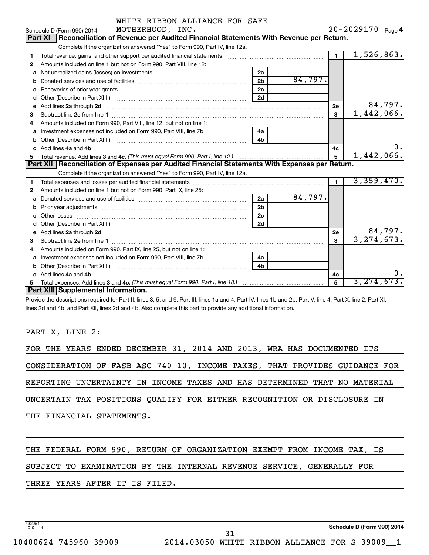|   | WHITE RIBBON ALLIANCE FOR SAFE                                                                        |                |                                                                                                                                                                                                                                                                                                                                                               |                |                   |
|---|-------------------------------------------------------------------------------------------------------|----------------|---------------------------------------------------------------------------------------------------------------------------------------------------------------------------------------------------------------------------------------------------------------------------------------------------------------------------------------------------------------|----------------|-------------------|
|   | MOTHERHOOD, INC.<br>Schedule D (Form 990) 2014                                                        |                |                                                                                                                                                                                                                                                                                                                                                               |                | 20-2029170 Page 4 |
|   | Reconciliation of Revenue per Audited Financial Statements With Revenue per Return.<br><b>Part XI</b> |                |                                                                                                                                                                                                                                                                                                                                                               |                |                   |
|   | Complete if the organization answered "Yes" to Form 990, Part IV, line 12a.                           |                |                                                                                                                                                                                                                                                                                                                                                               |                |                   |
| 1 | Total revenue, gains, and other support per audited financial statements                              |                | $\mathcal{L} = \{1, 2, \ldots, 2, \ldots, 2, \ldots, 2, \ldots, 2, \ldots, 2, \ldots, 2, \ldots, 2, \ldots, 2, \ldots, 2, \ldots, 2, \ldots, 2, \ldots, 2, \ldots, 2, \ldots, 2, \ldots, 2, \ldots, 2, \ldots, 2, \ldots, 2, \ldots, 2, \ldots, 2, \ldots, 2, \ldots, 2, \ldots, 2, \ldots, 2, \ldots, 2, \ldots, 2, \ldots, 2, \ldots, 2, \ldots, 2, \ldots$ | $\overline{1}$ | 1,526,863.        |
| 2 | Amounts included on line 1 but not on Form 990, Part VIII, line 12:                                   |                |                                                                                                                                                                                                                                                                                                                                                               |                |                   |
|   |                                                                                                       | 2a             |                                                                                                                                                                                                                                                                                                                                                               |                |                   |
| b |                                                                                                       | 2 <sub>b</sub> | 84,797.                                                                                                                                                                                                                                                                                                                                                       |                |                   |
|   |                                                                                                       | 2c             |                                                                                                                                                                                                                                                                                                                                                               |                |                   |
| d |                                                                                                       | 2d             |                                                                                                                                                                                                                                                                                                                                                               |                |                   |
|   | e Add lines 2a through 2d                                                                             |                |                                                                                                                                                                                                                                                                                                                                                               | 2e             | 84,797.           |
| 3 |                                                                                                       |                |                                                                                                                                                                                                                                                                                                                                                               | $\mathbf{a}$   | 1,442,066.        |
| 4 | Amounts included on Form 990, Part VIII, line 12, but not on line 1:                                  |                |                                                                                                                                                                                                                                                                                                                                                               |                |                   |
|   | a Investment expenses not included on Form 990, Part VIII, line 7b [11, 11, 11, 11]                   | 4a             |                                                                                                                                                                                                                                                                                                                                                               |                |                   |
|   |                                                                                                       | 4h             |                                                                                                                                                                                                                                                                                                                                                               |                |                   |
|   | c Add lines 4a and 4b                                                                                 |                |                                                                                                                                                                                                                                                                                                                                                               | 4c             | $0 \cdot$         |
|   |                                                                                                       | 5              | 1,442,066.                                                                                                                                                                                                                                                                                                                                                    |                |                   |
|   | Part XII   Reconciliation of Expenses per Audited Financial Statements With Expenses per Return.      |                |                                                                                                                                                                                                                                                                                                                                                               |                |                   |
|   | Complete if the organization answered "Yes" to Form 990, Part IV, line 12a.                           |                |                                                                                                                                                                                                                                                                                                                                                               |                |                   |
| 1 |                                                                                                       |                |                                                                                                                                                                                                                                                                                                                                                               | $\blacksquare$ | 3,359,470.        |
| 2 | Amounts included on line 1 but not on Form 990, Part IX, line 25:                                     |                |                                                                                                                                                                                                                                                                                                                                                               |                |                   |
|   |                                                                                                       | 2a             | 84,797.                                                                                                                                                                                                                                                                                                                                                       |                |                   |
| b |                                                                                                       | 2 <sub>b</sub> |                                                                                                                                                                                                                                                                                                                                                               |                |                   |
|   |                                                                                                       | 2c             |                                                                                                                                                                                                                                                                                                                                                               |                |                   |
|   |                                                                                                       | 2d             |                                                                                                                                                                                                                                                                                                                                                               |                |                   |
|   |                                                                                                       |                |                                                                                                                                                                                                                                                                                                                                                               | 2е             | 84,797.           |
| 3 |                                                                                                       |                |                                                                                                                                                                                                                                                                                                                                                               | $\mathbf{a}$   | 3, 274, 673.      |
| 4 | Amounts included on Form 990, Part IX, line 25, but not on line 1:                                    |                |                                                                                                                                                                                                                                                                                                                                                               |                |                   |
|   |                                                                                                       |                |                                                                                                                                                                                                                                                                                                                                                               |                |                   |
|   | a Investment expenses not included on Form 990, Part VIII, line 7b                                    | 4a             |                                                                                                                                                                                                                                                                                                                                                               |                |                   |
|   |                                                                                                       | 4h             |                                                                                                                                                                                                                                                                                                                                                               |                |                   |
|   | c Add lines 4a and 4b                                                                                 |                |                                                                                                                                                                                                                                                                                                                                                               | 4с             | о.                |
|   | Part XIII Supplemental Information.                                                                   |                |                                                                                                                                                                                                                                                                                                                                                               | 5              | 3, 274, 673.      |

Provide the descriptions required for Part II, lines 3, 5, and 9; Part III, lines 1a and 4; Part IV, lines 1b and 2b; Part V, line 4; Part X, line 2; Part XI, lines 2d and 4b; and Part XII, lines 2d and 4b. Also complete this part to provide any additional information.

PART X, LINE 2:

| FOR THE YEARS ENDED DECEMBER 31, 2014 AND 2013, WRA HAS DOCUMENTED ITS     |
|----------------------------------------------------------------------------|
| CONSIDERATION OF FASB ASC 740-10, INCOME TAXES, THAT PROVIDES GUIDANCE FOR |
| REPORTING UNCERTAINTY IN INCOME TAXES AND HAS DETERMINED THAT NO MATERIAL  |
| UNCERTAIN TAX POSITIONS QUALIFY FOR EITHER RECOGNITION OR DISCLOSURE IN    |
| THE FINANCIAL STATEMENTS.                                                  |
| THE FEDERAL FORM 990, RETURN OF ORGANIZATION EXEMPT FROM INCOME TAX, IS    |
| SUBJECT TO EXAMINATION BY THE INTERNAL REVENUE SERVICE, GENERALLY FOR      |
| THREE YEARS AFTER IT IS FILED.                                             |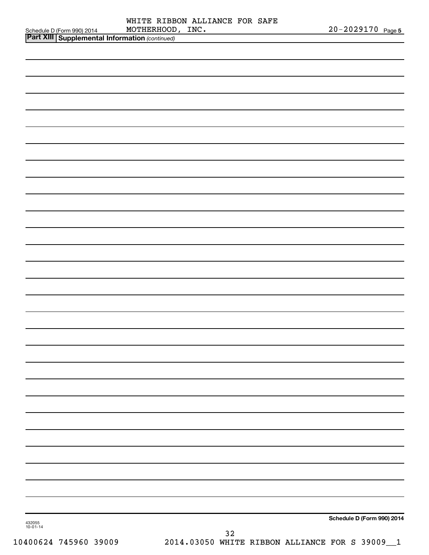|                    |                                                                                                | MOTHERHOOD, INC. | 20-2029170 Page 5          |
|--------------------|------------------------------------------------------------------------------------------------|------------------|----------------------------|
|                    | Schedule D (Form 990) 2014 MOTHERHOOD<br><b>Part XIII Supplemental Information</b> (continued) |                  |                            |
|                    |                                                                                                |                  |                            |
|                    |                                                                                                |                  |                            |
|                    |                                                                                                |                  |                            |
|                    |                                                                                                |                  |                            |
|                    |                                                                                                |                  |                            |
|                    |                                                                                                |                  |                            |
|                    |                                                                                                |                  |                            |
|                    |                                                                                                |                  |                            |
|                    |                                                                                                |                  |                            |
|                    |                                                                                                |                  |                            |
|                    |                                                                                                |                  |                            |
|                    |                                                                                                |                  |                            |
|                    |                                                                                                |                  |                            |
|                    |                                                                                                |                  |                            |
|                    |                                                                                                |                  |                            |
|                    |                                                                                                |                  |                            |
|                    |                                                                                                |                  |                            |
|                    |                                                                                                |                  |                            |
|                    |                                                                                                |                  |                            |
|                    |                                                                                                |                  |                            |
|                    |                                                                                                |                  |                            |
|                    |                                                                                                |                  |                            |
|                    |                                                                                                |                  |                            |
|                    |                                                                                                |                  |                            |
|                    |                                                                                                |                  |                            |
|                    |                                                                                                |                  |                            |
|                    |                                                                                                |                  |                            |
|                    |                                                                                                |                  |                            |
|                    |                                                                                                |                  |                            |
|                    |                                                                                                |                  |                            |
|                    |                                                                                                |                  |                            |
|                    |                                                                                                |                  |                            |
|                    |                                                                                                |                  |                            |
|                    |                                                                                                |                  |                            |
|                    |                                                                                                |                  |                            |
|                    |                                                                                                |                  |                            |
|                    |                                                                                                |                  |                            |
|                    |                                                                                                |                  |                            |
|                    |                                                                                                |                  |                            |
|                    |                                                                                                |                  |                            |
|                    |                                                                                                |                  |                            |
|                    |                                                                                                |                  |                            |
|                    |                                                                                                |                  |                            |
|                    |                                                                                                |                  |                            |
|                    |                                                                                                |                  |                            |
|                    |                                                                                                |                  |                            |
|                    |                                                                                                |                  |                            |
|                    |                                                                                                |                  |                            |
|                    |                                                                                                |                  |                            |
|                    |                                                                                                |                  |                            |
|                    |                                                                                                |                  | Schedule D (Form 990) 2014 |
| 432055<br>10-01-14 |                                                                                                |                  |                            |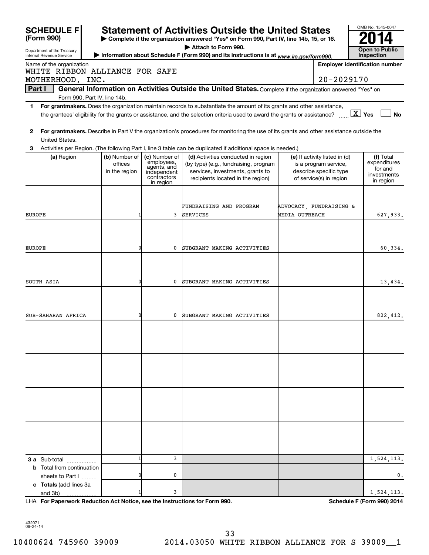| <b>SCHEDULE F</b><br>(Form 990)                            |                              |                            | <b>Statement of Activities Outside the United States</b><br>> Complete if the organization answered "Yes" on Form 990, Part IV, line 14b, 15, or 16. |                |                                                   |                        | OMB No. 1545-0047                     |
|------------------------------------------------------------|------------------------------|----------------------------|------------------------------------------------------------------------------------------------------------------------------------------------------|----------------|---------------------------------------------------|------------------------|---------------------------------------|
| Department of the Treasury                                 |                              |                            | Attach to Form 990.                                                                                                                                  |                |                                                   |                        | <b>Open to Public</b>                 |
| Internal Revenue Service                                   |                              |                            | Information about Schedule F (Form 990) and its instructions is at www.irs.gov/form990.                                                              |                |                                                   |                        | Inspection                            |
| Name of the organization<br>WHITE RIBBON ALLIANCE FOR SAFE |                              |                            |                                                                                                                                                      |                |                                                   |                        | <b>Employer identification number</b> |
| MOTHERHOOD, INC.                                           |                              |                            |                                                                                                                                                      |                | 20-2029170                                        |                        |                                       |
| Part I                                                     |                              |                            | General Information on Activities Outside the United States. Complete if the organization answered "Yes" on                                          |                |                                                   |                        |                                       |
|                                                            | Form 990, Part IV, line 14b. |                            |                                                                                                                                                      |                |                                                   |                        |                                       |
| $\mathbf 1$                                                |                              |                            | For grantmakers. Does the organization maintain records to substantiate the amount of its grants and other assistance,                               |                |                                                   |                        |                                       |
|                                                            |                              |                            | the grantees' eligibility for the grants or assistance, and the selection criteria used to award the grants or assistance?                           |                |                                                   | $\boxed{\text{X}}$ Yes | <b>No</b>                             |
| 2                                                          |                              |                            | For grantmakers. Describe in Part V the organization's procedures for monitoring the use of its grants and other assistance outside the              |                |                                                   |                        |                                       |
| United States.                                             |                              |                            |                                                                                                                                                      |                |                                                   |                        |                                       |
| 3                                                          |                              |                            | Activities per Region. (The following Part I, line 3 table can be duplicated if additional space is needed.)                                         |                |                                                   |                        |                                       |
| (a) Region                                                 | (b) Number of                | (c) Number of              | (d) Activities conducted in region                                                                                                                   |                | (e) If activity listed in (d)                     |                        | (f) Total                             |
|                                                            | offices                      | employees,<br>agents, and  | (by type) (e.g., fundraising, program                                                                                                                |                | is a program service,                             |                        | expenditures<br>for and               |
|                                                            | in the region                | independent<br>contractors | services, investments, grants to<br>recipients located in the region)                                                                                |                | describe specific type<br>of service(s) in region |                        | investments                           |
|                                                            |                              | in region                  |                                                                                                                                                      |                |                                                   |                        | in region                             |
|                                                            |                              |                            |                                                                                                                                                      |                |                                                   |                        |                                       |
|                                                            |                              |                            | FUNDRAISING AND PROGRAM                                                                                                                              |                | ADVOCACY, FUNDRAISING &                           |                        |                                       |
| EUROPE                                                     | 1                            | 3                          | <b>SERVICES</b>                                                                                                                                      | MEDIA OUTREACH |                                                   |                        | 627,933.                              |
|                                                            |                              |                            |                                                                                                                                                      |                |                                                   |                        |                                       |
|                                                            |                              |                            |                                                                                                                                                      |                |                                                   |                        |                                       |
|                                                            |                              |                            |                                                                                                                                                      |                |                                                   |                        |                                       |
| EUROPE                                                     | 0                            | 0                          | SUBGRANT MAKING ACTIVITIES                                                                                                                           |                |                                                   |                        | 60,334.                               |
|                                                            |                              |                            |                                                                                                                                                      |                |                                                   |                        |                                       |
|                                                            |                              |                            |                                                                                                                                                      |                |                                                   |                        |                                       |
| SOUTH ASIA                                                 | 0                            | 0                          | SUBGRANT MAKING ACTIVITIES                                                                                                                           |                |                                                   |                        | 13,434.                               |
|                                                            |                              |                            |                                                                                                                                                      |                |                                                   |                        |                                       |
|                                                            |                              |                            |                                                                                                                                                      |                |                                                   |                        |                                       |
|                                                            |                              |                            |                                                                                                                                                      |                |                                                   |                        |                                       |
| SUB-SAHARAN AFRICA                                         | 0                            | 0                          | SUBGRANT MAKING ACTIVITIES                                                                                                                           |                |                                                   |                        | 822, 412.                             |
|                                                            |                              |                            |                                                                                                                                                      |                |                                                   |                        |                                       |
|                                                            |                              |                            |                                                                                                                                                      |                |                                                   |                        |                                       |
|                                                            |                              |                            |                                                                                                                                                      |                |                                                   |                        |                                       |
|                                                            |                              |                            |                                                                                                                                                      |                |                                                   |                        |                                       |
|                                                            |                              |                            |                                                                                                                                                      |                |                                                   |                        |                                       |
|                                                            |                              |                            |                                                                                                                                                      |                |                                                   |                        |                                       |
|                                                            |                              |                            |                                                                                                                                                      |                |                                                   |                        |                                       |
|                                                            |                              |                            |                                                                                                                                                      |                |                                                   |                        |                                       |
|                                                            |                              |                            |                                                                                                                                                      |                |                                                   |                        |                                       |
|                                                            |                              |                            |                                                                                                                                                      |                |                                                   |                        |                                       |
|                                                            |                              |                            |                                                                                                                                                      |                |                                                   |                        |                                       |
|                                                            |                              |                            |                                                                                                                                                      |                |                                                   |                        |                                       |
|                                                            |                              |                            |                                                                                                                                                      |                |                                                   |                        |                                       |
|                                                            |                              |                            |                                                                                                                                                      |                |                                                   |                        |                                       |
| <b>3 a</b> Sub-total                                       |                              | 3                          |                                                                                                                                                      |                |                                                   |                        | 1,524,113.                            |
| <b>b</b> Total from continuation                           |                              | 0                          |                                                                                                                                                      |                |                                                   |                        | 0.                                    |
| sheets to Part I<br>c Totals (add lines 3a                 |                              |                            |                                                                                                                                                      |                |                                                   |                        |                                       |
| and 3b)                                                    |                              | 3                          |                                                                                                                                                      |                |                                                   |                        | 1,524,113.                            |
|                                                            |                              |                            |                                                                                                                                                      |                |                                                   |                        |                                       |

**For Paperwork Reduction Act Notice, see the Instructions for Form 990. Schedule F (Form 990) 2014** LHA

432071 09-24-14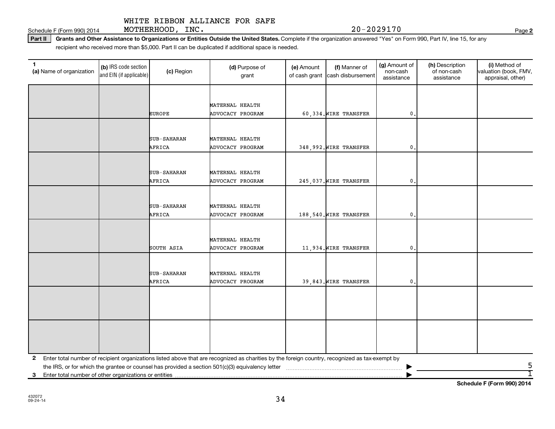Schedule F (Form 990) 2014 MOTHERHOOD,  $INC.$  Page  $20-2029170$ 

Part II | Grants and Other Assistance to Organizations or Entities Outside the United States. Complete if the organization answered "Yes" on Form 990, Part IV, line 15, for any recipient who received more than \$5,000. Part II can be duplicated if additional space is needed.

| 1<br>(a) Name of organization                              | (b) IRS code section<br>and EIN (if applicable) | (c) Region                   | (d) Purpose of<br>grant                                                                                                                         | (e) Amount<br>of cash grant | (f) Manner of<br>cash disbursement | (g) Amount of<br>non-cash<br>assistance | (h) Description<br>of non-cash<br>assistance | (i) Method of<br>valuation (book, FMV,<br>appraisal, other) |
|------------------------------------------------------------|-------------------------------------------------|------------------------------|-------------------------------------------------------------------------------------------------------------------------------------------------|-----------------------------|------------------------------------|-----------------------------------------|----------------------------------------------|-------------------------------------------------------------|
|                                                            |                                                 |                              |                                                                                                                                                 |                             |                                    |                                         |                                              |                                                             |
|                                                            |                                                 |                              | MATERNAL HEALTH                                                                                                                                 |                             |                                    |                                         |                                              |                                                             |
|                                                            |                                                 | <b>EUROPE</b>                | ADVOCACY PROGRAM                                                                                                                                |                             | 60,334. WIRE TRANSFER              | $\mathbf{0}$                            |                                              |                                                             |
|                                                            |                                                 |                              |                                                                                                                                                 |                             |                                    |                                         |                                              |                                                             |
|                                                            |                                                 | <b>SUB-SAHARAN</b>           | MATERNAL HEALTH                                                                                                                                 |                             |                                    |                                         |                                              |                                                             |
|                                                            |                                                 | AFRICA                       | ADVOCACY PROGRAM                                                                                                                                |                             | 348,992. WIRE TRANSFER             | $\mathfrak o$ .                         |                                              |                                                             |
|                                                            |                                                 |                              |                                                                                                                                                 |                             |                                    |                                         |                                              |                                                             |
|                                                            |                                                 |                              |                                                                                                                                                 |                             |                                    |                                         |                                              |                                                             |
|                                                            |                                                 | <b>SUB-SAHARAN</b><br>AFRICA | MATERNAL HEALTH<br>ADVOCACY PROGRAM                                                                                                             |                             | 245,037. WIRE TRANSFER             | $\mathbf 0$ .                           |                                              |                                                             |
|                                                            |                                                 |                              |                                                                                                                                                 |                             |                                    |                                         |                                              |                                                             |
|                                                            |                                                 |                              |                                                                                                                                                 |                             |                                    |                                         |                                              |                                                             |
|                                                            |                                                 | SUB-SAHARAN                  | MATERNAL HEALTH                                                                                                                                 |                             |                                    |                                         |                                              |                                                             |
|                                                            |                                                 | AFRICA                       | ADVOCACY PROGRAM                                                                                                                                |                             | 188,540. WIRE TRANSFER             | $\mathbf{0}$                            |                                              |                                                             |
|                                                            |                                                 |                              |                                                                                                                                                 |                             |                                    |                                         |                                              |                                                             |
|                                                            |                                                 |                              | MATERNAL HEALTH                                                                                                                                 |                             |                                    |                                         |                                              |                                                             |
|                                                            |                                                 | SOUTH ASIA                   | ADVOCACY PROGRAM                                                                                                                                |                             | 11,934. WIRE TRANSFER              | $\mathbf{0}$                            |                                              |                                                             |
|                                                            |                                                 |                              |                                                                                                                                                 |                             |                                    |                                         |                                              |                                                             |
|                                                            |                                                 | <b>SUB-SAHARAN</b>           | <b>MATERNAL HEALTH</b>                                                                                                                          |                             |                                    |                                         |                                              |                                                             |
|                                                            |                                                 | AFRICA                       | ADVOCACY PROGRAM                                                                                                                                |                             | 39,843. WIRE TRANSFER              | 0.                                      |                                              |                                                             |
|                                                            |                                                 |                              |                                                                                                                                                 |                             |                                    |                                         |                                              |                                                             |
|                                                            |                                                 |                              |                                                                                                                                                 |                             |                                    |                                         |                                              |                                                             |
|                                                            |                                                 |                              |                                                                                                                                                 |                             |                                    |                                         |                                              |                                                             |
|                                                            |                                                 |                              |                                                                                                                                                 |                             |                                    |                                         |                                              |                                                             |
|                                                            |                                                 |                              |                                                                                                                                                 |                             |                                    |                                         |                                              |                                                             |
|                                                            |                                                 |                              |                                                                                                                                                 |                             |                                    |                                         |                                              |                                                             |
| 2                                                          |                                                 |                              | Enter total number of recipient organizations listed above that are recognized as charities by the foreign country, recognized as tax-exempt by |                             |                                    |                                         |                                              |                                                             |
|                                                            |                                                 |                              |                                                                                                                                                 |                             |                                    |                                         |                                              | 5                                                           |
| Enter total number of other organizations or entities<br>3 |                                                 |                              |                                                                                                                                                 |                             |                                    |                                         |                                              | 1                                                           |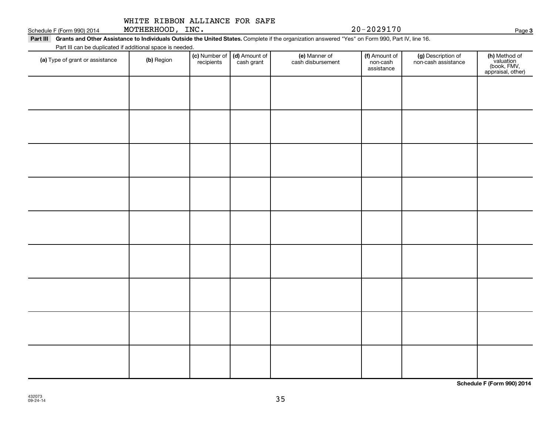Schedule F (Form 990) 2014 MOTHERHOOD,  $INC.$  Page  $20-2029170$ 

Part III Grants and Other Assistance to Individuals Outside the United States. Complete if the organization answered "Yes" on Form 990, Part IV, line 16. Part III can be duplicated if additional space is needed.

| $x_1, \ldots, x_n, \ldots, x_n$ and $x_1, \ldots, x_n$<br>(a) Type of grant or assistance | (b) Region | recipients | (c) Number of (d) Amount of<br>cash grant | (e) Manner of<br>cash disbursement | (f) Amount of<br>non-cash<br>assistance | (g) Description of<br>non-cash assistance | (h) Method of<br>valuation<br>(book, FMV,<br>appraisal, other) |
|-------------------------------------------------------------------------------------------|------------|------------|-------------------------------------------|------------------------------------|-----------------------------------------|-------------------------------------------|----------------------------------------------------------------|
|                                                                                           |            |            |                                           |                                    |                                         |                                           |                                                                |
|                                                                                           |            |            |                                           |                                    |                                         |                                           |                                                                |
|                                                                                           |            |            |                                           |                                    |                                         |                                           |                                                                |
|                                                                                           |            |            |                                           |                                    |                                         |                                           |                                                                |
|                                                                                           |            |            |                                           |                                    |                                         |                                           |                                                                |
|                                                                                           |            |            |                                           |                                    |                                         |                                           |                                                                |
|                                                                                           |            |            |                                           |                                    |                                         |                                           |                                                                |
|                                                                                           |            |            |                                           |                                    |                                         |                                           |                                                                |
|                                                                                           |            |            |                                           |                                    |                                         |                                           |                                                                |
|                                                                                           |            |            |                                           |                                    |                                         |                                           |                                                                |
|                                                                                           |            |            |                                           |                                    |                                         |                                           |                                                                |
|                                                                                           |            |            |                                           |                                    |                                         |                                           |                                                                |

**Schedule F (Form 990) 2014**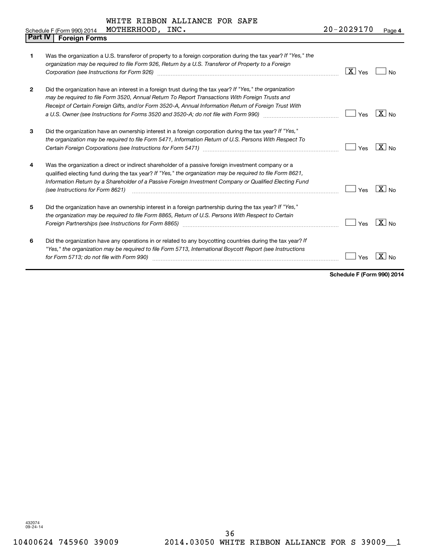| <b>Part IV</b> | <b>Foreign Forms</b>                                                                                                                                                                                                                                                                                                                                                                                                                   |                                             |                   |
|----------------|----------------------------------------------------------------------------------------------------------------------------------------------------------------------------------------------------------------------------------------------------------------------------------------------------------------------------------------------------------------------------------------------------------------------------------------|---------------------------------------------|-------------------|
| 1              | Was the organization a U.S. transferor of property to a foreign corporation during the tax year? If "Yes," the<br>organization may be required to file Form 926, Return by a U.S. Transferor of Property to a Foreign<br>Corporation (see Instructions for Form 926) manufactured controller controller to the control of the control of                                                                                               | $\mid$ X $\mid$ $\mid$ $\mid$ $\mid$ $\mid$ | N٥                |
| $\overline{2}$ | Did the organization have an interest in a foreign trust during the tax year? If "Yes," the organization<br>may be required to file Form 3520, Annual Return To Report Transactions With Foreign Trusts and<br>Receipt of Certain Foreign Gifts, and/or Form 3520-A, Annual Information Return of Foreign Trust With<br>a U.S. Owner (see Instructions for Forms 3520 and 3520-A; do not file with Form 990) manual content of the Min | Yes                                         | $X _{N0}$         |
| 3              | Did the organization have an ownership interest in a foreign corporation during the tax year? If "Yes,"<br>the organization may be required to file Form 5471, Information Return of U.S. Persons With Respect To                                                                                                                                                                                                                      | Yes                                         | $\overline{X}$ No |
| 4              | Was the organization a direct or indirect shareholder of a passive foreign investment company or a<br>qualified electing fund during the tax year? If "Yes," the organization may be required to file Form 8621,<br>Information Return by a Shareholder of a Passive Foreign Investment Company or Qualified Electing Fund<br>(see Instructions for Form 8621)                                                                         | Yes                                         | $ X _{\text{No}}$ |
| 5              | Did the organization have an ownership interest in a foreign partnership during the tax year? If "Yes,"<br>the organization may be required to file Form 8865, Return of U.S. Persons With Respect to Certain<br>Foreign Partnerships (see Instructions for Form 8865) manufactured content content content content content content                                                                                                    | Yes                                         | $X _{\text{No}}$  |
| 6              | Did the organization have any operations in or related to any boycotting countries during the tax year? If<br>"Yes," the organization may be required to file Form 5713, International Boycott Report (see Instructions<br>for Form 5713; do not file with Form 990)                                                                                                                                                                   | Yes                                         |                   |

**Schedule F (Form 990) 2014**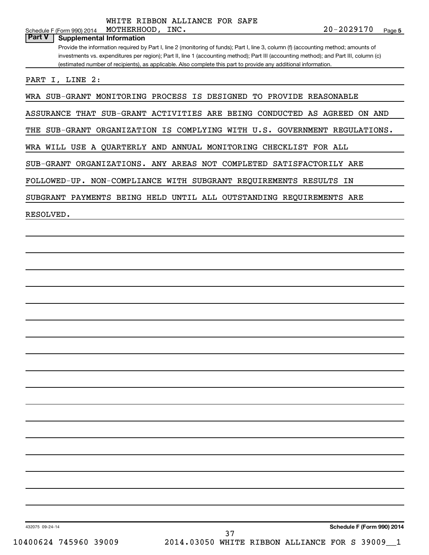| WHITE RIBBON ALLIANCE FOR SAFE<br>MOTHERHOOD, INC.<br>Schedule F (Form 990) 2014                                                                                                                                                                                                                                                                                                                                                                    | $20 - 2029170$ | Page 5 |
|-----------------------------------------------------------------------------------------------------------------------------------------------------------------------------------------------------------------------------------------------------------------------------------------------------------------------------------------------------------------------------------------------------------------------------------------------------|----------------|--------|
| <b>Part V</b><br><b>Supplemental Information</b><br>Provide the information required by Part I, line 2 (monitoring of funds); Part I, line 3, column (f) (accounting method; amounts of<br>investments vs. expenditures per region); Part II, line 1 (accounting method); Part III (accounting method); and Part III, column (c)<br>(estimated number of recipients), as applicable. Also complete this part to provide any additional information. |                |        |
| PART I, LINE 2:                                                                                                                                                                                                                                                                                                                                                                                                                                     |                |        |
| WRA SUB-GRANT MONITORING PROCESS IS DESIGNED TO PROVIDE REASONABLE                                                                                                                                                                                                                                                                                                                                                                                  |                |        |
| ASSURANCE THAT SUB-GRANT ACTIVITIES ARE BEING CONDUCTED AS AGREED ON AND                                                                                                                                                                                                                                                                                                                                                                            |                |        |
| THE SUB-GRANT ORGANIZATION IS COMPLYING WITH U.S. GOVERNMENT REGULATIONS.                                                                                                                                                                                                                                                                                                                                                                           |                |        |
| WRA WILL USE A QUARTERLY AND ANNUAL MONITORING CHECKLIST FOR ALL                                                                                                                                                                                                                                                                                                                                                                                    |                |        |
| SUB-GRANT ORGANIZATIONS. ANY AREAS NOT COMPLETED SATISFACTORILY ARE                                                                                                                                                                                                                                                                                                                                                                                 |                |        |
| FOLLOWED-UP. NON-COMPLIANCE WITH SUBGRANT REQUIREMENTS RESULTS IN                                                                                                                                                                                                                                                                                                                                                                                   |                |        |
| SUBGRANT PAYMENTS BEING HELD UNTIL ALL OUTSTANDING REQUIREMENTS ARE                                                                                                                                                                                                                                                                                                                                                                                 |                |        |
| RESOLVED.                                                                                                                                                                                                                                                                                                                                                                                                                                           |                |        |
|                                                                                                                                                                                                                                                                                                                                                                                                                                                     |                |        |
|                                                                                                                                                                                                                                                                                                                                                                                                                                                     |                |        |
|                                                                                                                                                                                                                                                                                                                                                                                                                                                     |                |        |
|                                                                                                                                                                                                                                                                                                                                                                                                                                                     |                |        |
|                                                                                                                                                                                                                                                                                                                                                                                                                                                     |                |        |
|                                                                                                                                                                                                                                                                                                                                                                                                                                                     |                |        |
|                                                                                                                                                                                                                                                                                                                                                                                                                                                     |                |        |
|                                                                                                                                                                                                                                                                                                                                                                                                                                                     |                |        |
|                                                                                                                                                                                                                                                                                                                                                                                                                                                     |                |        |
|                                                                                                                                                                                                                                                                                                                                                                                                                                                     |                |        |
|                                                                                                                                                                                                                                                                                                                                                                                                                                                     |                |        |
|                                                                                                                                                                                                                                                                                                                                                                                                                                                     |                |        |
|                                                                                                                                                                                                                                                                                                                                                                                                                                                     |                |        |
|                                                                                                                                                                                                                                                                                                                                                                                                                                                     |                |        |
|                                                                                                                                                                                                                                                                                                                                                                                                                                                     |                |        |
|                                                                                                                                                                                                                                                                                                                                                                                                                                                     |                |        |
|                                                                                                                                                                                                                                                                                                                                                                                                                                                     |                |        |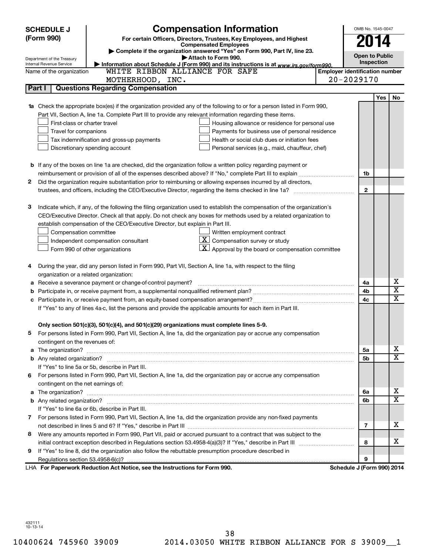|    | <b>SCHEDULE J</b>                                      | <b>Compensation Information</b>                                                                                           |                                       | OMB No. 1545-0047          |            |                              |
|----|--------------------------------------------------------|---------------------------------------------------------------------------------------------------------------------------|---------------------------------------|----------------------------|------------|------------------------------|
|    | (Form 990)                                             | For certain Officers, Directors, Trustees, Key Employees, and Highest                                                     |                                       |                            |            |                              |
|    |                                                        | <b>Compensated Employees</b>                                                                                              |                                       | 2014                       |            |                              |
|    |                                                        | Complete if the organization answered "Yes" on Form 990, Part IV, line 23.<br>Attach to Form 990.                         |                                       | <b>Open to Public</b>      |            |                              |
|    | Department of the Treasury<br>Internal Revenue Service | Information about Schedule J (Form 990) and its instructions is at www.irs.gov/form990.                                   |                                       | Inspection                 |            |                              |
|    | Name of the organization                               | WHITE RIBBON ALLIANCE FOR SAFE                                                                                            | <b>Employer identification number</b> |                            |            |                              |
|    |                                                        | MOTHERHOOD, INC.                                                                                                          |                                       | 20-2029170                 |            |                              |
|    | Part I                                                 | <b>Questions Regarding Compensation</b>                                                                                   |                                       |                            |            |                              |
|    |                                                        |                                                                                                                           |                                       |                            | <b>Yes</b> | No                           |
|    |                                                        | 1a Check the appropriate box(es) if the organization provided any of the following to or for a person listed in Form 990, |                                       |                            |            |                              |
|    |                                                        | Part VII, Section A, line 1a. Complete Part III to provide any relevant information regarding these items.                |                                       |                            |            |                              |
|    | First-class or charter travel                          | Housing allowance or residence for personal use                                                                           |                                       |                            |            |                              |
|    | Travel for companions                                  | Payments for business use of personal residence                                                                           |                                       |                            |            |                              |
|    |                                                        | Health or social club dues or initiation fees<br>Tax indemnification and gross-up payments                                |                                       |                            |            |                              |
|    |                                                        | Discretionary spending account<br>Personal services (e.g., maid, chauffeur, chef)                                         |                                       |                            |            |                              |
|    |                                                        |                                                                                                                           |                                       |                            |            |                              |
|    |                                                        | <b>b</b> If any of the boxes on line 1a are checked, did the organization follow a written policy regarding payment or    |                                       |                            |            |                              |
|    |                                                        |                                                                                                                           |                                       | 1b                         |            |                              |
| 2  |                                                        | Did the organization require substantiation prior to reimbursing or allowing expenses incurred by all directors,          |                                       |                            |            |                              |
|    |                                                        |                                                                                                                           |                                       | $\mathbf{2}$               |            |                              |
|    |                                                        |                                                                                                                           |                                       |                            |            |                              |
| з  |                                                        | Indicate which, if any, of the following the filing organization used to establish the compensation of the organization's |                                       |                            |            |                              |
|    |                                                        | CEO/Executive Director. Check all that apply. Do not check any boxes for methods used by a related organization to        |                                       |                            |            |                              |
|    |                                                        | establish compensation of the CEO/Executive Director, but explain in Part III.                                            |                                       |                            |            |                              |
|    | Compensation committee                                 | Written employment contract                                                                                               |                                       |                            |            |                              |
|    |                                                        | $ \mathbf{X} $ Compensation survey or study<br>Independent compensation consultant                                        |                                       |                            |            |                              |
|    |                                                        | $ \mathbf{X} $ Approval by the board or compensation committee<br>Form 990 of other organizations                         |                                       |                            |            |                              |
|    |                                                        |                                                                                                                           |                                       |                            |            |                              |
| 4  |                                                        | During the year, did any person listed in Form 990, Part VII, Section A, line 1a, with respect to the filing              |                                       |                            |            |                              |
|    | organization or a related organization:                |                                                                                                                           |                                       |                            |            |                              |
| а  |                                                        | Receive a severance payment or change-of-control payment?                                                                 |                                       | 4a                         |            | х<br>$\overline{\mathbf{X}}$ |
| b  |                                                        |                                                                                                                           |                                       | 4b                         |            | X                            |
| c  |                                                        |                                                                                                                           |                                       | 4c                         |            |                              |
|    |                                                        | If "Yes" to any of lines 4a-c, list the persons and provide the applicable amounts for each item in Part III.             |                                       |                            |            |                              |
|    |                                                        |                                                                                                                           |                                       |                            |            |                              |
|    |                                                        | Only section 501(c)(3), 501(c)(4), and 501(c)(29) organizations must complete lines 5-9.                                  |                                       |                            |            |                              |
|    |                                                        | For persons listed in Form 990, Part VII, Section A, line 1a, did the organization pay or accrue any compensation         |                                       |                            |            |                              |
|    | contingent on the revenues of:                         |                                                                                                                           |                                       |                            |            | x                            |
|    |                                                        |                                                                                                                           |                                       | 5a<br>5b                   |            | X                            |
|    |                                                        | If "Yes" to line 5a or 5b, describe in Part III.                                                                          |                                       |                            |            |                              |
|    |                                                        | For persons listed in Form 990, Part VII, Section A, line 1a, did the organization pay or accrue any compensation         |                                       |                            |            |                              |
| 6. | contingent on the net earnings of:                     |                                                                                                                           |                                       |                            |            |                              |
|    |                                                        |                                                                                                                           |                                       | 6a                         |            | х                            |
|    |                                                        |                                                                                                                           |                                       | 6b                         |            | X                            |
|    |                                                        | If "Yes" to line 6a or 6b, describe in Part III.                                                                          |                                       |                            |            |                              |
|    |                                                        | 7 For persons listed in Form 990, Part VII, Section A, line 1a, did the organization provide any non-fixed payments       |                                       |                            |            |                              |
|    |                                                        |                                                                                                                           |                                       | 7                          |            | x                            |
| 8  |                                                        | Were any amounts reported in Form 990, Part VII, paid or accrued pursuant to a contract that was subject to the           |                                       |                            |            |                              |
|    |                                                        |                                                                                                                           |                                       | 8                          |            | x                            |
| 9  |                                                        | If "Yes" to line 8, did the organization also follow the rebuttable presumption procedure described in                    |                                       |                            |            |                              |
|    |                                                        |                                                                                                                           |                                       | 9                          |            |                              |
|    |                                                        | LHA For Paperwork Reduction Act Notice, see the Instructions for Form 990.                                                |                                       | Schedule J (Form 990) 2014 |            |                              |

432111 10-13-14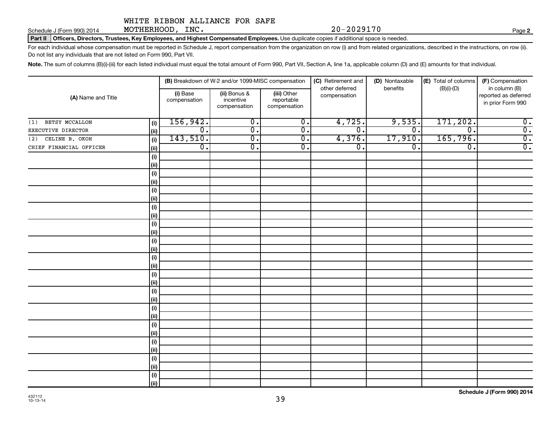Schedule J (Form 990) 2014  $MOTHERHOOD$ ,  $INC$ .  $20-2029170$  Page

Part II | Officers, Directors, Trustees, Key Employees, and Highest Compensated Employees. Use duplicate copies if additional space is needed.

For each individual whose compensation must be reported in Schedule J, report compensation from the organization on row (i) and from related organizations, described in the instructions, on row (ii). Do not list any individuals that are not listed on Form 990, Part VII.

Note. The sum of columns (B)(i)-(iii) for each listed individual must equal the total amount of Form 990, Part VII, Section A, line 1a, applicable column (D) and (E) amounts for that individual.

|                         |              |                          | (B) Breakdown of W-2 and/or 1099-MISC compensation |                                           | (C) Retirement and             | (D) Nontaxable              | (E) Total of columns        | (F) Compensation                                           |
|-------------------------|--------------|--------------------------|----------------------------------------------------|-------------------------------------------|--------------------------------|-----------------------------|-----------------------------|------------------------------------------------------------|
| (A) Name and Title      |              | (i) Base<br>compensation | (ii) Bonus &<br>incentive<br>compensation          | (iii) Other<br>reportable<br>compensation | other deferred<br>compensation | benefits                    | $(B)(i)-(D)$                | in column (B)<br>reported as deferred<br>in prior Form 990 |
| BETSY MCCALLON<br>(1)   | (i)          | 156,942.                 | $\overline{0}$ .                                   | $\overline{0}$ .                          | 4,725.                         | 9,535.                      | 171,202.                    | $\overline{0}$ .                                           |
| EXECUTIVE DIRECTOR      | (ii)         | $\overline{0}$ .         | σ.                                                 | $\overline{0}$ .                          | $\overline{0}$ .               | $\overline{\mathfrak{o}}$ . | $\overline{0}$ .            | $\overline{0}$ .                                           |
| CELINE B. OKOH<br>(2)   | (i)          | 143,510.                 | σ.                                                 | $\overline{0}$ .                          | 4,376.                         | 17,910.                     | 165,796.                    | $\overline{0}$ .                                           |
| CHIEF FINANCIAL OFFICER | (ii)         | $\overline{0}$ .         | σ.                                                 | $\overline{0}$ .                          | $\overline{\mathfrak{o}}$ .    | $\overline{0}$ .            | $\overline{\mathfrak{o}}$ . | $\overline{0}$ .                                           |
|                         | (i)          |                          |                                                    |                                           |                                |                             |                             |                                                            |
|                         | $\vert$ (ii) |                          |                                                    |                                           |                                |                             |                             |                                                            |
|                         | (i)          |                          |                                                    |                                           |                                |                             |                             |                                                            |
|                         | (ii)         |                          |                                                    |                                           |                                |                             |                             |                                                            |
|                         | (i)          |                          |                                                    |                                           |                                |                             |                             |                                                            |
|                         | (ii)         |                          |                                                    |                                           |                                |                             |                             |                                                            |
|                         | (i)          |                          |                                                    |                                           |                                |                             |                             |                                                            |
|                         | (ii)         |                          |                                                    |                                           |                                |                             |                             |                                                            |
|                         | (i)          |                          |                                                    |                                           |                                |                             |                             |                                                            |
|                         | (ii)         |                          |                                                    |                                           |                                |                             |                             |                                                            |
|                         | (i)          |                          |                                                    |                                           |                                |                             |                             |                                                            |
|                         | (ii)         |                          |                                                    |                                           |                                |                             |                             |                                                            |
|                         | (i)          |                          |                                                    |                                           |                                |                             |                             |                                                            |
|                         | (ii)         |                          |                                                    |                                           |                                |                             |                             |                                                            |
|                         | (i)          |                          |                                                    |                                           |                                |                             |                             |                                                            |
|                         | (ii)         |                          |                                                    |                                           |                                |                             |                             |                                                            |
|                         | (i)          |                          |                                                    |                                           |                                |                             |                             |                                                            |
|                         | (ii)         |                          |                                                    |                                           |                                |                             |                             |                                                            |
|                         | (i)          |                          |                                                    |                                           |                                |                             |                             |                                                            |
|                         | (ii)         |                          |                                                    |                                           |                                |                             |                             |                                                            |
|                         | (i)          |                          |                                                    |                                           |                                |                             |                             |                                                            |
|                         | (ii)         |                          |                                                    |                                           |                                |                             |                             |                                                            |
|                         | (i)          |                          |                                                    |                                           |                                |                             |                             |                                                            |
|                         | (ii)         |                          |                                                    |                                           |                                |                             |                             |                                                            |
|                         | (i)          |                          |                                                    |                                           |                                |                             |                             |                                                            |
|                         | $\vert$ (ii) |                          |                                                    |                                           |                                |                             |                             |                                                            |
|                         | (i)<br>(ii)  |                          |                                                    |                                           |                                |                             |                             |                                                            |
|                         |              |                          |                                                    |                                           |                                |                             |                             |                                                            |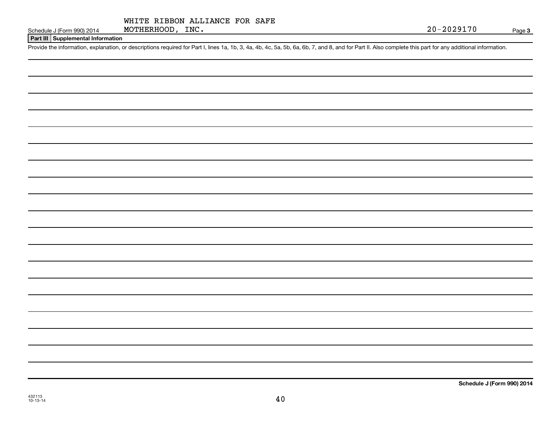# **Part III Supplemental Information**

Provide the information, explanation, or descriptions required for Part I, lines 1a, 1b, 3, 4a, 4b, 4c, 5a, 5b, 6a, 6b, 7, and 8, and for Part II. Also complete this part for any additional information.

432113 10-13-14

**Schedule J (Form 990) 2014**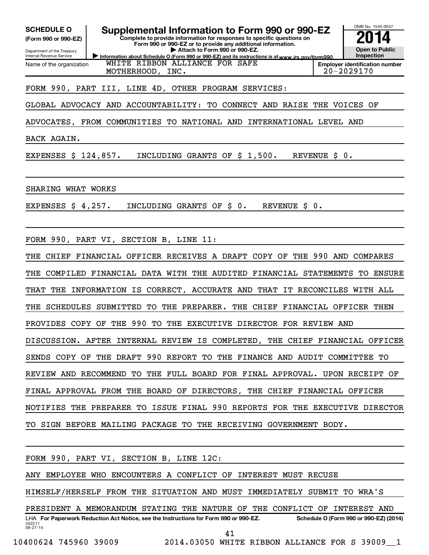OMB No. 1545-0047 Department of the Treasury Internal Revenue Service Information about Schedule O (Form 990 or 990-EZ) and its instructions is at www.irs.gov/form990. **Complete to provide information for responses to specific questions on Form 990 or 990-EZ or to provide any additional information. | Attach to Form 990 or 990-EZ. (Form 990 or 990-EZ) Open to Public Inspection Employer identification number** Name of the organization SCHEDULE O **Supplemental Information to Form 990 or 990-EZ 2014**<br>(Form 990 or 990-EZ) **2014** WHITE RIBBON ALLIANCE FOR SAFE MOTHERHOOD, INC. 20-2029170 FORM 990, PART III, LINE 4D, OTHER PROGRAM SERVICES: GLOBAL ADVOCACY AND ACCOUNTABILITY: TO CONNECT AND RAISE THE VOICES OF ADVOCATES, FROM COMMUNITIES TO NATIONAL AND INTERNATIONAL LEVEL AND BACK AGAIN. EXPENSES \$ 124,857. INCLUDING GRANTS OF \$ 1,500. REVENUE \$ 0. SHARING WHAT WORKS EXPENSES \$ 4,257. INCLUDING GRANTS OF \$ 0. REVENUE \$ 0. FORM 990, PART VI, SECTION B, LINE 11: THE CHIEF FINANCIAL OFFICER RECEIVES A DRAFT COPY OF THE 990 AND COMPARES THE COMPILED FINANCIAL DATA WITH THE AUDITED FINANCIAL STATEMENTS TO ENSURE THAT THE INFORMATION IS CORRECT, ACCURATE AND THAT IT RECONCILES WITH ALL THE SCHEDULES SUBMITTED TO THE PREPARER. THE CHIEF FINANCIAL OFFICER THEN PROVIDES COPY OF THE 990 TO THE EXECUTIVE DIRECTOR FOR REVIEW AND DISCUSSION. AFTER INTERNAL REVIEW IS COMPLETED, THE CHIEF FINANCIAL OFFICER SENDS COPY OF THE DRAFT 990 REPORT TO THE FINANCE AND AUDIT COMMITTEE TO REVIEW AND RECOMMEND TO THE FULL BOARD FOR FINAL APPROVAL. UPON RECEIPT OF FINAL APPROVAL FROM THE BOARD OF DIRECTORS, THE CHIEF FINANCIAL OFFICER NOTIFIES THE PREPARER TO ISSUE FINAL 990 REPORTS FOR THE EXECUTIVE DIRECTOR TO SIGN BEFORE MAILING PACKAGE TO THE RECEIVING GOVERNMENT BODY.

432211 08-27-14 LHA For Paperwork Reduction Act Notice, see the Instructions for Form 990 or 990-EZ. Schedule O (Form 990 or 990-EZ) (2014) FORM 990, PART VI, SECTION B, LINE 12C: ANY EMPLOYEE WHO ENCOUNTERS A CONFLICT OF INTEREST MUST RECUSE HIMSELF/HERSELF FROM THE SITUATION AND MUST IMMEDIATELY SUBMIT TO WRA'S PRESIDENT A MEMORANDUM STATING THE NATURE OF THE CONFLICT OF INTEREST AND 41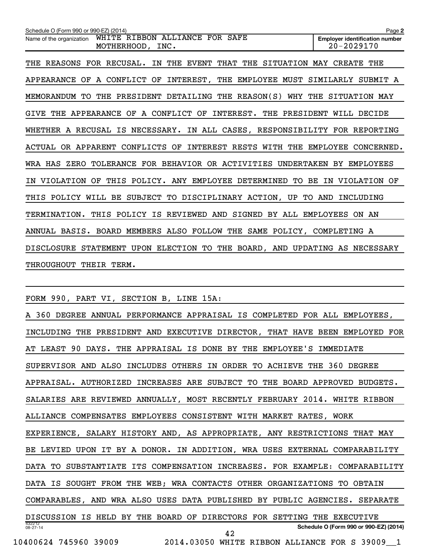| Schedule O (Form 990 or 990-EZ) (2014)                                         | Page 2                                              |
|--------------------------------------------------------------------------------|-----------------------------------------------------|
| WHITE RIBBON ALLIANCE FOR SAFE<br>Name of the organization<br>MOTHERHOOD, INC. | <b>Employer identification number</b><br>20-2029170 |
| REASONS FOR RECUSAL. IN THE EVENT THAT THE SITUATION MAY CREATE<br>THE         | THE                                                 |
| A CONFLICT OF<br>APPEARANCE OF<br>INTEREST,<br>THE<br>EMPLOYEE MUST SIMILARLY  | SUBMIT A                                            |
| THE PRESIDENT DETAILING THE REASON(S) WHY THE SITUATION MAY<br>MEMORANDUM TO   |                                                     |
| GIVE THE APPEARANCE OF A CONFLICT OF<br>INTEREST. THE PRESIDENT WILL DECIDE    |                                                     |
| WHETHER A RECUSAL IS NECESSARY. IN ALL CASES, RESPONSIBILITY FOR REPORTING     |                                                     |
| ACTUAL OR APPARENT CONFLICTS OF<br>INTEREST RESTS WITH THE EMPLOYEE            | CONCERNED.                                          |
| WRA HAS ZERO TOLERANCE FOR BEHAVIOR OR ACTIVITIES UNDERTAKEN BY EMPLOYEES      |                                                     |
| IN VIOLATION OF THIS POLICY. ANY EMPLOYEE DETERMINED TO BE IN VIOLATION OF     |                                                     |
| THIS POLICY WILL BE SUBJECT TO DISCIPLINARY ACTION, UP TO AND                  | INCLUDING                                           |
| TERMINATION. THIS POLICY IS REVIEWED AND<br>SIGNED BY ALL EMPLOYEES ON AN      |                                                     |
| ANNUAL BASIS. BOARD MEMBERS ALSO FOLLOW THE SAME POLICY, COMPLETING A          |                                                     |
| DISCLOSURE STATEMENT UPON ELECTION TO THE BOARD, AND UPDATING AS NECESSARY     |                                                     |
| THROUGHOUT THEIR TERM.                                                         |                                                     |

FORM 990, PART VI, SECTION B, LINE 15A:

432212 08-27-14 **Schedule O (Form 990 or 990-EZ) (2014)** A 360 DEGREE ANNUAL PERFORMANCE APPRAISAL IS COMPLETED FOR ALL EMPLOYEES, INCLUDING THE PRESIDENT AND EXECUTIVE DIRECTOR, THAT HAVE BEEN EMPLOYED FOR AT LEAST 90 DAYS. THE APPRAISAL IS DONE BY THE EMPLOYEE'S IMMEDIATE SUPERVISOR AND ALSO INCLUDES OTHERS IN ORDER TO ACHIEVE THE 360 DEGREE APPRAISAL. AUTHORIZED INCREASES ARE SUBJECT TO THE BOARD APPROVED BUDGETS. SALARIES ARE REVIEWED ANNUALLY, MOST RECENTLY FEBRUARY 2014. WHITE RIBBON ALLIANCE COMPENSATES EMPLOYEES CONSISTENT WITH MARKET RATES, WORK EXPERIENCE, SALARY HISTORY AND, AS APPROPRIATE, ANY RESTRICTIONS THAT MAY BE LEVIED UPON IT BY A DONOR. IN ADDITION, WRA USES EXTERNAL COMPARABILITY DATA TO SUBSTANTIATE ITS COMPENSATION INCREASES. FOR EXAMPLE: COMPARABILITY DATA IS SOUGHT FROM THE WEB; WRA CONTACTS OTHER ORGANIZATIONS TO OBTAIN COMPARABLES, AND WRA ALSO USES DATA PUBLISHED BY PUBLIC AGENCIES. SEPARATE DISCUSSION IS HELD BY THE BOARD OF DIRECTORS FOR SETTING THE EXECUTIVE 10400624 745960 39009 2014.03050 WHITE RIBBON ALLIANCE FOR S 39009\_\_1 42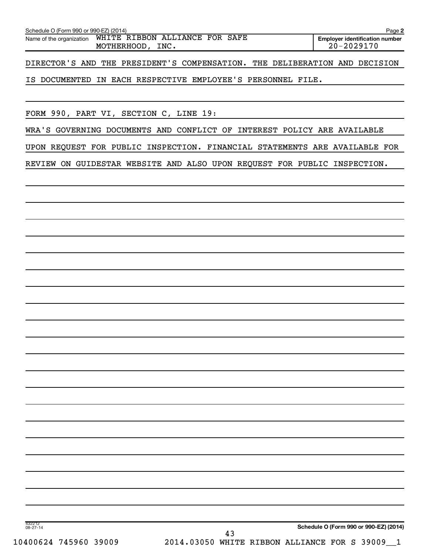| Schedule O (Form 990 or 990-EZ) (2014)                                      | Page 2                                                  |
|-----------------------------------------------------------------------------|---------------------------------------------------------|
| Name of the organization WHITE RIBBON ALLIANCE FOR SAFE<br>MOTHERHOOD, INC. | <b>Employer identification number</b><br>$20 - 2029170$ |
| DIRECTOR'S AND THE PRESIDENT'S COMPENSATION. THE DELIBERATION AND DECISION  |                                                         |
| IS DOCUMENTED IN EACH RESPECTIVE EMPLOYEE'S PERSONNEL FILE.                 |                                                         |
|                                                                             |                                                         |

FORM 990, PART VI, SECTION C, LINE 19:

WRA'S GOVERNING DOCUMENTS AND CONFLICT OF INTEREST POLICY ARE AVAILABLE

UPON REQUEST FOR PUBLIC INSPECTION. FINANCIAL STATEMENTS ARE AVAILABLE FOR

REVIEW ON GUIDESTAR WEBSITE AND ALSO UPON REQUEST FOR PUBLIC INSPECTION.

432212 08-27-14